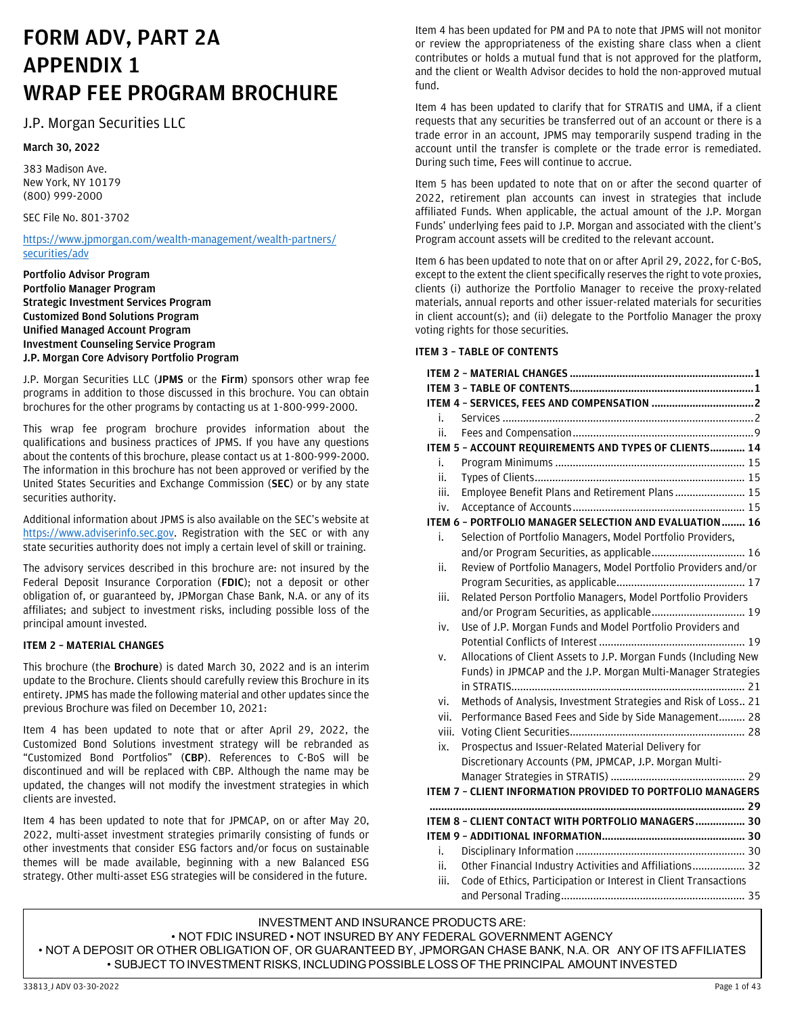# **FORM ADV, PART 2A APPENDIX 1 WRAP FEE PROGRAM BROCHURE**

# J.P. Morgan Securities LLC

## **March 30, 2022**

383 Madison Ave. New York, NY 10179 (800) 999-2000

## SEC File No. 801-3702

[https://www.jpmorgan.com/wealth-management/wealth-partners/](https://www.jpmorgan.com/wealth-management/wealth-partners/securities/adv) [securities/adv](https://www.jpmorgan.com/wealth-management/wealth-partners/securities/adv)

**Portfolio Advisor Program Portfolio Manager Program Strategic Investment Services Program Customized Bond Solutions Program Unified Managed Account Program Investment Counseling Service Program J.P. Morgan Core Advisory Portfolio Program**

J.P. Morgan Securities LLC (**JPMS** or the **Firm**) sponsors other wrap fee programs in addition to those discussed in this brochure. You can obtain brochures for the other programs by contacting us at 1-800-999-2000.

This wrap fee program brochure provides information about the qualifications and business practices of JPMS. If you have any questions about the contents of this brochure, please contact us at 1-800-999-2000. The information in this brochure has not been approved or verified by the United States Securities and Exchange Commission (**SEC**) or by any state securities authority.

Additional information about JPMS is also available on the SEC's website at [https://www.adviserinfo.sec.gov.](https://www.adviserinfo.sec.gov/) Registration with the SEC or with any state securities authority does not imply a certain level of skill or training.

The advisory services described in this brochure are: not insured by the Federal Deposit Insurance Corporation (**FDIC**); not a deposit or other obligation of, or guaranteed by, JPMorgan Chase Bank, N.A. or any of its affiliates; and subject to investment risks, including possible loss of the principal amount invested.

## <span id="page-0-0"></span>**ITEM 2 – MATERIAL CHANGES**

This brochure (the **Brochure**) is dated March 30, 2022 and is an interim update to the Brochure. Clients should carefully review this Brochure in its entirety. JPMS has made the following material and other updates since the previous Brochure was filed on December 10, 2021:

Item 4 has been updated to note that or after April 29, 2022, the Customized Bond Solutions investment strategy will be rebranded as "Customized Bond Portfolios" (**CBP**). References to C-BoS will be discontinued and will be replaced with CBP. Although the name may be updated, the changes will not modify the investment strategies in which clients are invested.

Item 4 has been updated to note that for JPMCAP, on or after May 20, 2022, multi-asset investment strategies primarily consisting of funds or other investments that consider ESG factors and/or focus on sustainable themes will be made available, beginning with a new Balanced ESG strategy. Other multi-asset ESG strategies will be considered in the future.

Item 4 has been updated for PM and PA to note that JPMS will not monitor or review the appropriateness of the existing share class when a client contributes or holds a mutual fund that is not approved for the platform, and the client or Wealth Advisor decides to hold the non-approved mutual fund.

Item 4 has been updated to clarify that for STRATIS and UMA, if a client requests that any securities be transferred out of an account or there is a trade error in an account, JPMS may temporarily suspend trading in the account until the transfer is complete or the trade error is remediated. During such time, Fees will continue to accrue.

Item 5 has been updated to note that on or after the second quarter of 2022, retirement plan accounts can invest in strategies that include affiliated Funds. When applicable, the actual amount of the J.P. Morgan Funds' underlying fees paid to J.P. Morgan and associated with the client's Program account assets will be credited to the relevant account.

Item 6 has been updated to note that on or after April 29, 2022, for C-BoS, except to the extent the client specifically reserves the right to vote proxies, clients (i) authorize the Portfolio Manager to receive the proxy-related materials, annual reports and other issuer-related materials for securities in client account(s); and (ii) delegate to the Portfolio Manager the proxy voting rights for those securities.

## <span id="page-0-1"></span>**ITEM 3 – TABLE OF CONTENTS**

|       | ITEM 4 - SERVICES, FEES AND COMPENSATION 2                       |
|-------|------------------------------------------------------------------|
| i.    |                                                                  |
| ii.   |                                                                  |
|       | ITEM 5 - ACCOUNT REQUIREMENTS AND TYPES OF CLIENTS 14            |
| i.    |                                                                  |
| ii.   |                                                                  |
| iii.  | Employee Benefit Plans and Retirement Plans 15                   |
| iv.   |                                                                  |
|       | ITEM 6 - PORTFOLIO MANAGER SELECTION AND EVALUATION 16           |
| i.    | Selection of Portfolio Managers, Model Portfolio Providers,      |
|       | and/or Program Securities, as applicable 16                      |
| ii.   | Review of Portfolio Managers, Model Portfolio Providers and/or   |
|       |                                                                  |
| iii.  | Related Person Portfolio Managers, Model Portfolio Providers     |
|       | and/or Program Securities, as applicable 19                      |
| iv.   | Use of J.P. Morgan Funds and Model Portfolio Providers and       |
|       |                                                                  |
| v.    | Allocations of Client Assets to J.P. Morgan Funds (Including New |
|       | Funds) in JPMCAP and the J.P. Morgan Multi-Manager Strategies    |
|       |                                                                  |
| vi.   | Methods of Analysis, Investment Strategies and Risk of Loss 21   |
| vii.  | Performance Based Fees and Side by Side Management 28            |
| viii. |                                                                  |
| ix.   | Prospectus and Issuer-Related Material Delivery for              |
|       | Discretionary Accounts (PM, JPMCAP, J.P. Morgan Multi-           |
|       |                                                                  |
|       | ITEM 7 - CLIENT INFORMATION PROVIDED TO PORTFOLIO MANAGERS       |
|       |                                                                  |
|       | ITEM 8 - CLIENT CONTACT WITH PORTFOLIO MANAGERS 30               |
|       |                                                                  |
| i.    |                                                                  |
| ii.   | Other Financial Industry Activities and Affiliations 32          |
| iii.  | Code of Ethics, Participation or Interest in Client Transactions |
|       |                                                                  |

INVESTMENT AND INSURANCE PRODUCTS ARE: • NOT FDIC INSURED • NOT INSURED BY ANY FEDERAL GOVERNMENT AGENCY • NOT A DEPOSIT OR OTHER OBLIGATION OF, OR GUARANTEED BY, JPMORGAN CHASE BANK, N.A. OR ANY OF ITS AFFILIATES • SUBJECT TO INVESTMENT RISKS, INCLUDING POSSIBLE LOSS OF THE PRINCIPAL AMOUNT INVESTED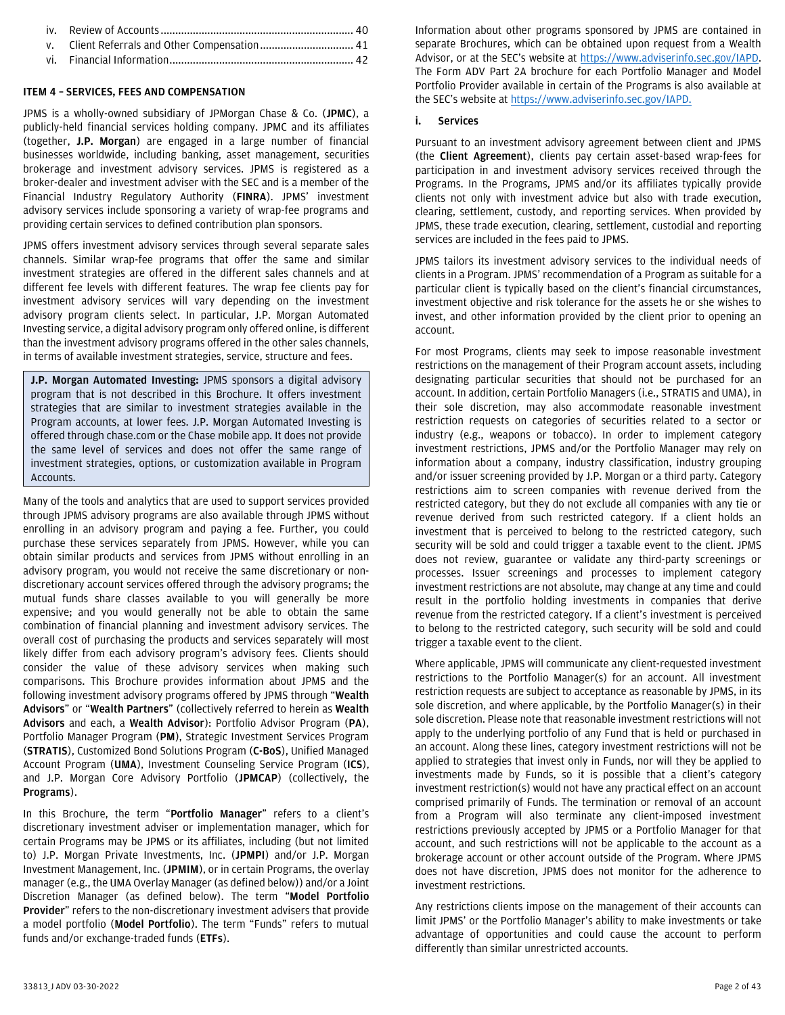## <span id="page-1-0"></span>**ITEM 4 – SERVICES, FEES AND COMPENSATION**

JPMS is a wholly-owned subsidiary of JPMorgan Chase & Co. (**JPMC**), a publicly-held financial services holding company. JPMC and its affiliates (together, **J.P. Morgan**) are engaged in a large number of financial businesses worldwide, including banking, asset management, securities brokerage and investment advisory services. JPMS is registered as a broker-dealer and investment adviser with the SEC and is a member of the Financial Industry Regulatory Authority (**FINRA**). JPMS' investment advisory services include sponsoring a variety of wrap-fee programs and providing certain services to defined contribution plan sponsors.

JPMS offers investment advisory services through several separate sales channels. Similar wrap-fee programs that offer the same and similar investment strategies are offered in the different sales channels and at different fee levels with different features. The wrap fee clients pay for investment advisory services will vary depending on the investment advisory program clients select. In particular, J.P. Morgan Automated Investing service, a digital advisory program only offered online, is different than the investment advisory programs offered in the other sales channels, in terms of available investment strategies, service, structure and fees.

**J.P. Morgan Automated Investing:** JPMS sponsors a digital advisory program that is not described in this Brochure. It offers investment strategies that are similar to investment strategies available in the Program accounts, at lower fees. J.P. Morgan Automated Investing is offered through chase.com or the Chase mobile app. It does not provide the same level of services and does not offer the same range of investment strategies, options, or customization available in Program Accounts.

Many of the tools and analytics that are used to support services provided through JPMS advisory programs are also available through JPMS without enrolling in an advisory program and paying a fee. Further, you could purchase these services separately from JPMS. However, while you can obtain similar products and services from JPMS without enrolling in an advisory program, you would not receive the same discretionary or nondiscretionary account services offered through the advisory programs; the mutual funds share classes available to you will generally be more expensive; and you would generally not be able to obtain the same combination of financial planning and investment advisory services. The overall cost of purchasing the products and services separately will most likely differ from each advisory program's advisory fees. Clients should consider the value of these advisory services when making such comparisons. This Brochure provides information about JPMS and the following investment advisory programs offered by JPMS through "**Wealth Advisors**" or "**Wealth Partners**" (collectively referred to herein as **Wealth Advisors** and each, a **Wealth Advisor**): Portfolio Advisor Program (**PA**), Portfolio Manager Program (**PM**), Strategic Investment Services Program (**STRATIS**), Customized Bond Solutions Program (**C-BoS**), Unified Managed Account Program (**UMA**), Investment Counseling Service Program (**ICS**), and J.P. Morgan Core Advisory Portfolio (**JPMCAP**) (collectively, the **Programs**).

In this Brochure, the term "**Portfolio Manager**" refers to a client's discretionary investment adviser or implementation manager, which for certain Programs may be JPMS or its affiliates, including (but not limited to) J.P. Morgan Private Investments, Inc. (**JPMPI**) and/or J.P. Morgan Investment Management, Inc. (**JPMIM**), or in certain Programs, the overlay manager (e.g., the UMA Overlay Manager (as defined below)) and/or a Joint Discretion Manager (as defined below). The term "**Model Portfolio Provider**" refers to the non-discretionary investment advisers that provide a model portfolio (**Model Portfolio**). The term "Funds" refers to mutual funds and/or exchange-traded funds (**ETFs**).

Information about other programs sponsored by JPMS are contained in separate Brochures, which can be obtained upon request from a Wealth Advisor, or at the SEC's website at<https://www.adviserinfo.sec.gov/>IAPD. The Form ADV Part 2A brochure for each Portfolio Manager and Model Portfolio Provider available in certain of the Programs is also available at the SEC's website a[t https://www.adviserinfo.sec.gov/](https://www.adviserinfo.sec.gov/)IAPD.

#### <span id="page-1-1"></span>**i. Services**

Pursuant to an investment advisory agreement between client and JPMS (the **Client Agreement**), clients pay certain asset-based wrap-fees for participation in and investment advisory services received through the Programs. In the Programs, JPMS and/or its affiliates typically provide clients not only with investment advice but also with trade execution, clearing, settlement, custody, and reporting services. When provided by JPMS, these trade execution, clearing, settlement, custodial and reporting services are included in the fees paid to JPMS.

JPMS tailors its investment advisory services to the individual needs of clients in a Program. JPMS' recommendation of a Program as suitable for a particular client is typically based on the client's financial circumstances, investment objective and risk tolerance for the assets he or she wishes to invest, and other information provided by the client prior to opening an account.

For most Programs, clients may seek to impose reasonable investment restrictions on the management of their Program account assets, including designating particular securities that should not be purchased for an account. In addition, certain Portfolio Managers (i.e., STRATIS and UMA), in their sole discretion, may also accommodate reasonable investment restriction requests on categories of securities related to a sector or industry (e.g., weapons or tobacco). In order to implement category investment restrictions, JPMS and/or the Portfolio Manager may rely on information about a company, industry classification, industry grouping and/or issuer screening provided by J.P. Morgan or a third party. Category restrictions aim to screen companies with revenue derived from the restricted category, but they do not exclude all companies with any tie or revenue derived from such restricted category. If a client holds an investment that is perceived to belong to the restricted category, such security will be sold and could trigger a taxable event to the client. JPMS does not review, guarantee or validate any third-party screenings or processes. Issuer screenings and processes to implement category investment restrictions are not absolute, may change at any time and could result in the portfolio holding investments in companies that derive revenue from the restricted category. If a client's investment is perceived to belong to the restricted category, such security will be sold and could trigger a taxable event to the client.

Where applicable, JPMS will communicate any client-requested investment restrictions to the Portfolio Manager(s) for an account. All investment restriction requests are subject to acceptance as reasonable by JPMS, in its sole discretion, and where applicable, by the Portfolio Manager(s) in their sole discretion. Please note that reasonable investment restrictions will not apply to the underlying portfolio of any Fund that is held or purchased in an account. Along these lines, category investment restrictions will not be applied to strategies that invest only in Funds, nor will they be applied to investments made by Funds, so it is possible that a client's category investment restriction(s) would not have any practical effect on an account comprised primarily of Funds. The termination or removal of an account from a Program will also terminate any client-imposed investment restrictions previously accepted by JPMS or a Portfolio Manager for that account, and such restrictions will not be applicable to the account as a brokerage account or other account outside of the Program. Where JPMS does not have discretion, JPMS does not monitor for the adherence to investment restrictions.

Any restrictions clients impose on the management of their accounts can limit JPMS' or the Portfolio Manager's ability to make investments or take advantage of opportunities and could cause the account to perform differently than similar unrestricted accounts.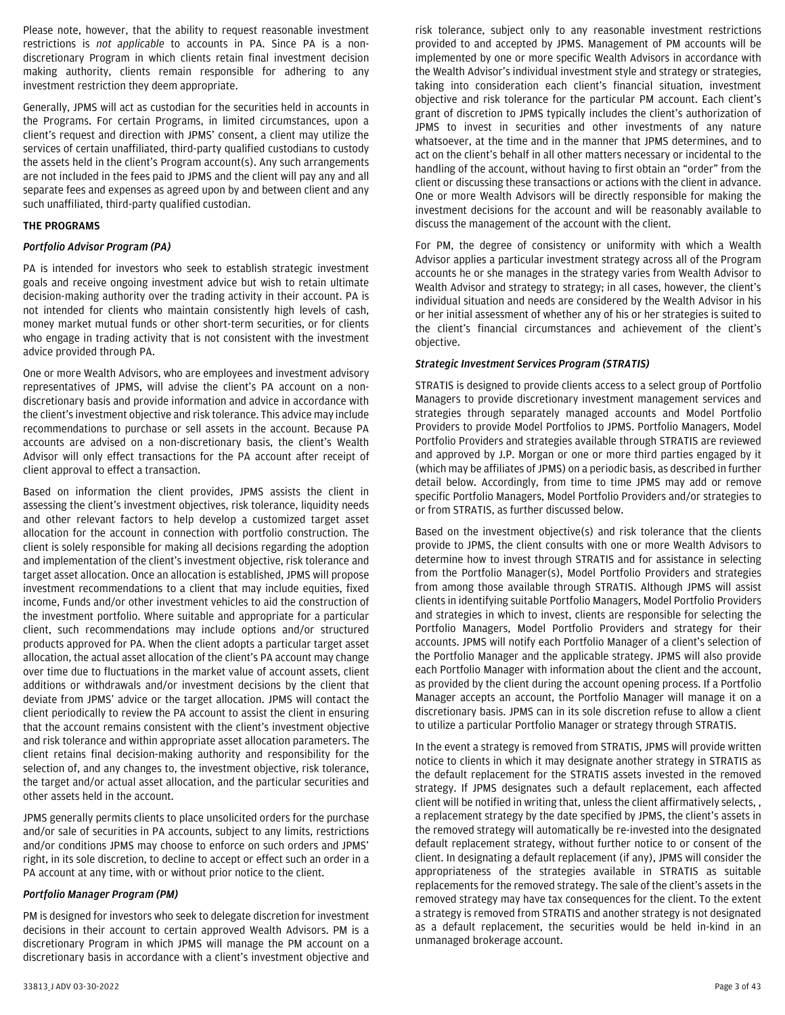Please note, however, that the ability to request reasonable investment restrictions is *not applicable* to accounts in PA. Since PA is a nondiscretionary Program in which clients retain final investment decision making authority, clients remain responsible for adhering to any investment restriction they deem appropriate.

Generally, JPMS will act as custodian for the securities held in accounts in the Programs. For certain Programs, in limited circumstances, upon a client's request and direction with JPMS' consent, a client may utilize the services of certain unaffiliated, third-party qualified custodians to custody the assets held in the client's Program account(s). Any such arrangements are not included in the fees paid to JPMS and the client will pay any and all separate fees and expenses as agreed upon by and between client and any such unaffiliated, third-party qualified custodian.

#### **THE PROGRAMS**

#### *Portfolio Advisor Program (PA)*

PA is intended for investors who seek to establish strategic investment goals and receive ongoing investment advice but wish to retain ultimate decision-making authority over the trading activity in their account. PA is not intended for clients who maintain consistently high levels of cash, money market mutual funds or other short-term securities, or for clients who engage in trading activity that is not consistent with the investment advice provided through PA.

One or more Wealth Advisors, who are employees and investment advisory representatives of JPMS, will advise the client's PA account on a nondiscretionary basis and provide information and advice in accordance with the client's investment objective and risk tolerance. This advice may include recommendations to purchase or sell assets in the account. Because PA accounts are advised on a non-discretionary basis, the client's Wealth Advisor will only effect transactions for the PA account after receipt of client approval to effect a transaction.

Based on information the client provides, JPMS assists the client in assessing the client's investment objectives, risk tolerance, liquidity needs and other relevant factors to help develop a customized target asset allocation for the account in connection with portfolio construction. The client is solely responsible for making all decisions regarding the adoption and implementation of the client's investment objective, risk tolerance and target asset allocation. Once an allocation is established, JPMS will propose investment recommendations to a client that may include equities, fixed income, Funds and/or other investment vehicles to aid the construction of the investment portfolio. Where suitable and appropriate for a particular client, such recommendations may include options and/or structured products approved for PA. When the client adopts a particular target asset allocation, the actual asset allocation of the client's PA account may change over time due to fluctuations in the market value of account assets, client additions or withdrawals and/or investment decisions by the client that deviate from JPMS' advice or the target allocation. JPMS will contact the client periodically to review the PA account to assist the client in ensuring that the account remains consistent with the client's investment objective and risk tolerance and within appropriate asset allocation parameters. The client retains final decision-making authority and responsibility for the selection of, and any changes to, the investment objective, risk tolerance, the target and/or actual asset allocation, and the particular securities and other assets held in the account.

JPMS generally permits clients to place unsolicited orders for the purchase and/or sale of securities in PA accounts, subject to any limits, restrictions and/or conditions JPMS may choose to enforce on such orders and JPMS' right, in its sole discretion, to decline to accept or effect such an order in a PA account at any time, with or without prior notice to the client.

#### *Portfolio Manager Program (PM)*

PM is designed for investors who seek to delegate discretion for investment decisions in their account to certain approved Wealth Advisors. PM is a discretionary Program in which JPMS will manage the PM account on a discretionary basis in accordance with a client's investment objective and

implemented by one or more specific Wealth Advisors in accordance with the Wealth Advisor's individual investment style and strategy or strategies, taking into consideration each client's financial situation, investment objective and risk tolerance for the particular PM account. Each client's grant of discretion to JPMS typically includes the client's authorization of JPMS to invest in securities and other investments of any nature whatsoever, at the time and in the manner that JPMS determines, and to act on the client's behalf in all other matters necessary or incidental to the handling of the account, without having to first obtain an "order" from the client or discussing these transactions or actions with the client in advance. One or more Wealth Advisors will be directly responsible for making the investment decisions for the account and will be reasonably available to discuss the management of the account with the client. For PM, the degree of consistency or uniformity with which a Wealth

Advisor applies a particular investment strategy across all of the Program accounts he or she manages in the strategy varies from Wealth Advisor to Wealth Advisor and strategy to strategy; in all cases, however, the client's individual situation and needs are considered by the Wealth Advisor in his or her initial assessment of whether any of his or her strategies is suited to the client's financial circumstances and achievement of the client's objective.

risk tolerance, subject only to any reasonable investment restrictions provided to and accepted by JPMS. Management of PM accounts will be

# *Strategic Investment Services Program (STRATIS)*

STRATIS is designed to provide clients access to a select group of Portfolio Managers to provide discretionary investment management services and strategies through separately managed accounts and Model Portfolio Providers to provide Model Portfolios to JPMS. Portfolio Managers, Model Portfolio Providers and strategies available through STRATIS are reviewed and approved by J.P. Morgan or one or more third parties engaged by it (which may be affiliates of JPMS) on a periodic basis, as described in further detail below. Accordingly, from time to time JPMS may add or remove specific Portfolio Managers, Model Portfolio Providers and/or strategies to or from STRATIS, as further discussed below.

Based on the investment objective(s) and risk tolerance that the clients provide to JPMS, the client consults with one or more Wealth Advisors to determine how to invest through STRATIS and for assistance in selecting from the Portfolio Manager(s), Model Portfolio Providers and strategies from among those available through STRATIS. Although JPMS will assist clients in identifying suitable Portfolio Managers, Model Portfolio Providers and strategies in which to invest, clients are responsible for selecting the Portfolio Managers, Model Portfolio Providers and strategy for their accounts. JPMS will notify each Portfolio Manager of a client's selection of the Portfolio Manager and the applicable strategy. JPMS will also provide each Portfolio Manager with information about the client and the account, as provided by the client during the account opening process. If a Portfolio Manager accepts an account, the Portfolio Manager will manage it on a discretionary basis. JPMS can in its sole discretion refuse to allow a client to utilize a particular Portfolio Manager or strategy through STRATIS.

In the event a strategy is removed from STRATIS, JPMS will provide written notice to clients in which it may designate another strategy in STRATIS as the default replacement for the STRATIS assets invested in the removed strategy. If JPMS designates such a default replacement, each affected client will be notified in writing that, unless the client affirmatively selects, , a replacement strategy by the date specified by JPMS, the client's assets in the removed strategy will automatically be re-invested into the designated default replacement strategy, without further notice to or consent of the client. In designating a default replacement (if any), JPMS will consider the appropriateness of the strategies available in STRATIS as suitable replacements for the removed strategy. The sale of the client's assets in the removed strategy may have tax consequences for the client. To the extent a strategy is removed from STRATIS and another strategy is not designated as a default replacement, the securities would be held in-kind in an unmanaged brokerage account.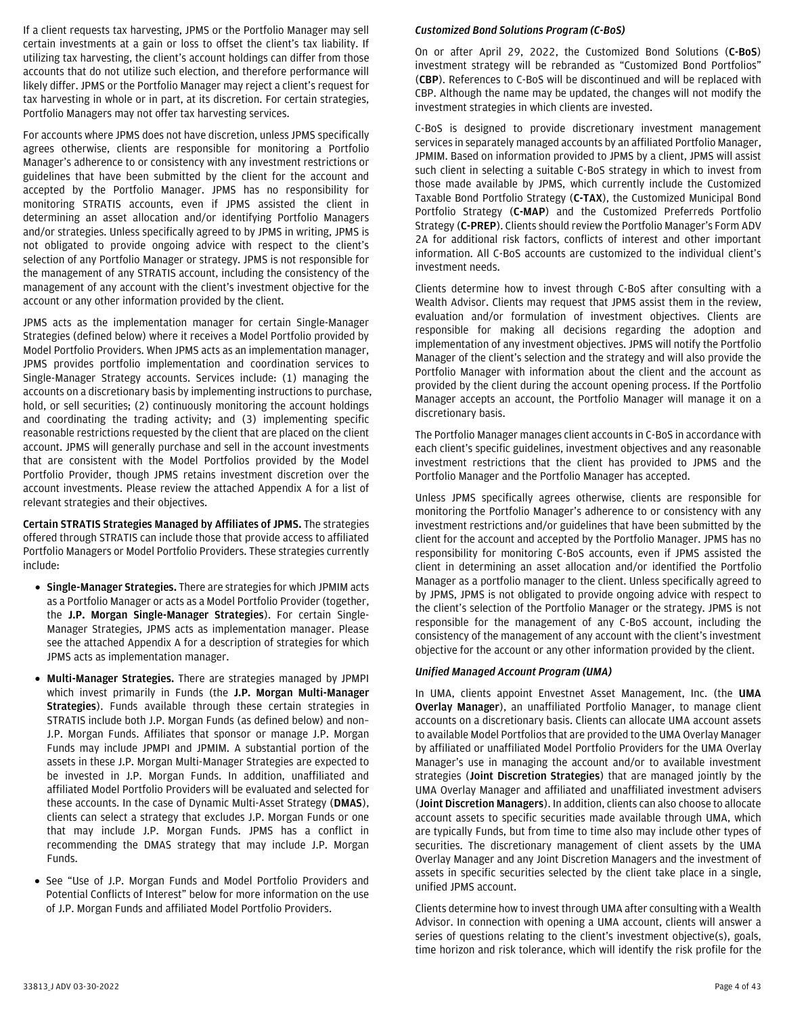If a client requests tax harvesting, JPMS or the Portfolio Manager may sell certain investments at a gain or loss to offset the client's tax liability. If utilizing tax harvesting, the client's account holdings can differ from those accounts that do not utilize such election, and therefore performance will likely differ. JPMS or the Portfolio Manager may reject a client's request for tax harvesting in whole or in part, at its discretion. For certain strategies, Portfolio Managers may not offer tax harvesting services.

For accounts where JPMS does not have discretion, unless JPMS specifically agrees otherwise, clients are responsible for monitoring a Portfolio Manager's adherence to or consistency with any investment restrictions or guidelines that have been submitted by the client for the account and accepted by the Portfolio Manager. JPMS has no responsibility for monitoring STRATIS accounts, even if JPMS assisted the client in determining an asset allocation and/or identifying Portfolio Managers and/or strategies. Unless specifically agreed to by JPMS in writing, JPMS is not obligated to provide ongoing advice with respect to the client's selection of any Portfolio Manager or strategy. JPMS is not responsible for the management of any STRATIS account, including the consistency of the management of any account with the client's investment objective for the account or any other information provided by the client.

JPMS acts as the implementation manager for certain Single-Manager Strategies (defined below) where it receives a Model Portfolio provided by Model Portfolio Providers. When JPMS acts as an implementation manager, JPMS provides portfolio implementation and coordination services to Single-Manager Strategy accounts. Services include: (1) managing the accounts on a discretionary basis by implementing instructions to purchase, hold, or sell securities; (2) continuously monitoring the account holdings and coordinating the trading activity; and (3) implementing specific reasonable restrictions requested by the client that are placed on the client account. JPMS will generally purchase and sell in the account investments that are consistent with the Model Portfolios provided by the Model Portfolio Provider, though JPMS retains investment discretion over the account investments. Please review the attached Appendix A for a list of relevant strategies and their objectives.

**Certain STRATIS Strategies Managed by Affiliates of JPMS.** The strategies offered through STRATIS can include those that provide access to affiliated Portfolio Managers or Model Portfolio Providers. These strategies currently include:

- **Single-Manager Strategies.** There are strategies for which JPMIM acts as a Portfolio Manager or acts as a Model Portfolio Provider (together, the **J.P. Morgan Single-Manager Strategies**). For certain Single-Manager Strategies, JPMS acts as implementation manager. Please see the attached Appendix A for a description of strategies for which JPMS acts as implementation manager.
- **Multi-Manager Strategies.** There are strategies managed by JPMPI which invest primarily in Funds (the **J.P. Morgan Multi-Manager Strategies**). Funds available through these certain strategies in STRATIS include both J.P. Morgan Funds (as defined below) and non– J.P. Morgan Funds. Affiliates that sponsor or manage J.P. Morgan Funds may include JPMPI and JPMIM. A substantial portion of the assets in these J.P. Morgan Multi-Manager Strategies are expected to be invested in J.P. Morgan Funds. In addition, unaffiliated and affiliated Model Portfolio Providers will be evaluated and selected for these accounts. In the case of Dynamic Multi-Asset Strategy (**DMAS**), clients can select a strategy that excludes J.P. Morgan Funds or one that may include J.P. Morgan Funds. JPMS has a conflict in recommending the DMAS strategy that may include J.P. Morgan Funds.
- See "Use of J.P. Morgan Funds and Model Portfolio Providers and Potential Conflicts of Interest" below for more information on the use of J.P. Morgan Funds and affiliated Model Portfolio Providers.

## *Customized Bond Solutions Program (C-BoS)*

On or after April 29, 2022, the Customized Bond Solutions (**C-BoS**) investment strategy will be rebranded as "Customized Bond Portfolios" (**CBP**). References to C-BoS will be discontinued and will be replaced with CBP. Although the name may be updated, the changes will not modify the investment strategies in which clients are invested.

C-BoS is designed to provide discretionary investment management services in separately managed accounts by an affiliated Portfolio Manager, JPMIM. Based on information provided to JPMS by a client, JPMS will assist such client in selecting a suitable C-BoS strategy in which to invest from those made available by JPMS, which currently include the Customized Taxable Bond Portfolio Strategy (**C-TAX**), the Customized Municipal Bond Portfolio Strategy (**C-MAP**) and the Customized Preferreds Portfolio Strategy (**C-PREP**). Clients should review the Portfolio Manager's Form ADV 2A for additional risk factors, conflicts of interest and other important information. All C-BoS accounts are customized to the individual client's investment needs.

Clients determine how to invest through C-BoS after consulting with a Wealth Advisor. Clients may request that JPMS assist them in the review, evaluation and/or formulation of investment objectives. Clients are responsible for making all decisions regarding the adoption and implementation of any investment objectives. JPMS will notify the Portfolio Manager of the client's selection and the strategy and will also provide the Portfolio Manager with information about the client and the account as provided by the client during the account opening process. If the Portfolio Manager accepts an account, the Portfolio Manager will manage it on a discretionary basis.

The Portfolio Manager manages client accounts in C-BoS in accordance with each client's specific guidelines, investment objectives and any reasonable investment restrictions that the client has provided to JPMS and the Portfolio Manager and the Portfolio Manager has accepted.

Unless JPMS specifically agrees otherwise, clients are responsible for monitoring the Portfolio Manager's adherence to or consistency with any investment restrictions and/or guidelines that have been submitted by the client for the account and accepted by the Portfolio Manager. JPMS has no responsibility for monitoring C-BoS accounts, even if JPMS assisted the client in determining an asset allocation and/or identified the Portfolio Manager as a portfolio manager to the client. Unless specifically agreed to by JPMS, JPMS is not obligated to provide ongoing advice with respect to the client's selection of the Portfolio Manager or the strategy. JPMS is not responsible for the management of any C-BoS account, including the consistency of the management of any account with the client's investment objective for the account or any other information provided by the client.

## *Unified Managed Account Program (UMA)*

In UMA, clients appoint Envestnet Asset Management, Inc. (the **UMA Overlay Manager**), an unaffiliated Portfolio Manager, to manage client accounts on a discretionary basis. Clients can allocate UMA account assets to available Model Portfolios that are provided to the UMA Overlay Manager by affiliated or unaffiliated Model Portfolio Providers for the UMA Overlay Manager's use in managing the account and/or to available investment strategies (**Joint Discretion Strategies**) that are managed jointly by the UMA Overlay Manager and affiliated and unaffiliated investment advisers (**Joint Discretion Managers**). In addition, clients can also choose to allocate account assets to specific securities made available through UMA, which are typically Funds, but from time to time also may include other types of securities. The discretionary management of client assets by the UMA Overlay Manager and any Joint Discretion Managers and the investment of assets in specific securities selected by the client take place in a single, unified JPMS account.

Clients determine how to invest through UMA after consulting with a Wealth Advisor. In connection with opening a UMA account, clients will answer a series of questions relating to the client's investment objective(s), goals, time horizon and risk tolerance, which will identify the risk profile for the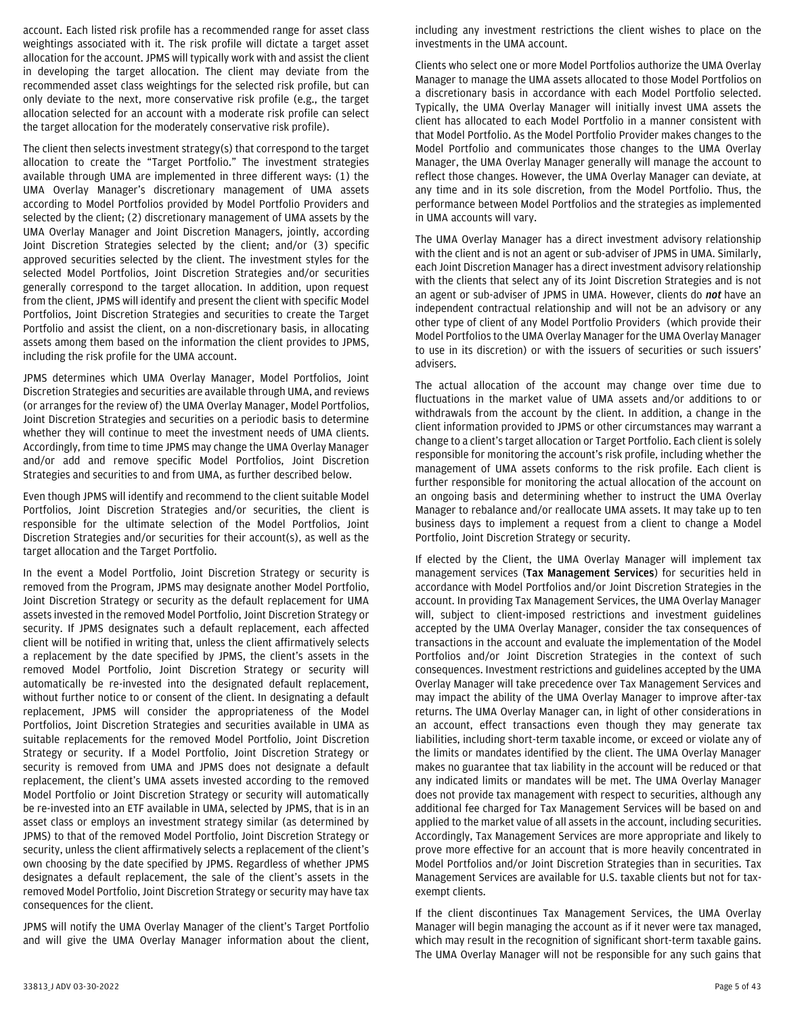account. Each listed risk profile has a recommended range for asset class weightings associated with it. The risk profile will dictate a target asset allocation for the account. JPMS will typically work with and assist the client in developing the target allocation. The client may deviate from the recommended asset class weightings for the selected risk profile, but can only deviate to the next, more conservative risk profile (e.g., the target allocation selected for an account with a moderate risk profile can select the target allocation for the moderately conservative risk profile).

The client then selects investment strategy(s) that correspond to the target allocation to create the "Target Portfolio." The investment strategies available through UMA are implemented in three different ways: (1) the UMA Overlay Manager's discretionary management of UMA assets according to Model Portfolios provided by Model Portfolio Providers and selected by the client; (2) discretionary management of UMA assets by the UMA Overlay Manager and Joint Discretion Managers, jointly, according Joint Discretion Strategies selected by the client; and/or (3) specific approved securities selected by the client. The investment styles for the selected Model Portfolios, Joint Discretion Strategies and/or securities generally correspond to the target allocation. In addition, upon request from the client, JPMS will identify and present the client with specific Model Portfolios, Joint Discretion Strategies and securities to create the Target Portfolio and assist the client, on a non-discretionary basis, in allocating assets among them based on the information the client provides to JPMS, including the risk profile for the UMA account.

JPMS determines which UMA Overlay Manager, Model Portfolios, Joint Discretion Strategies and securities are available through UMA, and reviews (or arranges for the review of) the UMA Overlay Manager, Model Portfolios, Joint Discretion Strategies and securities on a periodic basis to determine whether they will continue to meet the investment needs of UMA clients. Accordingly, from time to time JPMS may change the UMA Overlay Manager and/or add and remove specific Model Portfolios, Joint Discretion Strategies and securities to and from UMA, as further described below.

Even though JPMS will identify and recommend to the client suitable Model Portfolios, Joint Discretion Strategies and/or securities, the client is responsible for the ultimate selection of the Model Portfolios, Joint Discretion Strategies and/or securities for their account(s), as well as the target allocation and the Target Portfolio.

In the event a Model Portfolio, Joint Discretion Strategy or security is removed from the Program, JPMS may designate another Model Portfolio, Joint Discretion Strategy or security as the default replacement for UMA assets invested in the removed Model Portfolio, Joint Discretion Strategy or security. If JPMS designates such a default replacement, each affected client will be notified in writing that, unless the client affirmatively selects a replacement by the date specified by JPMS, the client's assets in the removed Model Portfolio, Joint Discretion Strategy or security will automatically be re-invested into the designated default replacement, without further notice to or consent of the client. In designating a default replacement, JPMS will consider the appropriateness of the Model Portfolios, Joint Discretion Strategies and securities available in UMA as suitable replacements for the removed Model Portfolio, Joint Discretion Strategy or security. If a Model Portfolio, Joint Discretion Strategy or security is removed from UMA and JPMS does not designate a default replacement, the client's UMA assets invested according to the removed Model Portfolio or Joint Discretion Strategy or security will automatically be re-invested into an ETF available in UMA, selected by JPMS, that is in an asset class or employs an investment strategy similar (as determined by JPMS) to that of the removed Model Portfolio, Joint Discretion Strategy or security, unless the client affirmatively selects a replacement of the client's own choosing by the date specified by JPMS. Regardless of whether JPMS designates a default replacement, the sale of the client's assets in the removed Model Portfolio, Joint Discretion Strategy or security may have tax consequences for the client.

JPMS will notify the UMA Overlay Manager of the client's Target Portfolio and will give the UMA Overlay Manager information about the client,

including any investment restrictions the client wishes to place on the investments in the UMA account.

Clients who select one or more Model Portfolios authorize the UMA Overlay Manager to manage the UMA assets allocated to those Model Portfolios on a discretionary basis in accordance with each Model Portfolio selected. Typically, the UMA Overlay Manager will initially invest UMA assets the client has allocated to each Model Portfolio in a manner consistent with that Model Portfolio. As the Model Portfolio Provider makes changes to the Model Portfolio and communicates those changes to the UMA Overlay Manager, the UMA Overlay Manager generally will manage the account to reflect those changes. However, the UMA Overlay Manager can deviate, at any time and in its sole discretion, from the Model Portfolio. Thus, the performance between Model Portfolios and the strategies as implemented in UMA accounts will vary.

The UMA Overlay Manager has a direct investment advisory relationship with the client and is not an agent or sub-adviser of JPMS in UMA. Similarly, each Joint Discretion Manager has a direct investment advisory relationship with the clients that select any of its Joint Discretion Strategies and is not an agent or sub-adviser of JPMS in UMA. However, clients do *not* have an independent contractual relationship and will not be an advisory or any other type of client of any Model Portfolio Providers (which provide their Model Portfolios to the UMA Overlay Manager for the UMA Overlay Manager to use in its discretion) or with the issuers of securities or such issuers' advisers.

The actual allocation of the account may change over time due to fluctuations in the market value of UMA assets and/or additions to or withdrawals from the account by the client. In addition, a change in the client information provided to JPMS or other circumstances may warrant a change to a client's target allocation or Target Portfolio. Each client is solely responsible for monitoring the account's risk profile, including whether the management of UMA assets conforms to the risk profile. Each client is further responsible for monitoring the actual allocation of the account on an ongoing basis and determining whether to instruct the UMA Overlay Manager to rebalance and/or reallocate UMA assets. It may take up to ten business days to implement a request from a client to change a Model Portfolio, Joint Discretion Strategy or security.

If elected by the Client, the UMA Overlay Manager will implement tax management services (**Tax Management Services**) for securities held in accordance with Model Portfolios and/or Joint Discretion Strategies in the account. In providing Tax Management Services, the UMA Overlay Manager will, subject to client-imposed restrictions and investment guidelines accepted by the UMA Overlay Manager, consider the tax consequences of transactions in the account and evaluate the implementation of the Model Portfolios and/or Joint Discretion Strategies in the context of such consequences. Investment restrictions and guidelines accepted by the UMA Overlay Manager will take precedence over Tax Management Services and may impact the ability of the UMA Overlay Manager to improve after-tax returns. The UMA Overlay Manager can, in light of other considerations in an account, effect transactions even though they may generate tax liabilities, including short-term taxable income, or exceed or violate any of the limits or mandates identified by the client. The UMA Overlay Manager makes no guarantee that tax liability in the account will be reduced or that any indicated limits or mandates will be met. The UMA Overlay Manager does not provide tax management with respect to securities, although any additional fee charged for Tax Management Services will be based on and applied to the market value of all assets in the account, including securities. Accordingly, Tax Management Services are more appropriate and likely to prove more effective for an account that is more heavily concentrated in Model Portfolios and/or Joint Discretion Strategies than in securities. Tax Management Services are available for U.S. taxable clients but not for taxexempt clients.

If the client discontinues Tax Management Services, the UMA Overlay Manager will begin managing the account as if it never were tax managed, which may result in the recognition of significant short-term taxable gains. The UMA Overlay Manager will not be responsible for any such gains that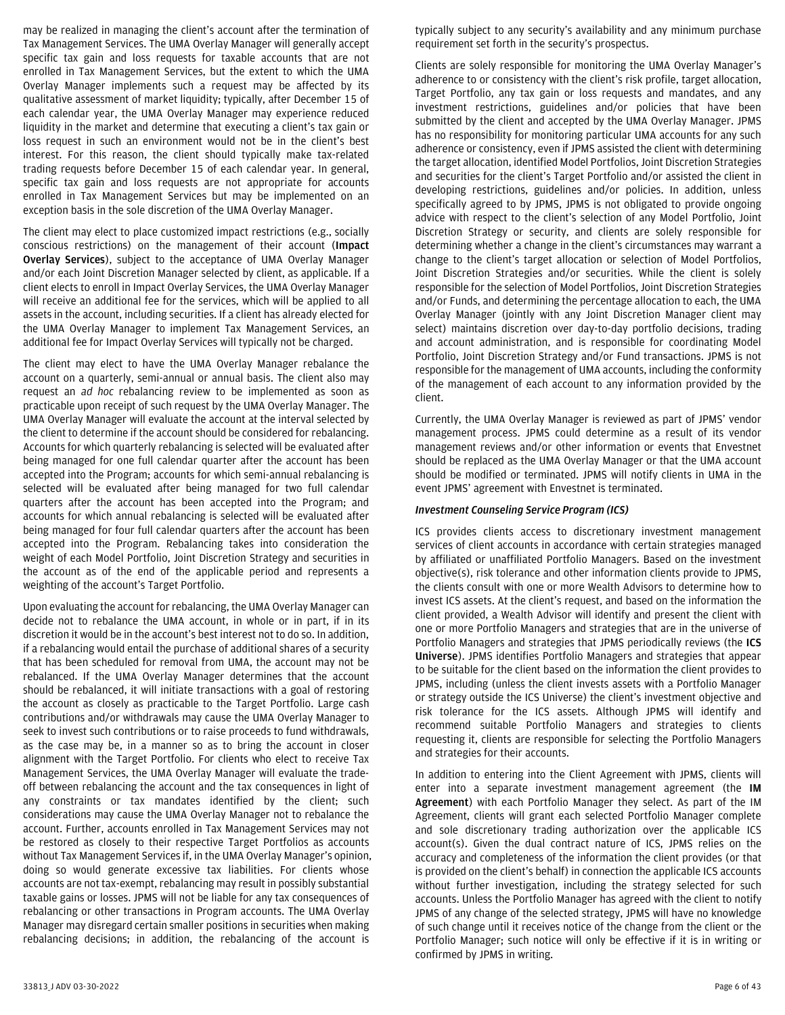may be realized in managing the client's account after the termination of Tax Management Services. The UMA Overlay Manager will generally accept specific tax gain and loss requests for taxable accounts that are not enrolled in Tax Management Services, but the extent to which the UMA Overlay Manager implements such a request may be affected by its qualitative assessment of market liquidity; typically, after December 15 of each calendar year, the UMA Overlay Manager may experience reduced liquidity in the market and determine that executing a client's tax gain or loss request in such an environment would not be in the client's best interest. For this reason, the client should typically make tax-related trading requests before December 15 of each calendar year. In general, specific tax gain and loss requests are not appropriate for accounts enrolled in Tax Management Services but may be implemented on an exception basis in the sole discretion of the UMA Overlay Manager.

The client may elect to place customized impact restrictions (e.g., socially conscious restrictions) on the management of their account (**Impact Overlay Services**), subject to the acceptance of UMA Overlay Manager and/or each Joint Discretion Manager selected by client, as applicable. If a client elects to enroll in Impact Overlay Services, the UMA Overlay Manager will receive an additional fee for the services, which will be applied to all assets in the account, including securities. If a client has already elected for the UMA Overlay Manager to implement Tax Management Services, an additional fee for Impact Overlay Services will typically not be charged.

The client may elect to have the UMA Overlay Manager rebalance the account on a quarterly, semi-annual or annual basis. The client also may request an *ad hoc* rebalancing review to be implemented as soon as practicable upon receipt of such request by the UMA Overlay Manager. The UMA Overlay Manager will evaluate the account at the interval selected by the client to determine if the account should be considered for rebalancing. Accounts for which quarterly rebalancing is selected will be evaluated after being managed for one full calendar quarter after the account has been accepted into the Program; accounts for which semi-annual rebalancing is selected will be evaluated after being managed for two full calendar quarters after the account has been accepted into the Program; and accounts for which annual rebalancing is selected will be evaluated after being managed for four full calendar quarters after the account has been accepted into the Program. Rebalancing takes into consideration the weight of each Model Portfolio, Joint Discretion Strategy and securities in the account as of the end of the applicable period and represents a weighting of the account's Target Portfolio.

Upon evaluating the account for rebalancing, the UMA Overlay Manager can decide not to rebalance the UMA account, in whole or in part, if in its discretion it would be in the account's best interest not to do so. In addition, if a rebalancing would entail the purchase of additional shares of a security that has been scheduled for removal from UMA, the account may not be rebalanced. If the UMA Overlay Manager determines that the account should be rebalanced, it will initiate transactions with a goal of restoring the account as closely as practicable to the Target Portfolio. Large cash contributions and/or withdrawals may cause the UMA Overlay Manager to seek to invest such contributions or to raise proceeds to fund withdrawals, as the case may be, in a manner so as to bring the account in closer alignment with the Target Portfolio. For clients who elect to receive Tax Management Services, the UMA Overlay Manager will evaluate the tradeoff between rebalancing the account and the tax consequences in light of any constraints or tax mandates identified by the client; such considerations may cause the UMA Overlay Manager not to rebalance the account. Further, accounts enrolled in Tax Management Services may not be restored as closely to their respective Target Portfolios as accounts without Tax Management Services if, in the UMA Overlay Manager's opinion, doing so would generate excessive tax liabilities. For clients whose accounts are not tax-exempt, rebalancing may result in possibly substantial taxable gains or losses. JPMS will not be liable for any tax consequences of rebalancing or other transactions in Program accounts. The UMA Overlay Manager may disregard certain smaller positions in securities when making rebalancing decisions; in addition, the rebalancing of the account is

typically subject to any security's availability and any minimum purchase requirement set forth in the security's prospectus.

Clients are solely responsible for monitoring the UMA Overlay Manager's adherence to or consistency with the client's risk profile, target allocation, Target Portfolio, any tax gain or loss requests and mandates, and any investment restrictions, guidelines and/or policies that have been submitted by the client and accepted by the UMA Overlay Manager. JPMS has no responsibility for monitoring particular UMA accounts for any such adherence or consistency, even if JPMS assisted the client with determining the target allocation, identified Model Portfolios, Joint Discretion Strategies and securities for the client's Target Portfolio and/or assisted the client in developing restrictions, guidelines and/or policies. In addition, unless specifically agreed to by JPMS, JPMS is not obligated to provide ongoing advice with respect to the client's selection of any Model Portfolio, Joint Discretion Strategy or security, and clients are solely responsible for determining whether a change in the client's circumstances may warrant a change to the client's target allocation or selection of Model Portfolios, Joint Discretion Strategies and/or securities. While the client is solely responsible for the selection of Model Portfolios, Joint Discretion Strategies and/or Funds, and determining the percentage allocation to each, the UMA Overlay Manager (jointly with any Joint Discretion Manager client may select) maintains discretion over day-to-day portfolio decisions, trading and account administration, and is responsible for coordinating Model Portfolio, Joint Discretion Strategy and/or Fund transactions. JPMS is not responsible for the management of UMA accounts, including the conformity of the management of each account to any information provided by the client.

Currently, the UMA Overlay Manager is reviewed as part of JPMS' vendor management process. JPMS could determine as a result of its vendor management reviews and/or other information or events that Envestnet should be replaced as the UMA Overlay Manager or that the UMA account should be modified or terminated. JPMS will notify clients in UMA in the event JPMS' agreement with Envestnet is terminated.

## *Investment Counseling Service Program (ICS)*

ICS provides clients access to discretionary investment management services of client accounts in accordance with certain strategies managed by affiliated or unaffiliated Portfolio Managers. Based on the investment objective(s), risk tolerance and other information clients provide to JPMS, the clients consult with one or more Wealth Advisors to determine how to invest ICS assets. At the client's request, and based on the information the client provided, a Wealth Advisor will identify and present the client with one or more Portfolio Managers and strategies that are in the universe of Portfolio Managers and strategies that JPMS periodically reviews (the **ICS Universe**). JPMS identifies Portfolio Managers and strategies that appear to be suitable for the client based on the information the client provides to JPMS, including (unless the client invests assets with a Portfolio Manager or strategy outside the ICS Universe) the client's investment objective and risk tolerance for the ICS assets. Although JPMS will identify and recommend suitable Portfolio Managers and strategies to clients requesting it, clients are responsible for selecting the Portfolio Managers and strategies for their accounts.

In addition to entering into the Client Agreement with JPMS, clients will enter into a separate investment management agreement (the **IM Agreement**) with each Portfolio Manager they select. As part of the IM Agreement, clients will grant each selected Portfolio Manager complete and sole discretionary trading authorization over the applicable ICS account(s). Given the dual contract nature of ICS, JPMS relies on the accuracy and completeness of the information the client provides (or that is provided on the client's behalf) in connection the applicable ICS accounts without further investigation, including the strategy selected for such accounts. Unless the Portfolio Manager has agreed with the client to notify JPMS of any change of the selected strategy, JPMS will have no knowledge of such change until it receives notice of the change from the client or the Portfolio Manager; such notice will only be effective if it is in writing or confirmed by JPMS in writing.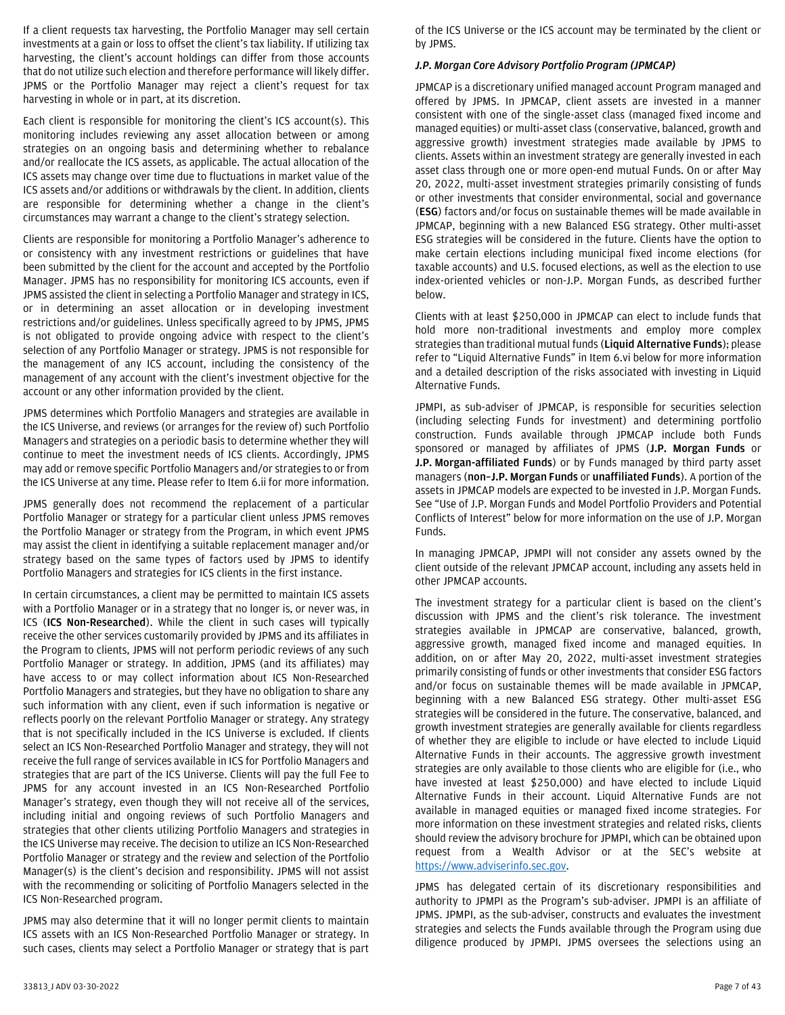If a client requests tax harvesting, the Portfolio Manager may sell certain investments at a gain or loss to offset the client's tax liability. If utilizing tax harvesting, the client's account holdings can differ from those accounts that do not utilize such election and therefore performance will likely differ. JPMS or the Portfolio Manager may reject a client's request for tax harvesting in whole or in part, at its discretion.

Each client is responsible for monitoring the client's ICS account(s). This monitoring includes reviewing any asset allocation between or among strategies on an ongoing basis and determining whether to rebalance and/or reallocate the ICS assets, as applicable. The actual allocation of the ICS assets may change over time due to fluctuations in market value of the ICS assets and/or additions or withdrawals by the client. In addition, clients are responsible for determining whether a change in the client's circumstances may warrant a change to the client's strategy selection.

Clients are responsible for monitoring a Portfolio Manager's adherence to or consistency with any investment restrictions or guidelines that have been submitted by the client for the account and accepted by the Portfolio Manager. JPMS has no responsibility for monitoring ICS accounts, even if JPMS assisted the client in selecting a Portfolio Manager and strategy in ICS, or in determining an asset allocation or in developing investment restrictions and/or guidelines. Unless specifically agreed to by JPMS, JPMS is not obligated to provide ongoing advice with respect to the client's selection of any Portfolio Manager or strategy. JPMS is not responsible for the management of any ICS account, including the consistency of the management of any account with the client's investment objective for the account or any other information provided by the client.

JPMS determines which Portfolio Managers and strategies are available in the ICS Universe, and reviews (or arranges for the review of) such Portfolio Managers and strategies on a periodic basis to determine whether they will continue to meet the investment needs of ICS clients. Accordingly, JPMS may add or remove specific Portfolio Managers and/or strategies to or from the ICS Universe at any time. Please refer to Item 6.ii for more information.

JPMS generally does not recommend the replacement of a particular Portfolio Manager or strategy for a particular client unless JPMS removes the Portfolio Manager or strategy from the Program, in which event JPMS may assist the client in identifying a suitable replacement manager and/or strategy based on the same types of factors used by JPMS to identify Portfolio Managers and strategies for ICS clients in the first instance.

In certain circumstances, a client may be permitted to maintain ICS assets with a Portfolio Manager or in a strategy that no longer is, or never was, in ICS (**ICS Non-Researched**). While the client in such cases will typically receive the other services customarily provided by JPMS and its affiliates in the Program to clients, JPMS will not perform periodic reviews of any such Portfolio Manager or strategy. In addition, JPMS (and its affiliates) may have access to or may collect information about ICS Non-Researched Portfolio Managers and strategies, but they have no obligation to share any such information with any client, even if such information is negative or reflects poorly on the relevant Portfolio Manager or strategy. Any strategy that is not specifically included in the ICS Universe is excluded. If clients select an ICS Non-Researched Portfolio Manager and strategy, they will not receive the full range of services available in ICS for Portfolio Managers and strategies that are part of the ICS Universe. Clients will pay the full Fee to JPMS for any account invested in an ICS Non-Researched Portfolio Manager's strategy, even though they will not receive all of the services, including initial and ongoing reviews of such Portfolio Managers and strategies that other clients utilizing Portfolio Managers and strategies in the ICS Universe may receive. The decision to utilize an ICS Non-Researched Portfolio Manager or strategy and the review and selection of the Portfolio Manager(s) is the client's decision and responsibility. JPMS will not assist with the recommending or soliciting of Portfolio Managers selected in the ICS Non-Researched program.

JPMS may also determine that it will no longer permit clients to maintain ICS assets with an ICS Non-Researched Portfolio Manager or strategy. In such cases, clients may select a Portfolio Manager or strategy that is part

of the ICS Universe or the ICS account may be terminated by the client or by JPMS.

#### *J.P. Morgan Core Advisory Portfolio Program (JPMCAP)*

JPMCAP is a discretionary unified managed account Program managed and offered by JPMS. In JPMCAP, client assets are invested in a manner consistent with one of the single-asset class (managed fixed income and managed equities) or multi-asset class (conservative, balanced, growth and aggressive growth) investment strategies made available by JPMS to clients. Assets within an investment strategy are generally invested in each asset class through one or more open-end mutual Funds. On or after May 20, 2022, multi-asset investment strategies primarily consisting of funds or other investments that consider environmental, social and governance (**ESG**) factors and/or focus on sustainable themes will be made available in JPMCAP, beginning with a new Balanced ESG strategy. Other multi-asset ESG strategies will be considered in the future. Clients have the option to make certain elections including municipal fixed income elections (for taxable accounts) and U.S. focused elections, as well as the election to use index-oriented vehicles or non-J.P. Morgan Funds, as described further below.

Clients with at least \$250,000 in JPMCAP can elect to include funds that hold more non-traditional investments and employ more complex strategies than traditional mutual funds (**Liquid Alternative Funds**); please refer to "Liquid Alternative Funds" in Item 6.vi below for more information and a detailed description of the risks associated with investing in Liquid Alternative Funds.

JPMPI, as sub-adviser of JPMCAP, is responsible for securities selection (including selecting Funds for investment) and determining portfolio construction. Funds available through JPMCAP include both Funds sponsored or managed by affiliates of JPMS (**J.P. Morgan Funds** or **J.P. Morgan-affiliated Funds**) or by Funds managed by third party asset managers (**non–J.P. Morgan Funds** or **unaffiliated Funds**). A portion of the assets in JPMCAP models are expected to be invested in J.P. Morgan Funds. See "Use of J.P. Morgan Funds and Model Portfolio Providers and Potential Conflicts of Interest" below for more information on the use of J.P. Morgan Funds.

In managing JPMCAP, JPMPI will not consider any assets owned by the client outside of the relevant JPMCAP account, including any assets held in other JPMCAP accounts.

The investment strategy for a particular client is based on the client's discussion with JPMS and the client's risk tolerance. The investment strategies available in JPMCAP are conservative, balanced, growth, aggressive growth, managed fixed income and managed equities. In addition, on or after May 20, 2022, multi-asset investment strategies primarily consisting of funds or other investments that consider ESG factors and/or focus on sustainable themes will be made available in JPMCAP, beginning with a new Balanced ESG strategy. Other multi-asset ESG strategies will be considered in the future. The conservative, balanced, and growth investment strategies are generally available for clients regardless of whether they are eligible to include or have elected to include Liquid Alternative Funds in their accounts. The aggressive growth investment strategies are only available to those clients who are eligible for (i.e., who have invested at least \$250,000) and have elected to include Liquid Alternative Funds in their account. Liquid Alternative Funds are not available in managed equities or managed fixed income strategies. For more information on these investment strategies and related risks, clients should review the advisory brochure for JPMPI, which can be obtained upon request from a Wealth Advisor or at the SEC's website at [https://www.adviserinfo.sec.gov.](https://www.adviserinfo.sec.gov/)

JPMS has delegated certain of its discretionary responsibilities and authority to JPMPI as the Program's sub-adviser. JPMPI is an affiliate of JPMS. JPMPI, as the sub-adviser, constructs and evaluates the investment strategies and selects the Funds available through the Program using due diligence produced by JPMPI. JPMS oversees the selections using an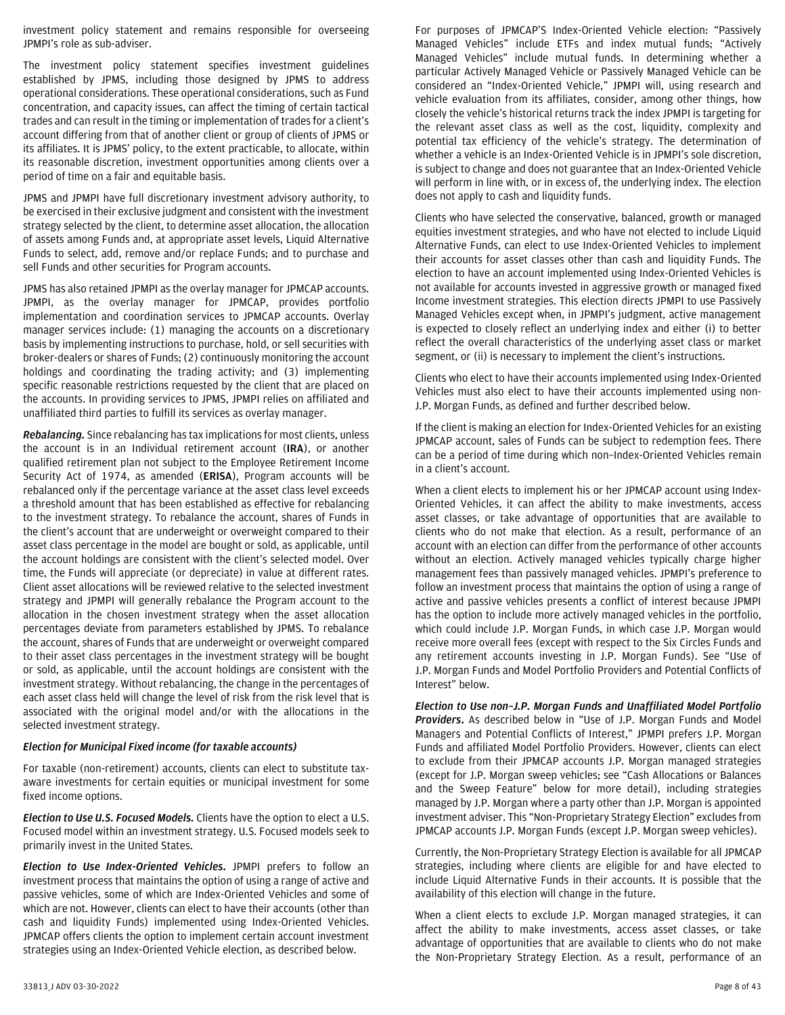investment policy statement and remains responsible for overseeing JPMPI's role as sub-adviser.

The investment policy statement specifies investment guidelines established by JPMS, including those designed by JPMS to address operational considerations. These operational considerations, such as Fund concentration, and capacity issues, can affect the timing of certain tactical trades and can result in the timing or implementation of trades for a client's account differing from that of another client or group of clients of JPMS or its affiliates. It is JPMS' policy, to the extent practicable, to allocate, within its reasonable discretion, investment opportunities among clients over a period of time on a fair and equitable basis.

JPMS and JPMPI have full discretionary investment advisory authority, to be exercised in their exclusive judgment and consistent with the investment strategy selected by the client, to determine asset allocation, the allocation of assets among Funds and, at appropriate asset levels, Liquid Alternative Funds to select, add, remove and/or replace Funds; and to purchase and sell Funds and other securities for Program accounts.

JPMS has also retained JPMPI as the overlay manager for JPMCAP accounts. JPMPI, as the overlay manager for JPMCAP, provides portfolio implementation and coordination services to JPMCAP accounts. Overlay manager services include: (1) managing the accounts on a discretionary basis by implementing instructions to purchase, hold, or sell securities with broker-dealers or shares of Funds; (2) continuously monitoring the account holdings and coordinating the trading activity; and (3) implementing specific reasonable restrictions requested by the client that are placed on the accounts. In providing services to JPMS, JPMPI relies on affiliated and unaffiliated third parties to fulfill its services as overlay manager.

*Rebalancing.* Since rebalancing has tax implications for most clients, unless the account is in an Individual retirement account (**IRA**), or another qualified retirement plan not subject to the Employee Retirement Income Security Act of 1974, as amended (**ERISA**), Program accounts will be rebalanced only if the percentage variance at the asset class level exceeds a threshold amount that has been established as effective for rebalancing to the investment strategy. To rebalance the account, shares of Funds in the client's account that are underweight or overweight compared to their asset class percentage in the model are bought or sold, as applicable, until the account holdings are consistent with the client's selected model. Over time, the Funds will appreciate (or depreciate) in value at different rates. Client asset allocations will be reviewed relative to the selected investment strategy and JPMPI will generally rebalance the Program account to the allocation in the chosen investment strategy when the asset allocation percentages deviate from parameters established by JPMS. To rebalance the account, shares of Funds that are underweight or overweight compared to their asset class percentages in the investment strategy will be bought or sold, as applicable, until the account holdings are consistent with the investment strategy. Without rebalancing, the change in the percentages of each asset class held will change the level of risk from the risk level that is associated with the original model and/or with the allocations in the selected investment strategy.

#### *Election for Municipal Fixed income (for taxable accounts)*

For taxable (non-retirement) accounts, clients can elect to substitute taxaware investments for certain equities or municipal investment for some fixed income options.

*Election to Use U.S. Focused Models.* Clients have the option to elect a U.S. Focused model within an investment strategy. U.S. Focused models seek to primarily invest in the United States.

*Election to Use Index-Oriented Vehicles***.** JPMPI prefers to follow an investment process that maintains the option of using a range of active and passive vehicles, some of which are Index-Oriented Vehicles and some of which are not. However, clients can elect to have their accounts (other than cash and liquidity Funds) implemented using Index-Oriented Vehicles. JPMCAP offers clients the option to implement certain account investment strategies using an Index-Oriented Vehicle election, as described below.

For purposes of JPMCAP'S Index-Oriented Vehicle election: "Passively Managed Vehicles" include ETFs and index mutual funds; "Actively Managed Vehicles" include mutual funds. In determining whether a particular Actively Managed Vehicle or Passively Managed Vehicle can be considered an "Index-Oriented Vehicle," JPMPI will, using research and vehicle evaluation from its affiliates, consider, among other things, how closely the vehicle's historical returns track the index JPMPI is targeting for the relevant asset class as well as the cost, liquidity, complexity and potential tax efficiency of the vehicle's strategy. The determination of whether a vehicle is an Index-Oriented Vehicle is in JPMPI's sole discretion, is subject to change and does not guarantee that an Index-Oriented Vehicle will perform in line with, or in excess of, the underlying index. The election does not apply to cash and liquidity funds.

Clients who have selected the conservative, balanced, growth or managed equities investment strategies, and who have not elected to include Liquid Alternative Funds, can elect to use Index-Oriented Vehicles to implement their accounts for asset classes other than cash and liquidity Funds. The election to have an account implemented using Index-Oriented Vehicles is not available for accounts invested in aggressive growth or managed fixed Income investment strategies. This election directs JPMPI to use Passively Managed Vehicles except when, in JPMPI's judgment, active management is expected to closely reflect an underlying index and either (i) to better reflect the overall characteristics of the underlying asset class or market segment, or (ii) is necessary to implement the client's instructions.

Clients who elect to have their accounts implemented using Index-Oriented Vehicles must also elect to have their accounts implemented using non-J.P. Morgan Funds, as defined and further described below.

If the client is making an election for Index-Oriented Vehicles for an existing JPMCAP account, sales of Funds can be subject to redemption fees. There can be a period of time during which non–Index-Oriented Vehicles remain in a client's account.

When a client elects to implement his or her JPMCAP account using Index-Oriented Vehicles, it can affect the ability to make investments, access asset classes, or take advantage of opportunities that are available to clients who do not make that election. As a result, performance of an account with an election can differ from the performance of other accounts without an election. Actively managed vehicles typically charge higher management fees than passively managed vehicles. JPMPI's preference to follow an investment process that maintains the option of using a range of active and passive vehicles presents a conflict of interest because JPMPI has the option to include more actively managed vehicles in the portfolio, which could include J.P. Morgan Funds, in which case J.P. Morgan would receive more overall fees (except with respect to the Six Circles Funds and any retirement accounts investing in J.P. Morgan Funds). See "Use of J.P. Morgan Funds and Model Portfolio Providers and Potential Conflicts of Interest" below.

*Election to Use non–J.P. Morgan Funds and Unaffiliated Model Portfolio Providers***.** As described below in "Use of J.P. Morgan Funds and Model Managers and Potential Conflicts of Interest," JPMPI prefers J.P. Morgan Funds and affiliated Model Portfolio Providers. However, clients can elect to exclude from their JPMCAP accounts J.P. Morgan managed strategies (except for J.P. Morgan sweep vehicles; see "Cash Allocations or Balances and the Sweep Feature" below for more detail), including strategies managed by J.P. Morgan where a party other than J.P. Morgan is appointed investment adviser. This "Non-Proprietary Strategy Election" excludes from JPMCAP accounts J.P. Morgan Funds (except J.P. Morgan sweep vehicles).

Currently, the Non-Proprietary Strategy Election is available for all JPMCAP strategies, including where clients are eligible for and have elected to include Liquid Alternative Funds in their accounts. It is possible that the availability of this election will change in the future.

When a client elects to exclude J.P. Morgan managed strategies, it can affect the ability to make investments, access asset classes, or take advantage of opportunities that are available to clients who do not make the Non-Proprietary Strategy Election. As a result, performance of an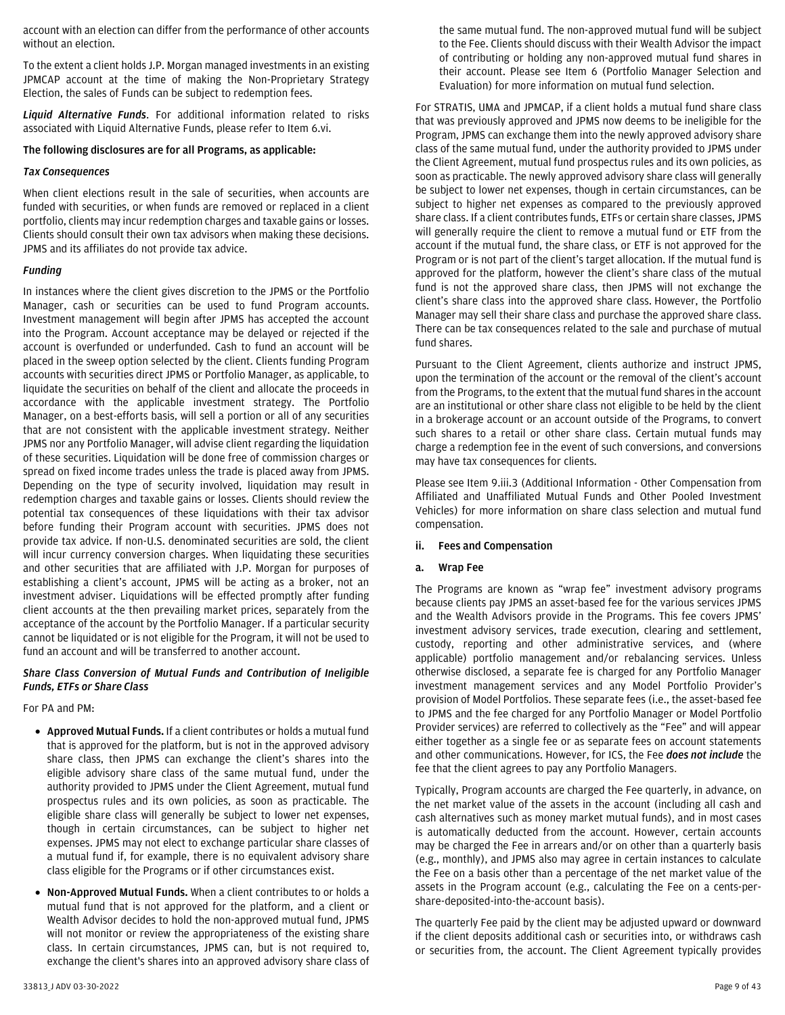account with an election can differ from the performance of other accounts without an election.

To the extent a client holds J.P. Morgan managed investments in an existing JPMCAP account at the time of making the Non-Proprietary Strategy Election, the sales of Funds can be subject to redemption fees.

*Liquid Alternative Funds*. For additional information related to risks associated with Liquid Alternative Funds, please refer to Item 6.vi.

## **The following disclosures are for all Programs, as applicable:**

## *Tax Consequences*

When client elections result in the sale of securities, when accounts are funded with securities, or when funds are removed or replaced in a client portfolio, clients may incur redemption charges and taxable gains or losses. Clients should consult their own tax advisors when making these decisions. JPMS and its affiliates do not provide tax advice.

## *Funding*

In instances where the client gives discretion to the JPMS or the Portfolio Manager, cash or securities can be used to fund Program accounts. Investment management will begin after JPMS has accepted the account into the Program. Account acceptance may be delayed or rejected if the account is overfunded or underfunded. Cash to fund an account will be placed in the sweep option selected by the client. Clients funding Program accounts with securities direct JPMS or Portfolio Manager, as applicable, to liquidate the securities on behalf of the client and allocate the proceeds in accordance with the applicable investment strategy. The Portfolio Manager, on a best-efforts basis, will sell a portion or all of any securities that are not consistent with the applicable investment strategy. Neither JPMS nor any Portfolio Manager, will advise client regarding the liquidation of these securities. Liquidation will be done free of commission charges or spread on fixed income trades unless the trade is placed away from JPMS. Depending on the type of security involved, liquidation may result in redemption charges and taxable gains or losses. Clients should review the potential tax consequences of these liquidations with their tax advisor before funding their Program account with securities. JPMS does not provide tax advice. If non-U.S. denominated securities are sold, the client will incur currency conversion charges. When liquidating these securities and other securities that are affiliated with J.P. Morgan for purposes of establishing a client's account, JPMS will be acting as a broker, not an investment adviser. Liquidations will be effected promptly after funding client accounts at the then prevailing market prices, separately from the acceptance of the account by the Portfolio Manager. If a particular security cannot be liquidated or is not eligible for the Program, it will not be used to fund an account and will be transferred to another account.

## *Share Class Conversion of Mutual Funds and Contribution of Ineligible Funds, ETFs or Share Class*

For PA and PM:

- **Approved Mutual Funds.** If a client contributes or holds a mutual fund that is approved for the platform, but is not in the approved advisory share class, then JPMS can exchange the client's shares into the eligible advisory share class of the same mutual fund, under the authority provided to JPMS under the Client Agreement, mutual fund prospectus rules and its own policies, as soon as practicable. The eligible share class will generally be subject to lower net expenses, though in certain circumstances, can be subject to higher net expenses. JPMS may not elect to exchange particular share classes of a mutual fund if, for example, there is no equivalent advisory share class eligible for the Programs or if other circumstances exist.
- **Non-Approved Mutual Funds.** When a client contributes to or holds a mutual fund that is not approved for the platform, and a client or Wealth Advisor decides to hold the non-approved mutual fund, JPMS will not monitor or review the appropriateness of the existing share class. In certain circumstances, JPMS can, but is not required to, exchange the client's shares into an approved advisory share class of

the same mutual fund. The non-approved mutual fund will be subject to the Fee. Clients should discuss with their Wealth Advisor the impact of contributing or holding any non-approved mutual fund shares in their account. Please see Item 6 (Portfolio Manager Selection and Evaluation) for more information on mutual fund selection.

For STRATIS, UMA and JPMCAP, if a client holds a mutual fund share class that was previously approved and JPMS now deems to be ineligible for the Program, JPMS can exchange them into the newly approved advisory share class of the same mutual fund, under the authority provided to JPMS under the Client Agreement, mutual fund prospectus rules and its own policies, as soon as practicable. The newly approved advisory share class will generally be subject to lower net expenses, though in certain circumstances, can be subject to higher net expenses as compared to the previously approved share class. If a client contributes funds, ETFs or certain share classes, JPMS will generally require the client to remove a mutual fund or ETF from the account if the mutual fund, the share class, or ETF is not approved for the Program or is not part of the client's target allocation. If the mutual fund is approved for the platform, however the client's share class of the mutual fund is not the approved share class, then JPMS will not exchange the client's share class into the approved share class. However, the Portfolio Manager may sell their share class and purchase the approved share class. There can be tax consequences related to the sale and purchase of mutual fund shares.

Pursuant to the Client Agreement, clients authorize and instruct JPMS, upon the termination of the account or the removal of the client's account from the Programs, to the extent that the mutual fund shares in the account are an institutional or other share class not eligible to be held by the client in a brokerage account or an account outside of the Programs, to convert such shares to a retail or other share class. Certain mutual funds may charge a redemption fee in the event of such conversions, and conversions may have tax consequences for clients.

Please see Item 9.iii.3 (Additional Information - Other Compensation from Affiliated and Unaffiliated Mutual Funds and Other Pooled Investment Vehicles) for more information on share class selection and mutual fund compensation.

<span id="page-8-0"></span>**ii. Fees and Compensation**

# **a. Wrap Fee**

The Programs are known as "wrap fee" investment advisory programs because clients pay JPMS an asset-based fee for the various services JPMS and the Wealth Advisors provide in the Programs. This fee covers JPMS' investment advisory services, trade execution, clearing and settlement, custody, reporting and other administrative services, and (where applicable) portfolio management and/or rebalancing services. Unless otherwise disclosed, a separate fee is charged for any Portfolio Manager investment management services and any Model Portfolio Provider's provision of Model Portfolios. These separate fees (i.e., the asset-based fee to JPMS and the fee charged for any Portfolio Manager or Model Portfolio Provider services) are referred to collectively as the "Fee" and will appear either together as a single fee or as separate fees on account statements and other communications. However, for ICS, the Fee *does not include* the fee that the client agrees to pay any Portfolio Managers.

Typically, Program accounts are charged the Fee quarterly, in advance, on the net market value of the assets in the account (including all cash and cash alternatives such as money market mutual funds), and in most cases is automatically deducted from the account. However, certain accounts may be charged the Fee in arrears and/or on other than a quarterly basis (e.g., monthly), and JPMS also may agree in certain instances to calculate the Fee on a basis other than a percentage of the net market value of the assets in the Program account (e.g., calculating the Fee on a cents-pershare-deposited-into-the-account basis).

The quarterly Fee paid by the client may be adjusted upward or downward if the client deposits additional cash or securities into, or withdraws cash or securities from, the account. The Client Agreement typically provides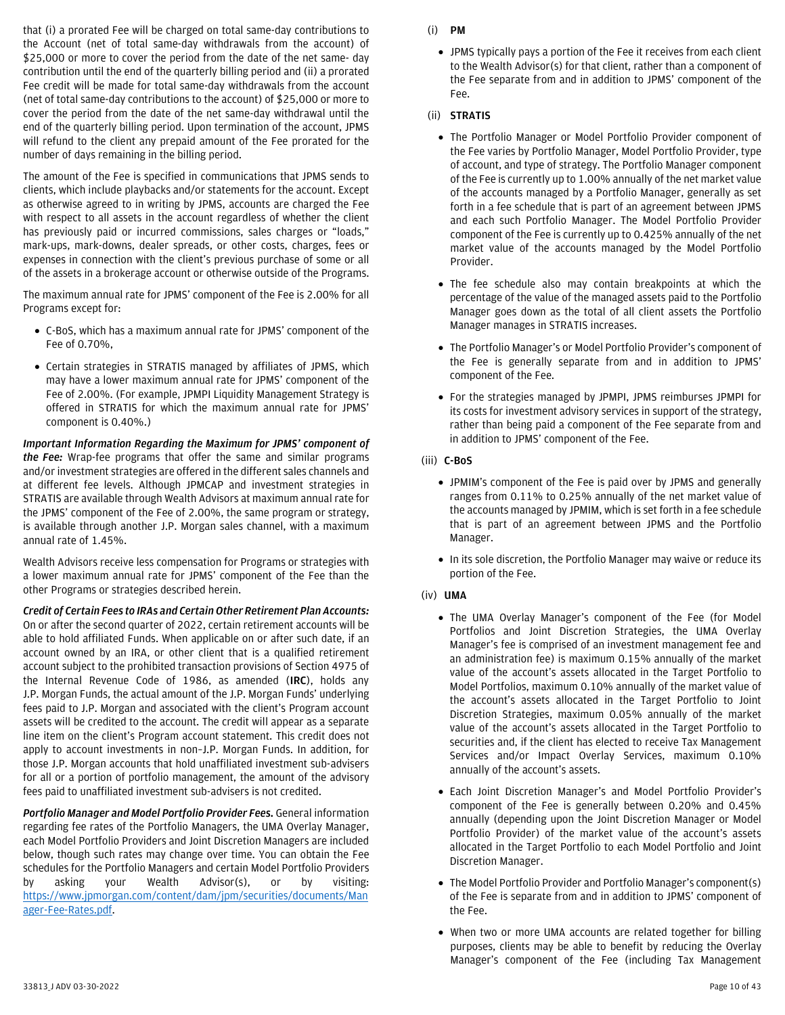that (i) a prorated Fee will be charged on total same-day contributions to the Account (net of total same-day withdrawals from the account) of \$25,000 or more to cover the period from the date of the net same- day contribution until the end of the quarterly billing period and (ii) a prorated Fee credit will be made for total same-day withdrawals from the account (net of total same-day contributions to the account) of \$25,000 or more to cover the period from the date of the net same-day withdrawal until the end of the quarterly billing period. Upon termination of the account, JPMS will refund to the client any prepaid amount of the Fee prorated for the number of days remaining in the billing period.

The amount of the Fee is specified in communications that JPMS sends to clients, which include playbacks and/or statements for the account. Except as otherwise agreed to in writing by JPMS, accounts are charged the Fee with respect to all assets in the account regardless of whether the client has previously paid or incurred commissions, sales charges or "loads," mark-ups, mark-downs, dealer spreads, or other costs, charges, fees or expenses in connection with the client's previous purchase of some or all of the assets in a brokerage account or otherwise outside of the Programs.

The maximum annual rate for JPMS' component of the Fee is 2.00% for all Programs except for:

- C-BoS, which has a maximum annual rate for JPMS' component of the Fee of 0.70%,
- Certain strategies in STRATIS managed by affiliates of JPMS, which may have a lower maximum annual rate for JPMS' component of the Fee of 2.00%. (For example, JPMPI Liquidity Management Strategy is offered in STRATIS for which the maximum annual rate for JPMS' component is 0.40%.)

*Important Information Regarding the Maximum for JPMS' component of the Fee:* Wrap-fee programs that offer the same and similar programs and/or investment strategies are offered in the different sales channels and at different fee levels. Although JPMCAP and investment strategies in STRATIS are available through Wealth Advisors at maximum annual rate for the JPMS' component of the Fee of 2.00%, the same program or strategy, is available through another J.P. Morgan sales channel, with a maximum annual rate of 1.45%.

Wealth Advisors receive less compensation for Programs or strategies with a lower maximum annual rate for JPMS' component of the Fee than the other Programs or strategies described herein.

*Credit of Certain Fees to IRAs and Certain Other Retirement Plan Accounts:*  On or after the second quarter of 2022, certain retirement accounts will be able to hold affiliated Funds. When applicable on or after such date, if an account owned by an IRA, or other client that is a qualified retirement account subject to the prohibited transaction provisions of Section 4975 of the Internal Revenue Code of 1986, as amended (**IRC**), holds any J.P. Morgan Funds, the actual amount of the J.P. Morgan Funds' underlying fees paid to J.P. Morgan and associated with the client's Program account assets will be credited to the account. The credit will appear as a separate line item on the client's Program account statement. This credit does not apply to account investments in non–J.P. Morgan Funds. In addition, for those J.P. Morgan accounts that hold unaffiliated investment sub-advisers for all or a portion of portfolio management, the amount of the advisory fees paid to unaffiliated investment sub-advisers is not credited.

*Portfolio Manager and Model Portfolio Provider Fees.* General information regarding fee rates of the Portfolio Managers, the UMA Overlay Manager, each Model Portfolio Providers and Joint Discretion Managers are included below, though such rates may change over time. You can obtain the Fee schedules for the Portfolio Managers and certain Model Portfolio Providers by asking your Wealth Advisor(s), or by visiting: [https://www.jpmorgan.com/content/dam/jpm/securities/documents/Man](https://www.jpmorgan.com/content/dam/jpm/securities/documents/Manager-Fee-Rates.pdf) [ager-Fee-Rates.pdf.](https://www.jpmorgan.com/content/dam/jpm/securities/documents/Manager-Fee-Rates.pdf)

- (i) **PM**
	- JPMS typically pays a portion of the Fee it receives from each client to the Wealth Advisor(s) for that client, rather than a component of the Fee separate from and in addition to JPMS' component of the Fee.
- (ii) **STRATIS**
	- The Portfolio Manager or Model Portfolio Provider component of the Fee varies by Portfolio Manager, Model Portfolio Provider, type of account, and type of strategy. The Portfolio Manager component of the Fee is currently up to 1.00% annually of the net market value of the accounts managed by a Portfolio Manager, generally as set forth in a fee schedule that is part of an agreement between JPMS and each such Portfolio Manager. The Model Portfolio Provider component of the Fee is currently up to 0.425% annually of the net market value of the accounts managed by the Model Portfolio Provider.
	- The fee schedule also may contain breakpoints at which the percentage of the value of the managed assets paid to the Portfolio Manager goes down as the total of all client assets the Portfolio Manager manages in STRATIS increases.
	- The Portfolio Manager's or Model Portfolio Provider's component of the Fee is generally separate from and in addition to JPMS' component of the Fee.
	- For the strategies managed by JPMPI, JPMS reimburses JPMPI for its costs for investment advisory services in support of the strategy, rather than being paid a component of the Fee separate from and in addition to JPMS' component of the Fee.
- (iii) **C-BoS**
	- JPMIM's component of the Fee is paid over by JPMS and generally ranges from 0.11% to 0.25% annually of the net market value of the accounts managed by JPMIM, which is set forth in a fee schedule that is part of an agreement between JPMS and the Portfolio Manager.
	- In its sole discretion, the Portfolio Manager may waive or reduce its portion of the Fee.
- (iv) **UMA**
	- The UMA Overlay Manager's component of the Fee (for Model Portfolios and Joint Discretion Strategies, the UMA Overlay Manager's fee is comprised of an investment management fee and an administration fee) is maximum 0.15% annually of the market value of the account's assets allocated in the Target Portfolio to Model Portfolios, maximum 0.10% annually of the market value of the account's assets allocated in the Target Portfolio to Joint Discretion Strategies, maximum 0.05% annually of the market value of the account's assets allocated in the Target Portfolio to securities and, if the client has elected to receive Tax Management Services and/or Impact Overlay Services, maximum 0.10% annually of the account's assets.
	- Each Joint Discretion Manager's and Model Portfolio Provider's component of the Fee is generally between 0.20% and 0.45% annually (depending upon the Joint Discretion Manager or Model Portfolio Provider) of the market value of the account's assets allocated in the Target Portfolio to each Model Portfolio and Joint Discretion Manager.
	- The Model Portfolio Provider and Portfolio Manager's component(s) of the Fee is separate from and in addition to JPMS' component of the Fee.
	- When two or more UMA accounts are related together for billing purposes, clients may be able to benefit by reducing the Overlay Manager's component of the Fee (including Tax Management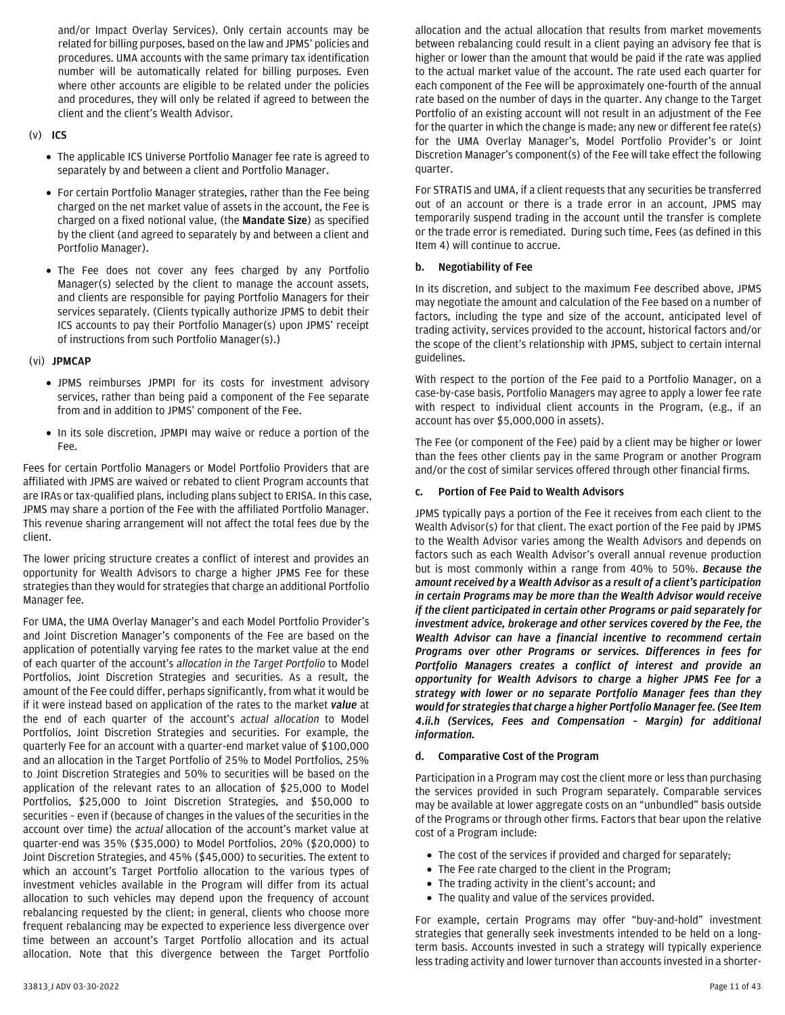and/or Impact Overlay Services). Only certain accounts may be related for billing purposes, based on the law and JPMS' policies and procedures. UMA accounts with the same primary tax identification number will be automatically related for billing purposes. Even where other accounts are eligible to be related under the policies and procedures, they will only be related if agreed to between the client and the client's Wealth Advisor.

## (v) **ICS**

- The applicable ICS Universe Portfolio Manager fee rate is agreed to separately by and between a client and Portfolio Manager.
- For certain Portfolio Manager strategies, rather than the Fee being charged on the net market value of assets in the account, the Fee is charged on a fixed notional value, (the **Mandate Size**) as specified by the client (and agreed to separately by and between a client and Portfolio Manager).
- The Fee does not cover any fees charged by any Portfolio Manager(s) selected by the client to manage the account assets, and clients are responsible for paying Portfolio Managers for their services separately. (Clients typically authorize JPMS to debit their ICS accounts to pay their Portfolio Manager(s) upon JPMS' receipt of instructions from such Portfolio Manager(s).)

## (vi) **JPMCAP**

- JPMS reimburses JPMPI for its costs for investment advisory services, rather than being paid a component of the Fee separate from and in addition to JPMS' component of the Fee.
- In its sole discretion, JPMPI may waive or reduce a portion of the Fee.

Fees for certain Portfolio Managers or Model Portfolio Providers that are affiliated with JPMS are waived or rebated to client Program accounts that are IRAs or tax-qualified plans, including plans subject to ERISA. In this case, JPMS may share a portion of the Fee with the affiliated Portfolio Manager. This revenue sharing arrangement will not affect the total fees due by the client.

The lower pricing structure creates a conflict of interest and provides an opportunity for Wealth Advisors to charge a higher JPMS Fee for these strategies than they would for strategies that charge an additional Portfolio Manager fee.

For UMA, the UMA Overlay Manager's and each Model Portfolio Provider's and Joint Discretion Manager's components of the Fee are based on the application of potentially varying fee rates to the market value at the end of each quarter of the account's *allocation in the Target Portfolio* to Model Portfolios, Joint Discretion Strategies and securities. As a result, the amount of the Fee could differ, perhaps significantly, from what it would be if it were instead based on application of the rates to the market *value* at the end of each quarter of the account's *actual allocation* to Model Portfolios, Joint Discretion Strategies and securities. For example, the quarterly Fee for an account with a quarter-end market value of \$100,000 and an allocation in the Target Portfolio of 25% to Model Portfolios, 25% to Joint Discretion Strategies and 50% to securities will be based on the application of the relevant rates to an allocation of \$25,000 to Model Portfolios, \$25,000 to Joint Discretion Strategies, and \$50,000 to securities – even if (because of changes in the values of the securities in the account over time) the *actual* allocation of the account's market value at quarter-end was 35% (\$35,000) to Model Portfolios, 20% (\$20,000) to Joint Discretion Strategies, and 45% (\$45,000) to securities. The extent to which an account's Target Portfolio allocation to the various types of investment vehicles available in the Program will differ from its actual allocation to such vehicles may depend upon the frequency of account rebalancing requested by the client; in general, clients who choose more frequent rebalancing may be expected to experience less divergence over time between an account's Target Portfolio allocation and its actual allocation. Note that this divergence between the Target Portfolio

allocation and the actual allocation that results from market movements between rebalancing could result in a client paying an advisory fee that is higher or lower than the amount that would be paid if the rate was applied to the actual market value of the account. The rate used each quarter for each component of the Fee will be approximately one-fourth of the annual rate based on the number of days in the quarter. Any change to the Target Portfolio of an existing account will not result in an adjustment of the Fee for the quarter in which the change is made; any new or different fee rate(s) for the UMA Overlay Manager's, Model Portfolio Provider's or Joint Discretion Manager's component(s) of the Fee will take effect the following quarter.

For STRATIS and UMA, if a client requests that any securities be transferred out of an account or there is a trade error in an account, JPMS may temporarily suspend trading in the account until the transfer is complete or the trade error is remediated. During such time, Fees (as defined in this Item 4) will continue to accrue.

## **b. Negotiability of Fee**

In its discretion, and subject to the maximum Fee described above, JPMS may negotiate the amount and calculation of the Fee based on a number of factors, including the type and size of the account, anticipated level of trading activity, services provided to the account, historical factors and/or the scope of the client's relationship with JPMS, subject to certain internal guidelines.

With respect to the portion of the Fee paid to a Portfolio Manager, on a case-by-case basis, Portfolio Managers may agree to apply a lower fee rate with respect to individual client accounts in the Program, (e.g., if an account has over \$5,000,000 in assets).

The Fee (or component of the Fee) paid by a client may be higher or lower than the fees other clients pay in the same Program or another Program and/or the cost of similar services offered through other financial firms.

# **c. Portion of Fee Paid to Wealth Advisors**

JPMS typically pays a portion of the Fee it receives from each client to the Wealth Advisor(s) for that client. The exact portion of the Fee paid by JPMS to the Wealth Advisor varies among the Wealth Advisors and depends on factors such as each Wealth Advisor's overall annual revenue production but is most commonly within a range from 40% to 50%. *Because the amount received by a Wealth Advisor as a result of a client's participation in certain Programs may be more than the Wealth Advisor would receive if the client participated in certain other Programs or paid separately for investment advice, brokerage and other services covered by the Fee, the Wealth Advisor can have a financial incentive to recommend certain Programs over other Programs or services. Differences in fees for Portfolio Managers creates a conflict of interest and provide an opportunity for Wealth Advisors to charge a higher JPMS Fee for a strategy with lower or no separate Portfolio Manager fees than they would for strategies that charge a higher Portfolio Manager fee.(See Item 4.ii.h (Services, Fees and Compensation – Margin) for additional information.*

# **d. Comparative Cost of the Program**

Participation in a Program may cost the client more or less than purchasing the services provided in such Program separately. Comparable services may be available at lower aggregate costs on an "unbundled" basis outside of the Programs or through other firms. Factors that bear upon the relative cost of a Program include:

- The cost of the services if provided and charged for separately;
- The Fee rate charged to the client in the Program;
- The trading activity in the client's account; and
- The quality and value of the services provided.

For example, certain Programs may offer "buy-and-hold" investment strategies that generally seek investments intended to be held on a longterm basis. Accounts invested in such a strategy will typically experience less trading activity and lower turnover than accounts invested in a shorter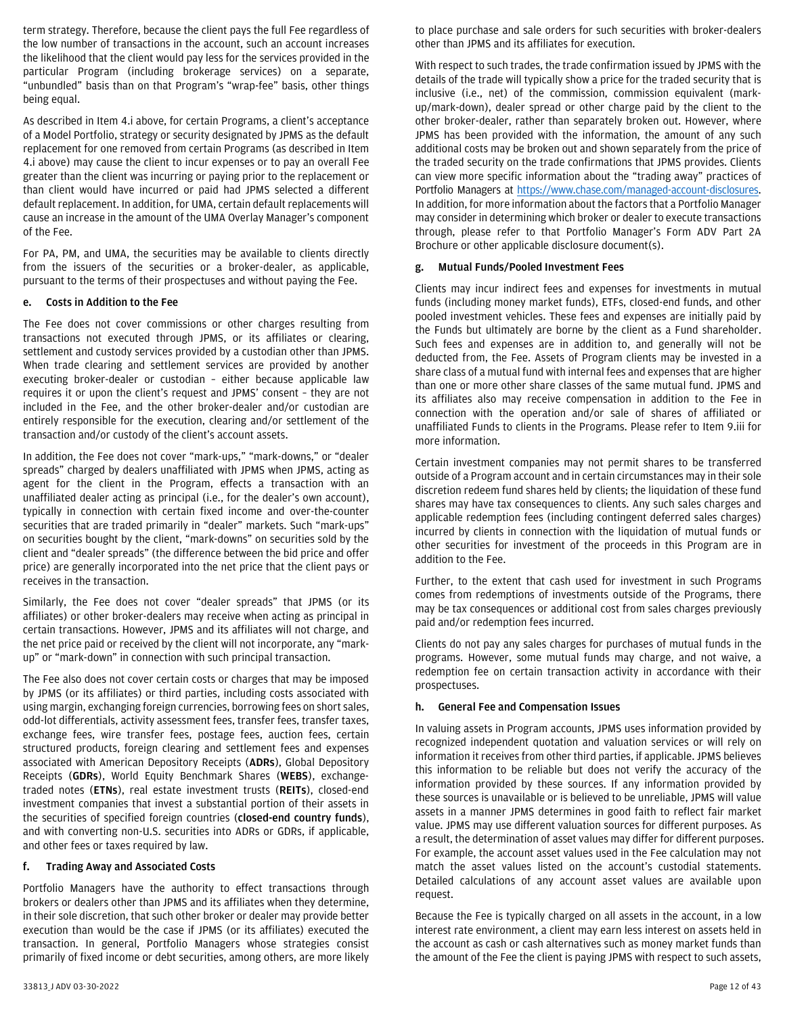term strategy. Therefore, because the client pays the full Fee regardless of the low number of transactions in the account, such an account increases the likelihood that the client would pay less for the services provided in the particular Program (including brokerage services) on a separate, "unbundled" basis than on that Program's "wrap-fee" basis, other things being equal.

As described in Item 4.i above, for certain Programs, a client's acceptance of a Model Portfolio, strategy or security designated by JPMS as the default replacement for one removed from certain Programs (as described in Item 4.i above) may cause the client to incur expenses or to pay an overall Fee greater than the client was incurring or paying prior to the replacement or than client would have incurred or paid had JPMS selected a different default replacement. In addition, for UMA, certain default replacements will cause an increase in the amount of the UMA Overlay Manager's component of the Fee.

For PA, PM, and UMA, the securities may be available to clients directly from the issuers of the securities or a broker-dealer, as applicable, pursuant to the terms of their prospectuses and without paying the Fee.

#### **e. Costs in Addition to the Fee**

The Fee does not cover commissions or other charges resulting from transactions not executed through JPMS, or its affiliates or clearing, settlement and custody services provided by a custodian other than JPMS. When trade clearing and settlement services are provided by another executing broker-dealer or custodian – either because applicable law requires it or upon the client's request and JPMS' consent – they are not included in the Fee, and the other broker-dealer and/or custodian are entirely responsible for the execution, clearing and/or settlement of the transaction and/or custody of the client's account assets.

In addition, the Fee does not cover "mark-ups," "mark-downs," or "dealer spreads" charged by dealers unaffiliated with JPMS when JPMS, acting as agent for the client in the Program, effects a transaction with an unaffiliated dealer acting as principal (i.e., for the dealer's own account), typically in connection with certain fixed income and over-the-counter securities that are traded primarily in "dealer" markets. Such "mark-ups" on securities bought by the client, "mark-downs" on securities sold by the client and "dealer spreads" (the difference between the bid price and offer price) are generally incorporated into the net price that the client pays or receives in the transaction.

Similarly, the Fee does not cover "dealer spreads" that JPMS (or its affiliates) or other broker-dealers may receive when acting as principal in certain transactions. However, JPMS and its affiliates will not charge, and the net price paid or received by the client will not incorporate, any "markup" or "mark-down" in connection with such principal transaction.

The Fee also does not cover certain costs or charges that may be imposed by JPMS (or its affiliates) or third parties, including costs associated with using margin, exchanging foreign currencies, borrowing fees on short sales, odd-lot differentials, activity assessment fees, transfer fees, transfer taxes, exchange fees, wire transfer fees, postage fees, auction fees, certain structured products, foreign clearing and settlement fees and expenses associated with American Depository Receipts (**ADRs**), Global Depository Receipts (**GDRs**), World Equity Benchmark Shares (**WEBS**), exchangetraded notes (**ETNs**), real estate investment trusts (**REITs**), closed-end investment companies that invest a substantial portion of their assets in the securities of specified foreign countries (**closed-end country funds**), and with converting non-U.S. securities into ADRs or GDRs, if applicable, and other fees or taxes required by law.

#### **f. Trading Away and Associated Costs**

Portfolio Managers have the authority to effect transactions through brokers or dealers other than JPMS and its affiliates when they determine, in their sole discretion, that such other broker or dealer may provide better execution than would be the case if JPMS (or its affiliates) executed the transaction. In general, Portfolio Managers whose strategies consist primarily of fixed income or debt securities, among others, are more likely to place purchase and sale orders for such securities with broker-dealers other than JPMS and its affiliates for execution.

With respect to such trades, the trade confirmation issued by JPMS with the details of the trade will typically show a price for the traded security that is inclusive (i.e., net) of the commission, commission equivalent (markup/mark-down), dealer spread or other charge paid by the client to the other broker-dealer, rather than separately broken out. However, where JPMS has been provided with the information, the amount of any such additional costs may be broken out and shown separately from the price of the traded security on the trade confirmations that JPMS provides. Clients can view more specific information about the "trading away" practices of Portfolio Managers at [https://www.chase.com/managed-account-disclosures.](https://www.chase.com/managed-account-disclosures) In addition, for more information about the factors that a Portfolio Manager may consider in determining which broker or dealer to execute transactions through, please refer to that Portfolio Manager's Form ADV Part 2A Brochure or other applicable disclosure document(s).

#### **g. Mutual Funds/Pooled Investment Fees**

Clients may incur indirect fees and expenses for investments in mutual funds (including money market funds), ETFs, closed-end funds, and other pooled investment vehicles. These fees and expenses are initially paid by the Funds but ultimately are borne by the client as a Fund shareholder. Such fees and expenses are in addition to, and generally will not be deducted from, the Fee. Assets of Program clients may be invested in a share class of a mutual fund with internal fees and expenses that are higher than one or more other share classes of the same mutual fund. JPMS and its affiliates also may receive compensation in addition to the Fee in connection with the operation and/or sale of shares of affiliated or unaffiliated Funds to clients in the Programs. Please refer to Item 9.iii for more information.

Certain investment companies may not permit shares to be transferred outside of a Program account and in certain circumstances may in their sole discretion redeem fund shares held by clients; the liquidation of these fund shares may have tax consequences to clients. Any such sales charges and applicable redemption fees (including contingent deferred sales charges) incurred by clients in connection with the liquidation of mutual funds or other securities for investment of the proceeds in this Program are in addition to the Fee.

Further, to the extent that cash used for investment in such Programs comes from redemptions of investments outside of the Programs, there may be tax consequences or additional cost from sales charges previously paid and/or redemption fees incurred.

Clients do not pay any sales charges for purchases of mutual funds in the programs. However, some mutual funds may charge, and not waive, a redemption fee on certain transaction activity in accordance with their prospectuses.

## **h. General Fee and Compensation Issues**

In valuing assets in Program accounts, JPMS uses information provided by recognized independent quotation and valuation services or will rely on information it receives from other third parties, if applicable. JPMS believes this information to be reliable but does not verify the accuracy of the information provided by these sources. If any information provided by these sources is unavailable or is believed to be unreliable, JPMS will value assets in a manner JPMS determines in good faith to reflect fair market value. JPMS may use different valuation sources for different purposes. As a result, the determination of asset values may differ for different purposes. For example, the account asset values used in the Fee calculation may not match the asset values listed on the account's custodial statements. Detailed calculations of any account asset values are available upon request.

Because the Fee is typically charged on all assets in the account, in a low interest rate environment, a client may earn less interest on assets held in the account as cash or cash alternatives such as money market funds than the amount of the Fee the client is paying JPMS with respect to such assets,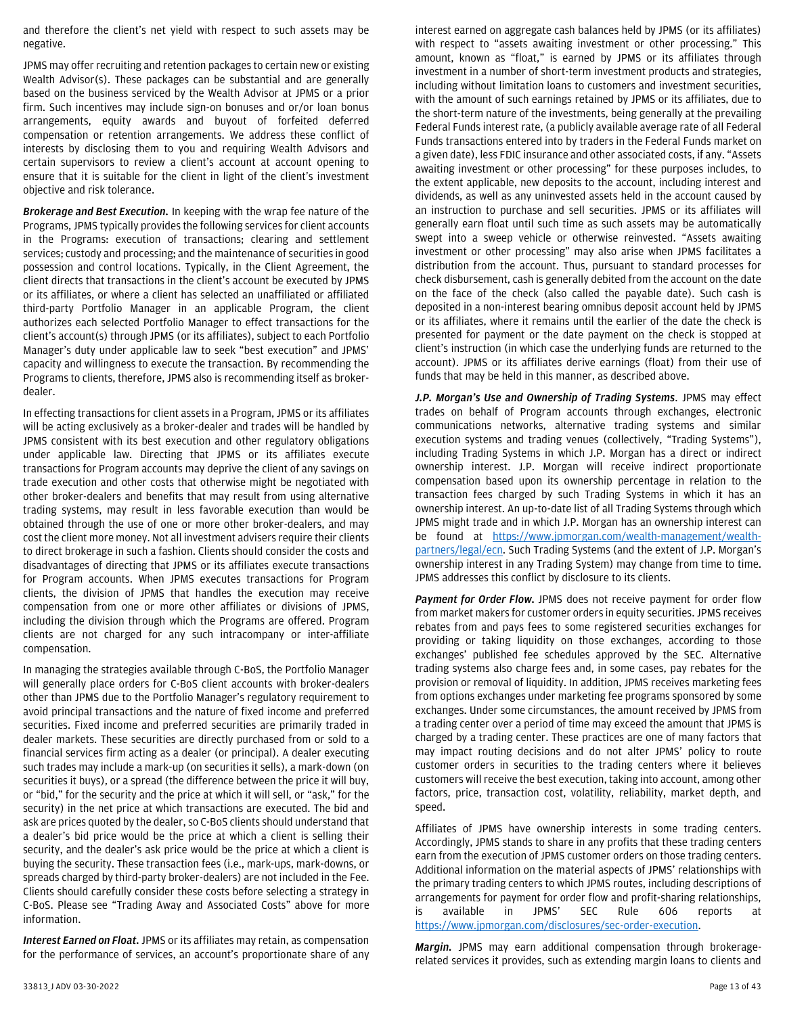and therefore the client's net yield with respect to such assets may be negative.

JPMS may offer recruiting and retention packages to certain new or existing Wealth Advisor(s). These packages can be substantial and are generally based on the business serviced by the Wealth Advisor at JPMS or a prior firm. Such incentives may include sign-on bonuses and or/or loan bonus arrangements, equity awards and buyout of forfeited deferred compensation or retention arrangements. We address these conflict of interests by disclosing them to you and requiring Wealth Advisors and certain supervisors to review a client's account at account opening to ensure that it is suitable for the client in light of the client's investment objective and risk tolerance.

*Brokerage and Best Execution.* In keeping with the wrap fee nature of the Programs, JPMS typically provides the following services for client accounts in the Programs: execution of transactions; clearing and settlement services; custody and processing; and the maintenance of securities in good possession and control locations. Typically, in the Client Agreement, the client directs that transactions in the client's account be executed by JPMS or its affiliates, or where a client has selected an unaffiliated or affiliated third-party Portfolio Manager in an applicable Program, the client authorizes each selected Portfolio Manager to effect transactions for the client's account(s) through JPMS (or its affiliates), subject to each Portfolio Manager's duty under applicable law to seek "best execution" and JPMS' capacity and willingness to execute the transaction. By recommending the Programs to clients, therefore, JPMS also is recommending itself as brokerdealer.

In effecting transactions for client assets in a Program, JPMS or its affiliates will be acting exclusively as a broker-dealer and trades will be handled by JPMS consistent with its best execution and other regulatory obligations under applicable law. Directing that JPMS or its affiliates execute transactions for Program accounts may deprive the client of any savings on trade execution and other costs that otherwise might be negotiated with other broker-dealers and benefits that may result from using alternative trading systems, may result in less favorable execution than would be obtained through the use of one or more other broker-dealers, and may cost the client more money. Not all investment advisers require their clients to direct brokerage in such a fashion. Clients should consider the costs and disadvantages of directing that JPMS or its affiliates execute transactions for Program accounts. When JPMS executes transactions for Program clients, the division of JPMS that handles the execution may receive compensation from one or more other affiliates or divisions of JPMS, including the division through which the Programs are offered. Program clients are not charged for any such intracompany or inter-affiliate compensation.

In managing the strategies available through C-BoS, the Portfolio Manager will generally place orders for C-BoS client accounts with broker-dealers other than JPMS due to the Portfolio Manager's regulatory requirement to avoid principal transactions and the nature of fixed income and preferred securities. Fixed income and preferred securities are primarily traded in dealer markets. These securities are directly purchased from or sold to a financial services firm acting as a dealer (or principal). A dealer executing such trades may include a mark-up (on securities it sells), a mark-down (on securities it buys), or a spread (the difference between the price it will buy, or "bid," for the security and the price at which it will sell, or "ask," for the security) in the net price at which transactions are executed. The bid and ask are prices quoted by the dealer, so C-BoS clients should understand that a dealer's bid price would be the price at which a client is selling their security, and the dealer's ask price would be the price at which a client is buying the security. These transaction fees (i.e., mark-ups, mark-downs, or spreads charged by third-party broker-dealers) are not included in the Fee. Clients should carefully consider these costs before selecting a strategy in C-BoS. Please see "Trading Away and Associated Costs" above for more information.

*Interest Earned on Float.* JPMS or its affiliates may retain, as compensation for the performance of services, an account's proportionate share of any

interest earned on aggregate cash balances held by JPMS (or its affiliates) with respect to "assets awaiting investment or other processing." This amount, known as "float," is earned by JPMS or its affiliates through investment in a number of short-term investment products and strategies, including without limitation loans to customers and investment securities, with the amount of such earnings retained by JPMS or its affiliates, due to the short-term nature of the investments, being generally at the prevailing Federal Funds interest rate, (a publicly available average rate of all Federal Funds transactions entered into by traders in the Federal Funds market on a given date), less FDIC insurance and other associated costs, if any. "Assets awaiting investment or other processing" for these purposes includes, to the extent applicable, new deposits to the account, including interest and dividends, as well as any uninvested assets held in the account caused by an instruction to purchase and sell securities. JPMS or its affiliates will generally earn float until such time as such assets may be automatically swept into a sweep vehicle or otherwise reinvested. "Assets awaiting investment or other processing" may also arise when JPMS facilitates a distribution from the account. Thus, pursuant to standard processes for check disbursement, cash is generally debited from the account on the date on the face of the check (also called the payable date). Such cash is deposited in a non-interest bearing omnibus deposit account held by JPMS or its affiliates, where it remains until the earlier of the date the check is presented for payment or the date payment on the check is stopped at client's instruction (in which case the underlying funds are returned to the account). JPMS or its affiliates derive earnings (float) from their use of funds that may be held in this manner, as described above.

*J.P. Morgan's Use and Ownership of Trading Systems*. JPMS may effect trades on behalf of Program accounts through exchanges, electronic communications networks, alternative trading systems and similar execution systems and trading venues (collectively, "Trading Systems"), including Trading Systems in which J.P. Morgan has a direct or indirect ownership interest. J.P. Morgan will receive indirect proportionate compensation based upon its ownership percentage in relation to the transaction fees charged by such Trading Systems in which it has an ownership interest. An up-to-date list of all Trading Systems through which JPMS might trade and in which J.P. Morgan has an ownership interest can be found at [https://www.jpmorgan.com/wealth-management/wealth](https://www.jpmorgan.com/wealth-management/wealth-partners/legal/ecn)[partners/legal/ecn.](https://www.jpmorgan.com/wealth-management/wealth-partners/legal/ecn) Such Trading Systems (and the extent of J.P. Morgan's ownership interest in any Trading System) may change from time to time. JPMS addresses this conflict by disclosure to its clients.

Payment for Order Flow. JPMS does not receive payment for order flow from market makers for customer orders in equity securities. JPMS receives rebates from and pays fees to some registered securities exchanges for providing or taking liquidity on those exchanges, according to those exchanges' published fee schedules approved by the SEC. Alternative trading systems also charge fees and, in some cases, pay rebates for the provision or removal of liquidity. In addition, JPMS receives marketing fees from options exchanges under marketing fee programs sponsored by some exchanges. Under some circumstances, the amount received by JPMS from a trading center over a period of time may exceed the amount that JPMS is charged by a trading center. These practices are one of many factors that may impact routing decisions and do not alter JPMS' policy to route customer orders in securities to the trading centers where it believes customers will receive the best execution, taking into account, among other factors, price, transaction cost, volatility, reliability, market depth, and speed.

Affiliates of JPMS have ownership interests in some trading centers. Accordingly, JPMS stands to share in any profits that these trading centers earn from the execution of JPMS customer orders on those trading centers. Additional information on the material aspects of JPMS' relationships with the primary trading centers to which JPMS routes, including descriptions of arrangements for payment for order flow and profit-sharing relationships, is available in JPMS' SEC Rule 606 reports at [https://www.jpmorgan.com/disclosures/sec-order-execution.](https://www.jpmorgan.com/disclosures/sec-order-execution)

*Margin.* JPMS may earn additional compensation through brokeragerelated services it provides, such as extending margin loans to clients and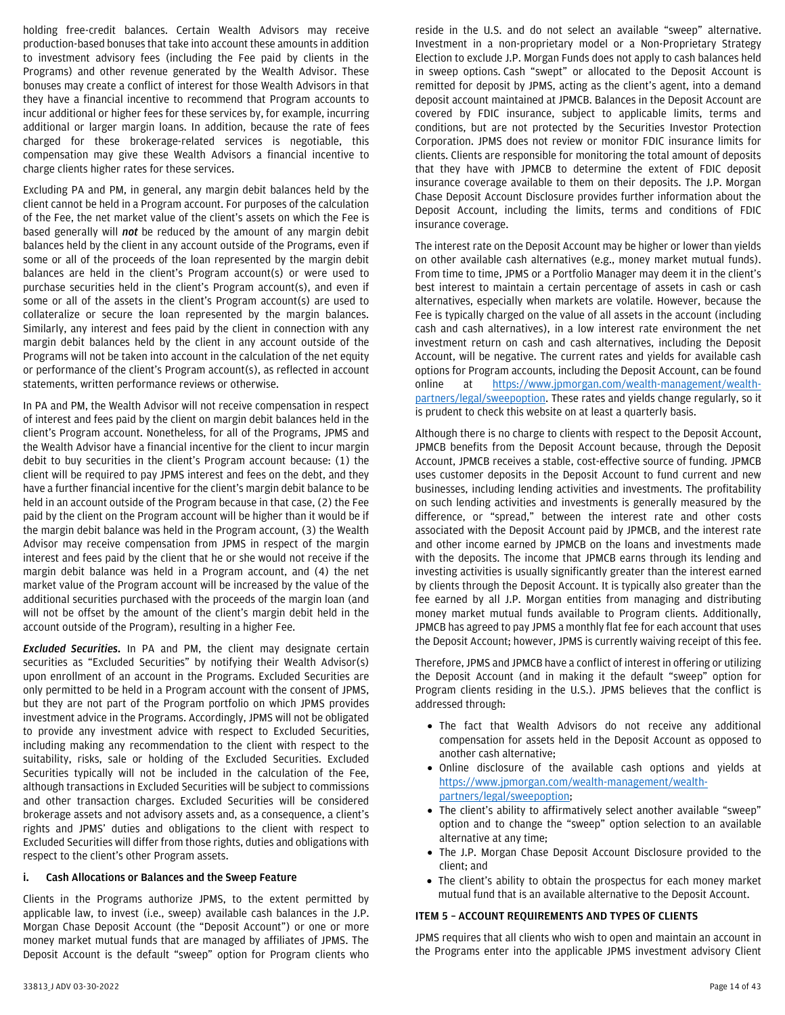holding free-credit balances. Certain Wealth Advisors may receive production-based bonuses that take into account these amounts in addition to investment advisory fees (including the Fee paid by clients in the Programs) and other revenue generated by the Wealth Advisor. These bonuses may create a conflict of interest for those Wealth Advisors in that they have a financial incentive to recommend that Program accounts to incur additional or higher fees for these services by, for example, incurring additional or larger margin loans. In addition, because the rate of fees charged for these brokerage-related services is negotiable, this compensation may give these Wealth Advisors a financial incentive to charge clients higher rates for these services.

Excluding PA and PM, in general, any margin debit balances held by the client cannot be held in a Program account. For purposes of the calculation of the Fee, the net market value of the client's assets on which the Fee is based generally will *not* be reduced by the amount of any margin debit balances held by the client in any account outside of the Programs, even if some or all of the proceeds of the loan represented by the margin debit balances are held in the client's Program account(s) or were used to purchase securities held in the client's Program account(s), and even if some or all of the assets in the client's Program account(s) are used to collateralize or secure the loan represented by the margin balances. Similarly, any interest and fees paid by the client in connection with any margin debit balances held by the client in any account outside of the Programs will not be taken into account in the calculation of the net equity or performance of the client's Program account(s), as reflected in account statements, written performance reviews or otherwise.

In PA and PM, the Wealth Advisor will not receive compensation in respect of interest and fees paid by the client on margin debit balances held in the client's Program account. Nonetheless, for all of the Programs, JPMS and the Wealth Advisor have a financial incentive for the client to incur margin debit to buy securities in the client's Program account because: (1) the client will be required to pay JPMS interest and fees on the debt, and they have a further financial incentive for the client's margin debit balance to be held in an account outside of the Program because in that case, (2) the Fee paid by the client on the Program account will be higher than it would be if the margin debit balance was held in the Program account, (3) the Wealth Advisor may receive compensation from JPMS in respect of the margin interest and fees paid by the client that he or she would not receive if the margin debit balance was held in a Program account, and (4) the net market value of the Program account will be increased by the value of the additional securities purchased with the proceeds of the margin loan (and will not be offset by the amount of the client's margin debit held in the account outside of the Program), resulting in a higher Fee.

*Excluded Securities.* In PA and PM, the client may designate certain securities as "Excluded Securities" by notifying their Wealth Advisor(s) upon enrollment of an account in the Programs. Excluded Securities are only permitted to be held in a Program account with the consent of JPMS, but they are not part of the Program portfolio on which JPMS provides investment advice in the Programs. Accordingly, JPMS will not be obligated to provide any investment advice with respect to Excluded Securities, including making any recommendation to the client with respect to the suitability, risks, sale or holding of the Excluded Securities. Excluded Securities typically will not be included in the calculation of the Fee, although transactions in Excluded Securities will be subject to commissions and other transaction charges. Excluded Securities will be considered brokerage assets and not advisory assets and, as a consequence, a client's rights and JPMS' duties and obligations to the client with respect to Excluded Securities will differ from those rights, duties and obligations with respect to the client's other Program assets.

#### **i. Cash Allocations or Balances and the Sweep Feature**

Clients in the Programs authorize JPMS, to the extent permitted by applicable law, to invest (i.e., sweep) available cash balances in the J.P. Morgan Chase Deposit Account (the "Deposit Account") or one or more money market mutual funds that are managed by affiliates of JPMS. The Deposit Account is the default "sweep" option for Program clients who

reside in the U.S. and do not select an available "sweep" alternative. Investment in a non-proprietary model or a Non-Proprietary Strategy Election to exclude J.P. Morgan Funds does not apply to cash balances held in sweep options. Cash "swept" or allocated to the Deposit Account is remitted for deposit by JPMS, acting as the client's agent, into a demand deposit account maintained at JPMCB. Balances in the Deposit Account are covered by FDIC insurance, subject to applicable limits, terms and conditions, but are not protected by the Securities Investor Protection Corporation. JPMS does not review or monitor FDIC insurance limits for clients. Clients are responsible for monitoring the total amount of deposits that they have with JPMCB to determine the extent of FDIC deposit insurance coverage available to them on their deposits. The J.P. Morgan Chase Deposit Account Disclosure provides further information about the Deposit Account, including the limits, terms and conditions of FDIC insurance coverage.

The interest rate on the Deposit Account may be higher or lower than yields on other available cash alternatives (e.g., money market mutual funds). From time to time, JPMS or a Portfolio Manager may deem it in the client's best interest to maintain a certain percentage of assets in cash or cash alternatives, especially when markets are volatile. However, because the Fee is typically charged on the value of all assets in the account (including cash and cash alternatives), in a low interest rate environment the net investment return on cash and cash alternatives, including the Deposit Account, will be negative. The current rates and yields for available cash options for Program accounts, including the Deposit Account, can be found online at [https://www.jpmorgan.com/wealth-management/wealth](https://www.jpmorgan.com/wealth-management/wealth-partners/legal/sweepoption)[partners/legal/sweepoption.](https://www.jpmorgan.com/wealth-management/wealth-partners/legal/sweepoption) These rates and yields change regularly, so it is prudent to check this website on at least a quarterly basis.

Although there is no charge to clients with respect to the Deposit Account, JPMCB benefits from the Deposit Account because, through the Deposit Account, JPMCB receives a stable, cost-effective source of funding. JPMCB uses customer deposits in the Deposit Account to fund current and new businesses, including lending activities and investments. The profitability on such lending activities and investments is generally measured by the difference, or "spread," between the interest rate and other costs associated with the Deposit Account paid by JPMCB, and the interest rate and other income earned by JPMCB on the loans and investments made with the deposits. The income that JPMCB earns through its lending and investing activities is usually significantly greater than the interest earned by clients through the Deposit Account. It is typically also greater than the fee earned by all J.P. Morgan entities from managing and distributing money market mutual funds available to Program clients. Additionally, JPMCB has agreed to pay JPMS a monthly flat fee for each account that uses the Deposit Account; however, JPMS is currently waiving receipt of this fee.

Therefore, JPMS and JPMCB have a conflict of interest in offering or utilizing the Deposit Account (and in making it the default "sweep" option for Program clients residing in the U.S.). JPMS believes that the conflict is addressed through:

- The fact that Wealth Advisors do not receive any additional compensation for assets held in the Deposit Account as opposed to another cash alternative;
- Online disclosure of the available cash options and yields at [https://www.jpmorgan.com/wealth-management/wealth](https://www.jpmorgan.com/wealth-management/wealth-partners/legal/sweepoption)[partners/legal/sweepoption;](https://www.jpmorgan.com/wealth-management/wealth-partners/legal/sweepoption)
- The client's ability to affirmatively select another available "sweep" option and to change the "sweep" option selection to an available alternative at any time;
- The J.P. Morgan Chase Deposit Account Disclosure provided to the client; and
- The client's ability to obtain the prospectus for each money market mutual fund that is an available alternative to the Deposit Account.

## <span id="page-13-0"></span>**ITEM 5 – ACCOUNT REQUIREMENTS AND TYPES OF CLIENTS**

JPMS requires that all clients who wish to open and maintain an account in the Programs enter into the applicable JPMS investment advisory Client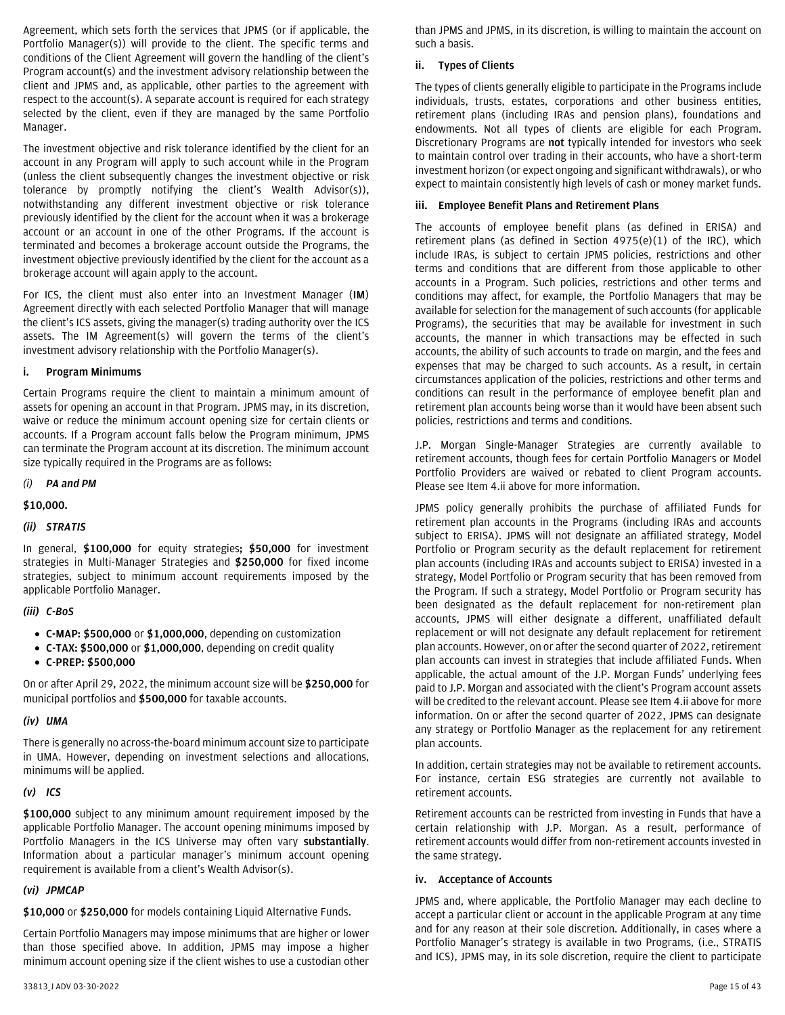Agreement, which sets forth the services that JPMS (or if applicable, the Portfolio Manager(s)) will provide to the client. The specific terms and conditions of the Client Agreement will govern the handling of the client's Program account(s) and the investment advisory relationship between the client and JPMS and, as applicable, other parties to the agreement with respect to the account(s). A separate account is required for each strategy selected by the client, even if they are managed by the same Portfolio Manager.

The investment objective and risk tolerance identified by the client for an account in any Program will apply to such account while in the Program (unless the client subsequently changes the investment objective or risk tolerance by promptly notifying the client's Wealth Advisor(s)), notwithstanding any different investment objective or risk tolerance previously identified by the client for the account when it was a brokerage account or an account in one of the other Programs. If the account is terminated and becomes a brokerage account outside the Programs, the investment objective previously identified by the client for the account as a brokerage account will again apply to the account.

For ICS, the client must also enter into an Investment Manager (**IM**) Agreement directly with each selected Portfolio Manager that will manage the client's ICS assets, giving the manager(s) trading authority over the ICS assets. The IM Agreement(s) will govern the terms of the client's investment advisory relationship with the Portfolio Manager(s).

#### <span id="page-14-0"></span>**i. Program Minimums**

Certain Programs require the client to maintain a minimum amount of assets for opening an account in that Program. JPMS may, in its discretion, waive or reduce the minimum account opening size for certain clients or accounts. If a Program account falls below the Program minimum, JPMS can terminate the Program account at its discretion. The minimum account size typically required in the Programs are as follows:

#### *(i) PA and PM*

## **\$10,000.**

## *(ii) STRATIS*

In general, **\$100,000** for equity strategies**; \$50,000** for investment strategies in Multi-Manager Strategies and **\$250,000** for fixed income strategies, subject to minimum account requirements imposed by the applicable Portfolio Manager.

#### *(iii) C-BoS*

- **C-MAP: \$500,000** or **\$1,000,000**, depending on customization
- **C-TAX: \$500,000** or **\$1,000,000**, depending on credit quality
- **C-PREP: \$500,000**

On or after April 29, 2022, the minimum account size will be **\$250,000** for municipal portfolios and **\$500,000** for taxable accounts.

## *(iv) UMA*

There is generally no across-the-board minimum account size to participate in UMA. However, depending on investment selections and allocations, minimums will be applied.

# *(v) ICS*

**\$100,000** subject to any minimum amount requirement imposed by the applicable Portfolio Manager. The account opening minimums imposed by Portfolio Managers in the ICS Universe may often vary **substantially**. Information about a particular manager's minimum account opening requirement is available from a client's Wealth Advisor(s).

# *(vi) JPMCAP*

**\$10,000** or **\$250,000** for models containing Liquid Alternative Funds.

Certain Portfolio Managers may impose minimums that are higher or lower than those specified above. In addition, JPMS may impose a higher minimum account opening size if the client wishes to use a custodian other than JPMS and JPMS, in its discretion, is willing to maintain the account on such a basis.

## <span id="page-14-1"></span>**ii. Types of Clients**

The types of clients generally eligible to participate in the Programs include individuals, trusts, estates, corporations and other business entities, retirement plans (including IRAs and pension plans), foundations and endowments. Not all types of clients are eligible for each Program. Discretionary Programs are **not** typically intended for investors who seek to maintain control over trading in their accounts, who have a short-term investment horizon (or expect ongoing and significant withdrawals), or who expect to maintain consistently high levels of cash or money market funds.

## <span id="page-14-2"></span>**iii. Employee Benefit Plans and Retirement Plans**

The accounts of employee benefit plans (as defined in ERISA) and retirement plans (as defined in Section 4975(e)(1) of the IRC), which include IRAs, is subject to certain JPMS policies, restrictions and other terms and conditions that are different from those applicable to other accounts in a Program. Such policies, restrictions and other terms and conditions may affect, for example, the Portfolio Managers that may be available for selection for the management of such accounts (for applicable Programs), the securities that may be available for investment in such accounts, the manner in which transactions may be effected in such accounts, the ability of such accounts to trade on margin, and the fees and expenses that may be charged to such accounts. As a result, in certain circumstances application of the policies, restrictions and other terms and conditions can result in the performance of employee benefit plan and retirement plan accounts being worse than it would have been absent such policies, restrictions and terms and conditions.

J.P. Morgan Single-Manager Strategies are currently available to retirement accounts, though fees for certain Portfolio Managers or Model Portfolio Providers are waived or rebated to client Program accounts. Please see Item 4.ii above for more information.

JPMS policy generally prohibits the purchase of affiliated Funds for retirement plan accounts in the Programs (including IRAs and accounts subject to ERISA). JPMS will not designate an affiliated strategy, Model Portfolio or Program security as the default replacement for retirement plan accounts (including IRAs and accounts subject to ERISA) invested in a strategy, Model Portfolio or Program security that has been removed from the Program. If such a strategy, Model Portfolio or Program security has been designated as the default replacement for non-retirement plan accounts, JPMS will either designate a different, unaffiliated default replacement or will not designate any default replacement for retirement plan accounts. However, on or after the second quarter of 2022, retirement plan accounts can invest in strategies that include affiliated Funds. When applicable, the actual amount of the J.P. Morgan Funds' underlying fees paid to J.P. Morgan and associated with the client's Program account assets will be credited to the relevant account. Please see Item 4.ii above for more information. On or after the second quarter of 2022, JPMS can designate any strategy or Portfolio Manager as the replacement for any retirement plan accounts.

In addition, certain strategies may not be available to retirement accounts. For instance, certain ESG strategies are currently not available to retirement accounts.

Retirement accounts can be restricted from investing in Funds that have a certain relationship with J.P. Morgan. As a result, performance of retirement accounts would differ from non-retirement accounts invested in the same strategy.

#### <span id="page-14-3"></span>**iv. Acceptance of Accounts**

JPMS and, where applicable, the Portfolio Manager may each decline to accept a particular client or account in the applicable Program at any time and for any reason at their sole discretion. Additionally, in cases where a Portfolio Manager's strategy is available in two Programs, (i.e., STRATIS and ICS), JPMS may, in its sole discretion, require the client to participate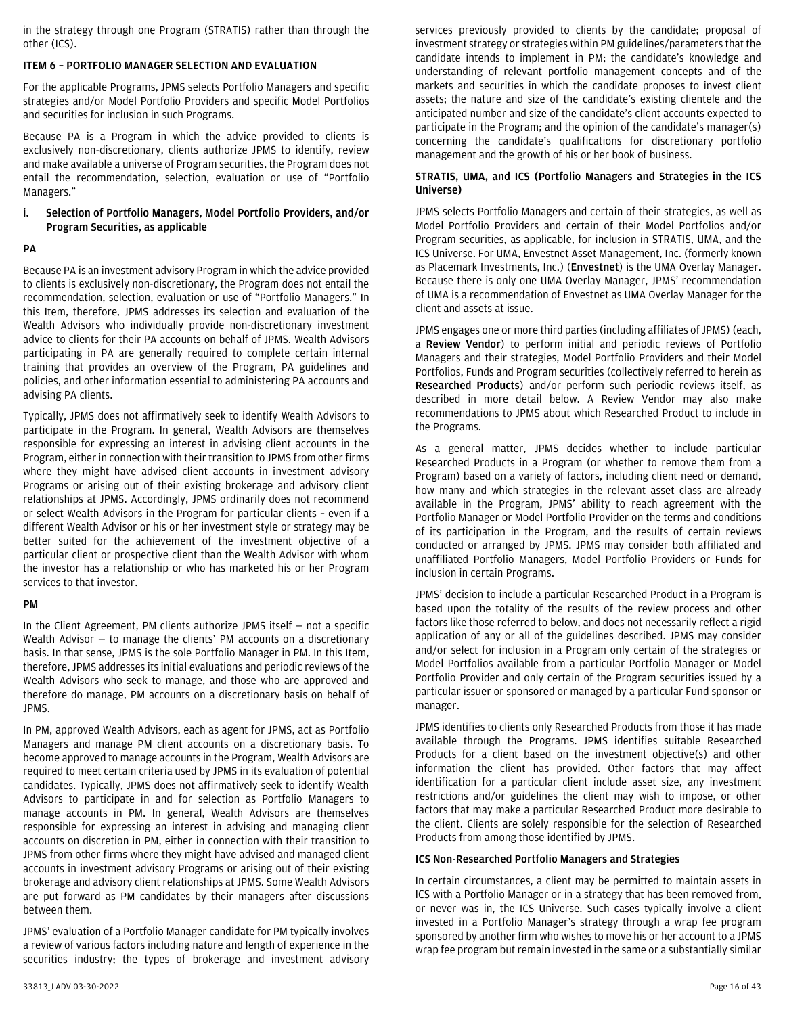in the strategy through one Program (STRATIS) rather than through the other (ICS).

# <span id="page-15-0"></span>**ITEM 6 – PORTFOLIO MANAGER SELECTION AND EVALUATION**

For the applicable Programs, JPMS selects Portfolio Managers and specific strategies and/or Model Portfolio Providers and specific Model Portfolios and securities for inclusion in such Programs.

Because PA is a Program in which the advice provided to clients is exclusively non-discretionary, clients authorize JPMS to identify, review and make available a universe of Program securities, the Program does not entail the recommendation, selection, evaluation or use of "Portfolio Managers."

## <span id="page-15-1"></span>**i. Selection of Portfolio Managers, Model Portfolio Providers, and/or Program Securities, as applicable**

## **PA**

Because PA is an investment advisory Program in which the advice provided to clients is exclusively non-discretionary, the Program does not entail the recommendation, selection, evaluation or use of "Portfolio Managers." In this Item, therefore, JPMS addresses its selection and evaluation of the Wealth Advisors who individually provide non-discretionary investment advice to clients for their PA accounts on behalf of JPMS. Wealth Advisors participating in PA are generally required to complete certain internal training that provides an overview of the Program, PA guidelines and policies, and other information essential to administering PA accounts and advising PA clients.

Typically, JPMS does not affirmatively seek to identify Wealth Advisors to participate in the Program. In general, Wealth Advisors are themselves responsible for expressing an interest in advising client accounts in the Program, either in connection with their transition to JPMS from other firms where they might have advised client accounts in investment advisory Programs or arising out of their existing brokerage and advisory client relationships at JPMS. Accordingly, JPMS ordinarily does not recommend or select Wealth Advisors in the Program for particular clients – even if a different Wealth Advisor or his or her investment style or strategy may be better suited for the achievement of the investment objective of a particular client or prospective client than the Wealth Advisor with whom the investor has a relationship or who has marketed his or her Program services to that investor.

## **PM**

In the Client Agreement, PM clients authorize JPMS itself — not a specific Wealth Advisor — to manage the clients' PM accounts on a discretionary basis. In that sense, JPMS is the sole Portfolio Manager in PM. In this Item, therefore, JPMS addresses its initial evaluations and periodic reviews of the Wealth Advisors who seek to manage, and those who are approved and therefore do manage, PM accounts on a discretionary basis on behalf of JPMS.

In PM, approved Wealth Advisors, each as agent for JPMS, act as Portfolio Managers and manage PM client accounts on a discretionary basis. To become approved to manage accounts in the Program, Wealth Advisors are required to meet certain criteria used by JPMS in its evaluation of potential candidates. Typically, JPMS does not affirmatively seek to identify Wealth Advisors to participate in and for selection as Portfolio Managers to manage accounts in PM. In general, Wealth Advisors are themselves responsible for expressing an interest in advising and managing client accounts on discretion in PM, either in connection with their transition to JPMS from other firms where they might have advised and managed client accounts in investment advisory Programs or arising out of their existing brokerage and advisory client relationships at JPMS. Some Wealth Advisors are put forward as PM candidates by their managers after discussions between them.

JPMS' evaluation of a Portfolio Manager candidate for PM typically involves a review of various factors including nature and length of experience in the securities industry; the types of brokerage and investment advisory

services previously provided to clients by the candidate; proposal of investment strategy or strategies within PM guidelines/parameters that the candidate intends to implement in PM; the candidate's knowledge and understanding of relevant portfolio management concepts and of the markets and securities in which the candidate proposes to invest client assets; the nature and size of the candidate's existing clientele and the anticipated number and size of the candidate's client accounts expected to participate in the Program; and the opinion of the candidate's manager(s) concerning the candidate's qualifications for discretionary portfolio management and the growth of his or her book of business.

## **STRATIS, UMA, and ICS (Portfolio Managers and Strategies in the ICS Universe)**

JPMS selects Portfolio Managers and certain of their strategies, as well as Model Portfolio Providers and certain of their Model Portfolios and/or Program securities, as applicable, for inclusion in STRATIS, UMA, and the ICS Universe. For UMA, Envestnet Asset Management, Inc. (formerly known as Placemark Investments, Inc.) (**Envestnet**) is the UMA Overlay Manager. Because there is only one UMA Overlay Manager, JPMS' recommendation of UMA is a recommendation of Envestnet as UMA Overlay Manager for the client and assets at issue.

JPMS engages one or more third parties (including affiliates of JPMS) (each, a **Review Vendor**) to perform initial and periodic reviews of Portfolio Managers and their strategies, Model Portfolio Providers and their Model Portfolios, Funds and Program securities (collectively referred to herein as **Researched Products**) and/or perform such periodic reviews itself, as described in more detail below. A Review Vendor may also make recommendations to JPMS about which Researched Product to include in the Programs.

As a general matter, JPMS decides whether to include particular Researched Products in a Program (or whether to remove them from a Program) based on a variety of factors, including client need or demand, how many and which strategies in the relevant asset class are already available in the Program, JPMS' ability to reach agreement with the Portfolio Manager or Model Portfolio Provider on the terms and conditions of its participation in the Program, and the results of certain reviews conducted or arranged by JPMS. JPMS may consider both affiliated and unaffiliated Portfolio Managers, Model Portfolio Providers or Funds for inclusion in certain Programs.

JPMS' decision to include a particular Researched Product in a Program is based upon the totality of the results of the review process and other factors like those referred to below, and does not necessarily reflect a rigid application of any or all of the guidelines described. JPMS may consider and/or select for inclusion in a Program only certain of the strategies or Model Portfolios available from a particular Portfolio Manager or Model Portfolio Provider and only certain of the Program securities issued by a particular issuer or sponsored or managed by a particular Fund sponsor or manager.

JPMS identifies to clients only Researched Products from those it has made available through the Programs. JPMS identifies suitable Researched Products for a client based on the investment objective(s) and other information the client has provided. Other factors that may affect identification for a particular client include asset size, any investment restrictions and/or guidelines the client may wish to impose, or other factors that may make a particular Researched Product more desirable to the client. Clients are solely responsible for the selection of Researched Products from among those identified by JPMS.

## **ICS Non-Researched Portfolio Managers and Strategies**

In certain circumstances, a client may be permitted to maintain assets in ICS with a Portfolio Manager or in a strategy that has been removed from, or never was in, the ICS Universe. Such cases typically involve a client invested in a Portfolio Manager's strategy through a wrap fee program sponsored by another firm who wishes to move his or her account to a JPMS wrap fee program but remain invested in the same or a substantially similar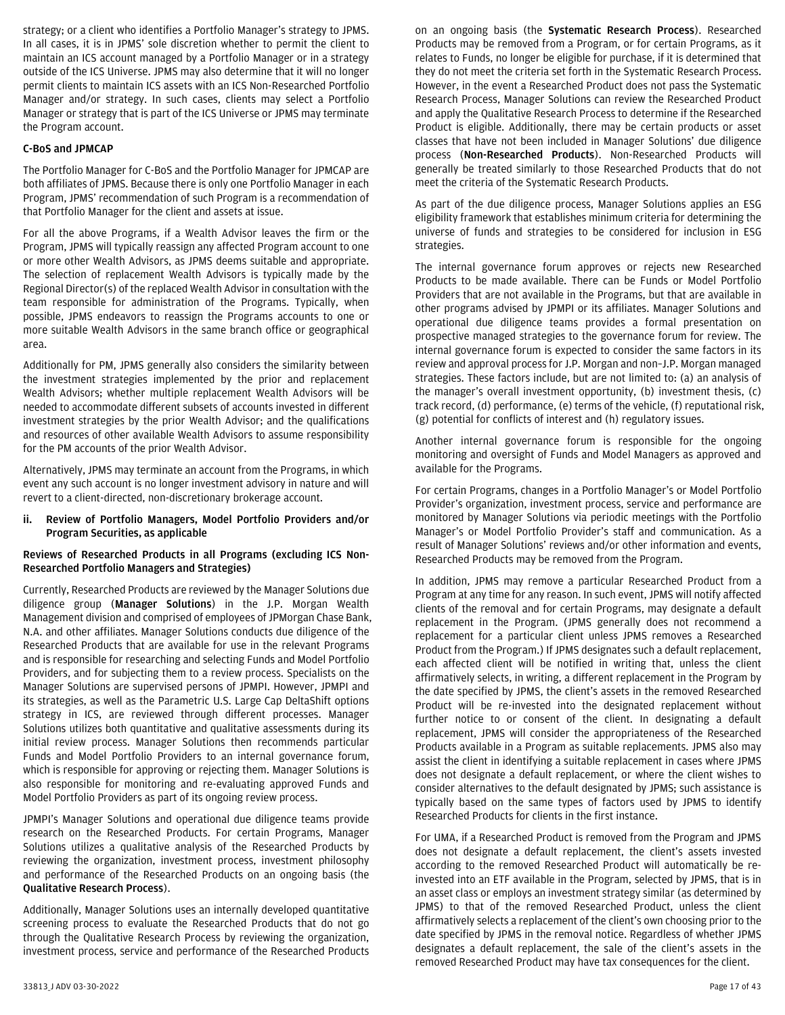strategy; or a client who identifies a Portfolio Manager's strategy to JPMS. In all cases, it is in JPMS' sole discretion whether to permit the client to maintain an ICS account managed by a Portfolio Manager or in a strategy outside of the ICS Universe. JPMS may also determine that it will no longer permit clients to maintain ICS assets with an ICS Non-Researched Portfolio Manager and/or strategy. In such cases, clients may select a Portfolio Manager or strategy that is part of the ICS Universe or JPMS may terminate the Program account.

## **C-BoS and JPMCAP**

The Portfolio Manager for C-BoS and the Portfolio Manager for JPMCAP are both affiliates of JPMS. Because there is only one Portfolio Manager in each Program, JPMS' recommendation of such Program is a recommendation of that Portfolio Manager for the client and assets at issue.

For all the above Programs, if a Wealth Advisor leaves the firm or the Program, JPMS will typically reassign any affected Program account to one or more other Wealth Advisors, as JPMS deems suitable and appropriate. The selection of replacement Wealth Advisors is typically made by the Regional Director(s) of the replaced Wealth Advisor in consultation with the team responsible for administration of the Programs. Typically, when possible, JPMS endeavors to reassign the Programs accounts to one or more suitable Wealth Advisors in the same branch office or geographical area.

Additionally for PM, JPMS generally also considers the similarity between the investment strategies implemented by the prior and replacement Wealth Advisors; whether multiple replacement Wealth Advisors will be needed to accommodate different subsets of accounts invested in different investment strategies by the prior Wealth Advisor; and the qualifications and resources of other available Wealth Advisors to assume responsibility for the PM accounts of the prior Wealth Advisor.

Alternatively, JPMS may terminate an account from the Programs, in which event any such account is no longer investment advisory in nature and will revert to a client-directed, non-discretionary brokerage account.

#### <span id="page-16-0"></span>**ii. Review of Portfolio Managers, Model Portfolio Providers and/or Program Securities, as applicable**

#### **Reviews of Researched Products in all Programs (excluding ICS Non-Researched Portfolio Managers and Strategies)**

Currently, Researched Products are reviewed by the Manager Solutions due diligence group (**Manager Solutions**) in the J.P. Morgan Wealth Management division and comprised of employees of JPMorgan Chase Bank, N.A. and other affiliates. Manager Solutions conducts due diligence of the Researched Products that are available for use in the relevant Programs and is responsible for researching and selecting Funds and Model Portfolio Providers, and for subjecting them to a review process. Specialists on the Manager Solutions are supervised persons of JPMPI. However, JPMPI and its strategies, as well as the Parametric U.S. Large Cap DeltaShift options strategy in ICS, are reviewed through different processes. Manager Solutions utilizes both quantitative and qualitative assessments during its initial review process. Manager Solutions then recommends particular Funds and Model Portfolio Providers to an internal governance forum, which is responsible for approving or rejecting them. Manager Solutions is also responsible for monitoring and re-evaluating approved Funds and Model Portfolio Providers as part of its ongoing review process.

JPMPI's Manager Solutions and operational due diligence teams provide research on the Researched Products. For certain Programs, Manager Solutions utilizes a qualitative analysis of the Researched Products by reviewing the organization, investment process, investment philosophy and performance of the Researched Products on an ongoing basis (the **Qualitative Research Process**).

Additionally, Manager Solutions uses an internally developed quantitative screening process to evaluate the Researched Products that do not go through the Qualitative Research Process by reviewing the organization, investment process, service and performance of the Researched Products on an ongoing basis (the **Systematic Research Process**). Researched Products may be removed from a Program, or for certain Programs, as it relates to Funds, no longer be eligible for purchase, if it is determined that they do not meet the criteria set forth in the Systematic Research Process. However, in the event a Researched Product does not pass the Systematic Research Process, Manager Solutions can review the Researched Product and apply the Qualitative Research Process to determine if the Researched Product is eligible. Additionally, there may be certain products or asset classes that have not been included in Manager Solutions' due diligence process (**Non-Researched Products**). Non-Researched Products will generally be treated similarly to those Researched Products that do not meet the criteria of the Systematic Research Products.

As part of the due diligence process, Manager Solutions applies an ESG eligibility framework that establishes minimum criteria for determining the universe of funds and strategies to be considered for inclusion in ESG strategies.

The internal governance forum approves or rejects new Researched Products to be made available. There can be Funds or Model Portfolio Providers that are not available in the Programs, but that are available in other programs advised by JPMPI or its affiliates. Manager Solutions and operational due diligence teams provides a formal presentation on prospective managed strategies to the governance forum for review. The internal governance forum is expected to consider the same factors in its review and approval process for J.P. Morgan and non–J.P. Morgan managed strategies. These factors include, but are not limited to: (a) an analysis of the manager's overall investment opportunity, (b) investment thesis, (c) track record, (d) performance, (e) terms of the vehicle, (f) reputational risk, (g) potential for conflicts of interest and (h) regulatory issues.

Another internal governance forum is responsible for the ongoing monitoring and oversight of Funds and Model Managers as approved and available for the Programs.

For certain Programs, changes in a Portfolio Manager's or Model Portfolio Provider's organization, investment process, service and performance are monitored by Manager Solutions via periodic meetings with the Portfolio Manager's or Model Portfolio Provider's staff and communication. As a result of Manager Solutions' reviews and/or other information and events, Researched Products may be removed from the Program.

In addition, JPMS may remove a particular Researched Product from a Program at any time for any reason. In such event, JPMS will notify affected clients of the removal and for certain Programs, may designate a default replacement in the Program. (JPMS generally does not recommend a replacement for a particular client unless JPMS removes a Researched Product from the Program.) If JPMS designates such a default replacement, each affected client will be notified in writing that, unless the client affirmatively selects, in writing, a different replacement in the Program by the date specified by JPMS, the client's assets in the removed Researched Product will be re-invested into the designated replacement without further notice to or consent of the client. In designating a default replacement, JPMS will consider the appropriateness of the Researched Products available in a Program as suitable replacements. JPMS also may assist the client in identifying a suitable replacement in cases where JPMS does not designate a default replacement, or where the client wishes to consider alternatives to the default designated by JPMS; such assistance is typically based on the same types of factors used by JPMS to identify Researched Products for clients in the first instance.

For UMA, if a Researched Product is removed from the Program and JPMS does not designate a default replacement, the client's assets invested according to the removed Researched Product will automatically be reinvested into an ETF available in the Program, selected by JPMS, that is in an asset class or employs an investment strategy similar (as determined by JPMS) to that of the removed Researched Product, unless the client affirmatively selects a replacement of the client's own choosing prior to the date specified by JPMS in the removal notice. Regardless of whether JPMS designates a default replacement, the sale of the client's assets in the removed Researched Product may have tax consequences for the client.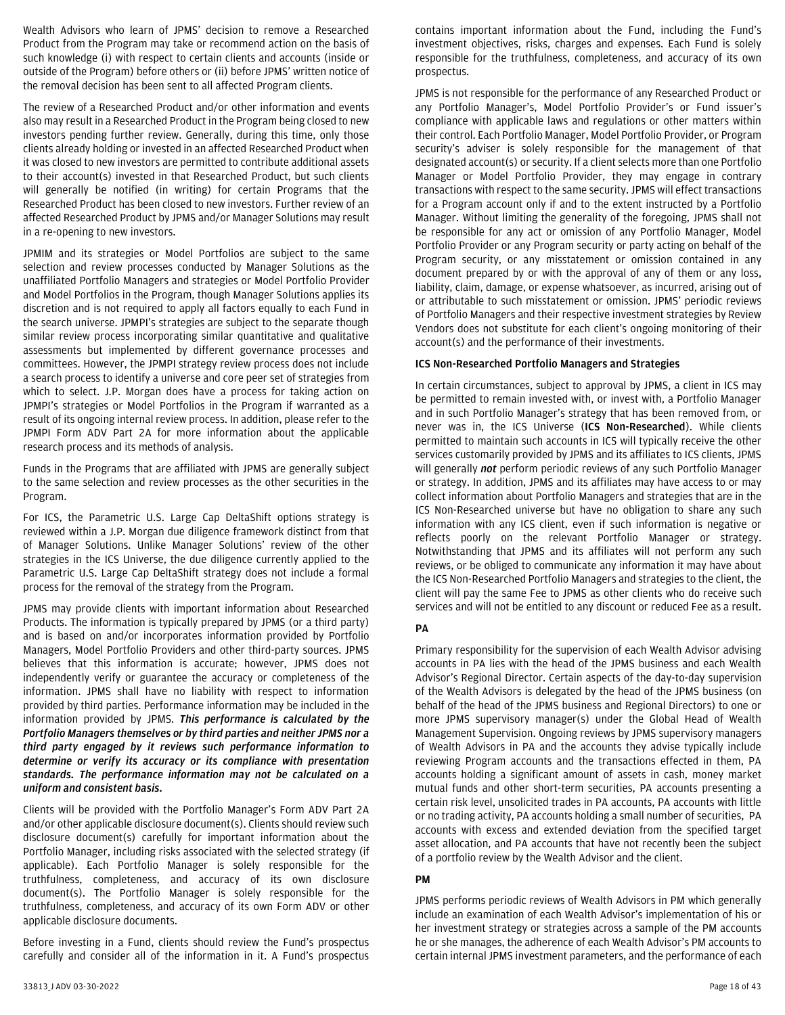Wealth Advisors who learn of JPMS' decision to remove a Researched Product from the Program may take or recommend action on the basis of such knowledge (i) with respect to certain clients and accounts (inside or outside of the Program) before others or (ii) before JPMS' written notice of the removal decision has been sent to all affected Program clients.

The review of a Researched Product and/or other information and events also may result in a Researched Product in the Program being closed to new investors pending further review. Generally, during this time, only those clients already holding or invested in an affected Researched Product when it was closed to new investors are permitted to contribute additional assets to their account(s) invested in that Researched Product, but such clients will generally be notified (in writing) for certain Programs that the Researched Product has been closed to new investors. Further review of an affected Researched Product by JPMS and/or Manager Solutions may result in a re-opening to new investors.

JPMIM and its strategies or Model Portfolios are subject to the same selection and review processes conducted by Manager Solutions as the unaffiliated Portfolio Managers and strategies or Model Portfolio Provider and Model Portfolios in the Program, though Manager Solutions applies its discretion and is not required to apply all factors equally to each Fund in the search universe. JPMPI's strategies are subject to the separate though similar review process incorporating similar quantitative and qualitative assessments but implemented by different governance processes and committees. However, the JPMPI strategy review process does not include a search process to identify a universe and core peer set of strategies from which to select. J.P. Morgan does have a process for taking action on JPMPI's strategies or Model Portfolios in the Program if warranted as a result of its ongoing internal review process. In addition, please refer to the JPMPI Form ADV Part 2A for more information about the applicable research process and its methods of analysis.

Funds in the Programs that are affiliated with JPMS are generally subject to the same selection and review processes as the other securities in the Program.

For ICS, the Parametric U.S. Large Cap DeltaShift options strategy is reviewed within a J.P. Morgan due diligence framework distinct from that of Manager Solutions. Unlike Manager Solutions' review of the other strategies in the ICS Universe, the due diligence currently applied to the Parametric U.S. Large Cap DeltaShift strategy does not include a formal process for the removal of the strategy from the Program.

JPMS may provide clients with important information about Researched Products. The information is typically prepared by JPMS (or a third party) and is based on and/or incorporates information provided by Portfolio Managers, Model Portfolio Providers and other third-party sources. JPMS believes that this information is accurate; however, JPMS does not independently verify or guarantee the accuracy or completeness of the information. JPMS shall have no liability with respect to information provided by third parties. Performance information may be included in the information provided by JPMS. *This performance is calculated by the Portfolio Managers themselves or by third parties and neither JPMS nor a third party engaged by it reviews such performance information to determine or verify its accuracy or its compliance with presentation standards. The performance information may not be calculated on a uniform and consistent basis.*

Clients will be provided with the Portfolio Manager's Form ADV Part 2A and/or other applicable disclosure document(s). Clients should review such disclosure document(s) carefully for important information about the Portfolio Manager, including risks associated with the selected strategy (if applicable). Each Portfolio Manager is solely responsible for the truthfulness, completeness, and accuracy of its own disclosure document(s). The Portfolio Manager is solely responsible for the truthfulness, completeness, and accuracy of its own Form ADV or other applicable disclosure documents.

Before investing in a Fund, clients should review the Fund's prospectus carefully and consider all of the information in it. A Fund's prospectus contains important information about the Fund, including the Fund's investment objectives, risks, charges and expenses. Each Fund is solely responsible for the truthfulness, completeness, and accuracy of its own prospectus.

JPMS is not responsible for the performance of any Researched Product or any Portfolio Manager's, Model Portfolio Provider's or Fund issuer's compliance with applicable laws and regulations or other matters within their control. Each Portfolio Manager, Model Portfolio Provider, or Program security's adviser is solely responsible for the management of that designated account(s) or security. If a client selects more than one Portfolio Manager or Model Portfolio Provider, they may engage in contrary transactions with respect to the same security. JPMS will effect transactions for a Program account only if and to the extent instructed by a Portfolio Manager. Without limiting the generality of the foregoing, JPMS shall not be responsible for any act or omission of any Portfolio Manager, Model Portfolio Provider or any Program security or party acting on behalf of the Program security, or any misstatement or omission contained in any document prepared by or with the approval of any of them or any loss, liability, claim, damage, or expense whatsoever, as incurred, arising out of or attributable to such misstatement or omission. JPMS' periodic reviews of Portfolio Managers and their respective investment strategies by Review Vendors does not substitute for each client's ongoing monitoring of their account(s) and the performance of their investments.

## **ICS Non-Researched Portfolio Managers and Strategies**

In certain circumstances, subject to approval by JPMS, a client in ICS may be permitted to remain invested with, or invest with, a Portfolio Manager and in such Portfolio Manager's strategy that has been removed from, or never was in, the ICS Universe (**ICS Non-Researched**). While clients permitted to maintain such accounts in ICS will typically receive the other services customarily provided by JPMS and its affiliates to ICS clients, JPMS will generally *not* perform periodic reviews of any such Portfolio Manager or strategy. In addition, JPMS and its affiliates may have access to or may collect information about Portfolio Managers and strategies that are in the ICS Non-Researched universe but have no obligation to share any such information with any ICS client, even if such information is negative or reflects poorly on the relevant Portfolio Manager or strategy. Notwithstanding that JPMS and its affiliates will not perform any such reviews, or be obliged to communicate any information it may have about the ICS Non-Researched Portfolio Managers and strategies to the client, the client will pay the same Fee to JPMS as other clients who do receive such services and will not be entitled to any discount or reduced Fee as a result.

## **PA**

Primary responsibility for the supervision of each Wealth Advisor advising accounts in PA lies with the head of the JPMS business and each Wealth Advisor's Regional Director. Certain aspects of the day-to-day supervision of the Wealth Advisors is delegated by the head of the JPMS business (on behalf of the head of the JPMS business and Regional Directors) to one or more JPMS supervisory manager(s) under the Global Head of Wealth Management Supervision. Ongoing reviews by JPMS supervisory managers of Wealth Advisors in PA and the accounts they advise typically include reviewing Program accounts and the transactions effected in them, PA accounts holding a significant amount of assets in cash, money market mutual funds and other short-term securities, PA accounts presenting a certain risk level, unsolicited trades in PA accounts, PA accounts with little or no trading activity, PA accounts holding a small number of securities, PA accounts with excess and extended deviation from the specified target asset allocation, and PA accounts that have not recently been the subject of a portfolio review by the Wealth Advisor and the client.

#### **PM**

JPMS performs periodic reviews of Wealth Advisors in PM which generally include an examination of each Wealth Advisor's implementation of his or her investment strategy or strategies across a sample of the PM accounts he or she manages, the adherence of each Wealth Advisor's PM accounts to certain internal JPMS investment parameters, and the performance of each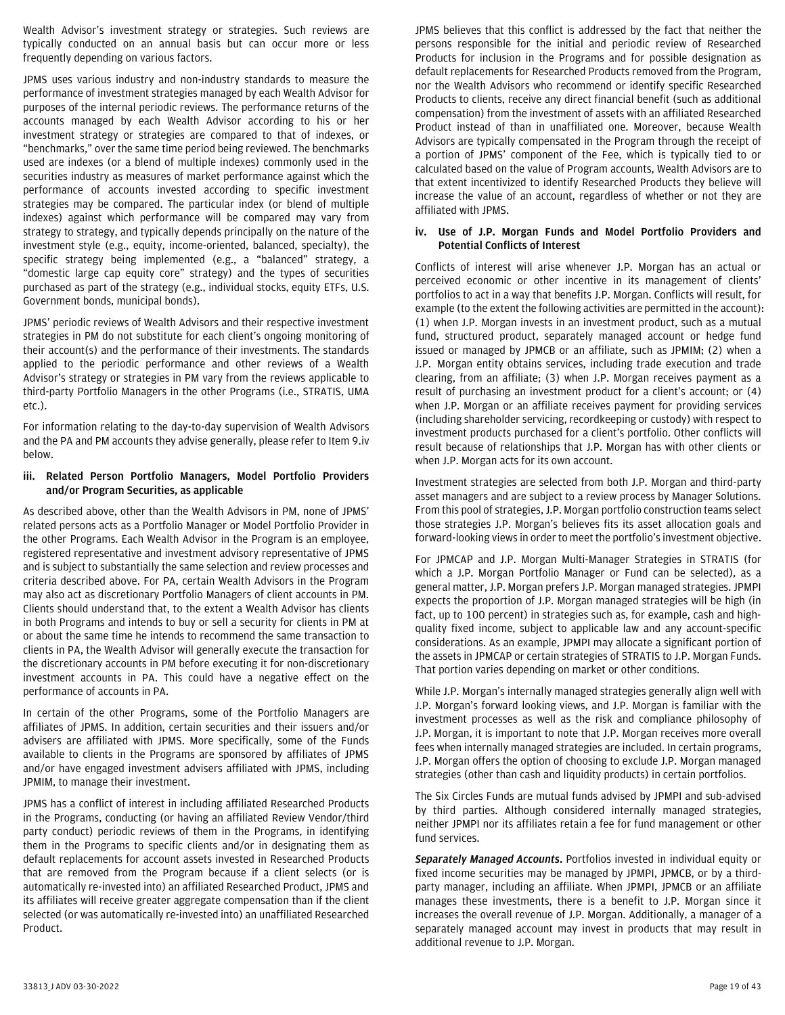Wealth Advisor's investment strategy or strategies. Such reviews are typically conducted on an annual basis but can occur more or less frequently depending on various factors.

JPMS uses various industry and non-industry standards to measure the performance of investment strategies managed by each Wealth Advisor for purposes of the internal periodic reviews. The performance returns of the accounts managed by each Wealth Advisor according to his or her investment strategy or strategies are compared to that of indexes, or "benchmarks," over the same time period being reviewed. The benchmarks used are indexes (or a blend of multiple indexes) commonly used in the securities industry as measures of market performance against which the performance of accounts invested according to specific investment strategies may be compared. The particular index (or blend of multiple indexes) against which performance will be compared may vary from strategy to strategy, and typically depends principally on the nature of the investment style (e.g., equity, income-oriented, balanced, specialty), the specific strategy being implemented (e.g., a "balanced" strategy, a "domestic large cap equity core" strategy) and the types of securities purchased as part of the strategy (e.g., individual stocks, equity ETFs, U.S. Government bonds, municipal bonds).

JPMS' periodic reviews of Wealth Advisors and their respective investment strategies in PM do not substitute for each client's ongoing monitoring of their account(s) and the performance of their investments. The standards applied to the periodic performance and other reviews of a Wealth Advisor's strategy or strategies in PM vary from the reviews applicable to third-party Portfolio Managers in the other Programs (i.e., STRATIS, UMA etc.).

For information relating to the day-to-day supervision of Wealth Advisors and the PA and PM accounts they advise generally, please refer to Item 9.iv below.

#### <span id="page-18-0"></span>**iii. Related Person Portfolio Managers, Model Portfolio Providers and/or Program Securities, as applicable**

As described above, other than the Wealth Advisors in PM, none of JPMS' related persons acts as a Portfolio Manager or Model Portfolio Provider in the other Programs. Each Wealth Advisor in the Program is an employee, registered representative and investment advisory representative of JPMS and is subject to substantially the same selection and review processes and criteria described above. For PA, certain Wealth Advisors in the Program may also act as discretionary Portfolio Managers of client accounts in PM. Clients should understand that, to the extent a Wealth Advisor has clients in both Programs and intends to buy or sell a security for clients in PM at or about the same time he intends to recommend the same transaction to clients in PA, the Wealth Advisor will generally execute the transaction for the discretionary accounts in PM before executing it for non-discretionary investment accounts in PA. This could have a negative effect on the performance of accounts in PA.

In certain of the other Programs, some of the Portfolio Managers are affiliates of JPMS. In addition, certain securities and their issuers and/or advisers are affiliated with JPMS. More specifically, some of the Funds available to clients in the Programs are sponsored by affiliates of JPMS and/or have engaged investment advisers affiliated with JPMS, including JPMIM, to manage their investment.

JPMS has a conflict of interest in including affiliated Researched Products in the Programs, conducting (or having an affiliated Review Vendor/third party conduct) periodic reviews of them in the Programs, in identifying them in the Programs to specific clients and/or in designating them as default replacements for account assets invested in Researched Products that are removed from the Program because if a client selects (or is automatically re-invested into) an affiliated Researched Product, JPMS and its affiliates will receive greater aggregate compensation than if the client selected (or was automatically re-invested into) an unaffiliated Researched Product.

JPMS believes that this conflict is addressed by the fact that neither the persons responsible for the initial and periodic review of Researched Products for inclusion in the Programs and for possible designation as default replacements for Researched Products removed from the Program, nor the Wealth Advisors who recommend or identify specific Researched Products to clients, receive any direct financial benefit (such as additional compensation) from the investment of assets with an affiliated Researched Product instead of than in unaffiliated one. Moreover, because Wealth Advisors are typically compensated in the Program through the receipt of a portion of JPMS' component of the Fee, which is typically tied to or calculated based on the value of Program accounts, Wealth Advisors are to that extent incentivized to identify Researched Products they believe will increase the value of an account, regardless of whether or not they are affiliated with JPMS.

#### <span id="page-18-1"></span>**iv. Use of J.P. Morgan Funds and Model Portfolio Providers and Potential Conflicts of Interest**

Conflicts of interest will arise whenever J.P. Morgan has an actual or perceived economic or other incentive in its management of clients' portfolios to act in a way that benefits J.P. Morgan. Conflicts will result, for example (to the extent the following activities are permitted in the account): (1) when J.P. Morgan invests in an investment product, such as a mutual fund, structured product, separately managed account or hedge fund issued or managed by JPMCB or an affiliate, such as JPMIM; (2) when a J.P. Morgan entity obtains services, including trade execution and trade clearing, from an affiliate; (3) when J.P. Morgan receives payment as a result of purchasing an investment product for a client's account; or (4) when J.P. Morgan or an affiliate receives payment for providing services (including shareholder servicing, recordkeeping or custody) with respect to investment products purchased for a client's portfolio. Other conflicts will result because of relationships that J.P. Morgan has with other clients or when J.P. Morgan acts for its own account.

Investment strategies are selected from both J.P. Morgan and third-party asset managers and are subject to a review process by Manager Solutions. From this pool of strategies, J.P. Morgan portfolio construction teams select those strategies J.P. Morgan's believes fits its asset allocation goals and forward-looking views in order to meet the portfolio's investment objective.

For JPMCAP and J.P. Morgan Multi-Manager Strategies in STRATIS (for which a J.P. Morgan Portfolio Manager or Fund can be selected), as a general matter, J.P. Morgan prefers J.P. Morgan managed strategies. JPMPI expects the proportion of J.P. Morgan managed strategies will be high (in fact, up to 100 percent) in strategies such as, for example, cash and highquality fixed income, subject to applicable law and any account-specific considerations. As an example, JPMPI may allocate a significant portion of the assets in JPMCAP or certain strategies of STRATIS to J.P. Morgan Funds. That portion varies depending on market or other conditions.

While J.P. Morgan's internally managed strategies generally align well with J.P. Morgan's forward looking views, and J.P. Morgan is familiar with the investment processes as well as the risk and compliance philosophy of J.P. Morgan, it is important to note that J.P. Morgan receives more overall fees when internally managed strategies are included. In certain programs, J.P. Morgan offers the option of choosing to exclude J.P. Morgan managed strategies (other than cash and liquidity products) in certain portfolios.

The Six Circles Funds are mutual funds advised by JPMPI and sub-advised by third parties. Although considered internally managed strategies, neither JPMPI nor its affiliates retain a fee for fund management or other fund services.

*Separately Managed Accounts***.** Portfolios invested in individual equity or fixed income securities may be managed by JPMPI, JPMCB, or by a thirdparty manager, including an affiliate. When JPMPI, JPMCB or an affiliate manages these investments, there is a benefit to J.P. Morgan since it increases the overall revenue of J.P. Morgan. Additionally, a manager of a separately managed account may invest in products that may result in additional revenue to J.P. Morgan.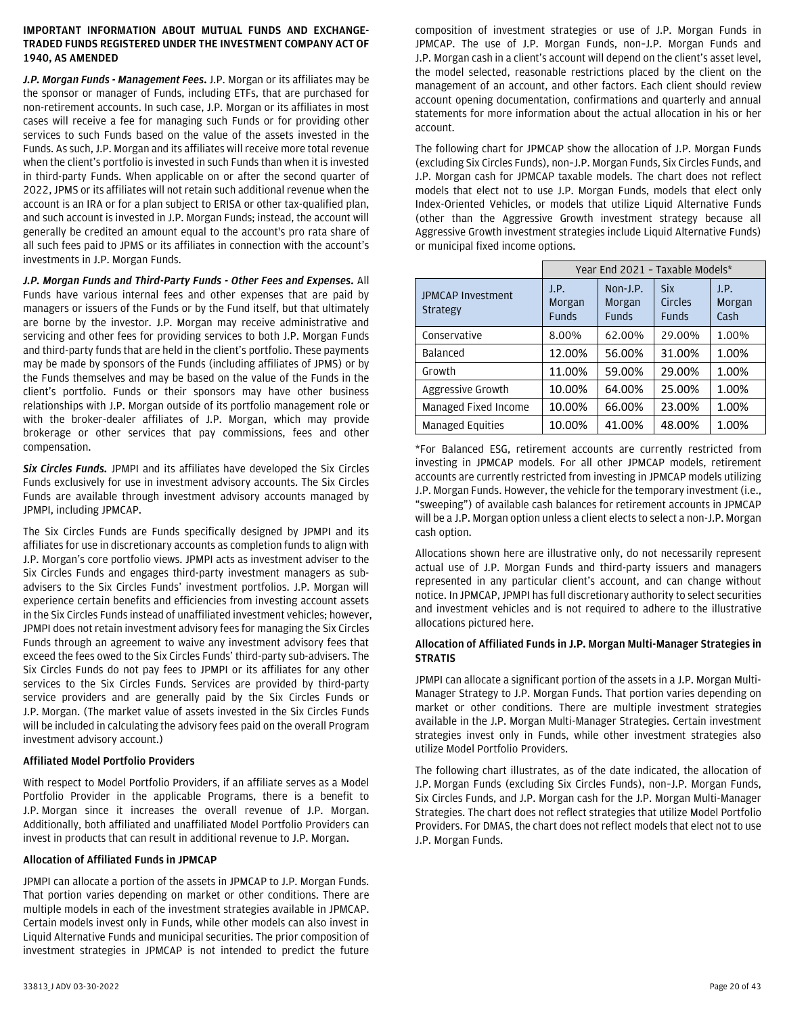## **IMPORTANT INFORMATION ABOUT MUTUAL FUNDS AND EXCHANGE-TRADED FUNDS REGISTERED UNDER THE INVESTMENT COMPANY ACT OF 1940, AS AMENDED**

*J.P. Morgan Funds - Management Fees***.** J.P. Morgan or its affiliates may be the sponsor or manager of Funds, including ETFs, that are purchased for non-retirement accounts. In such case, J.P. Morgan or its affiliates in most cases will receive a fee for managing such Funds or for providing other services to such Funds based on the value of the assets invested in the Funds. As such, J.P. Morgan and its affiliates will receive more total revenue when the client's portfolio is invested in such Funds than when it is invested in third-party Funds. When applicable on or after the second quarter of 2022, JPMS or its affiliates will not retain such additional revenue when the account is an IRA or for a plan subject to ERISA or other tax-qualified plan, and such account is invested in J.P. Morgan Funds; instead, the account will generally be credited an amount equal to the account's pro rata share of all such fees paid to JPMS or its affiliates in connection with the account's investments in J.P. Morgan Funds.

*J.P. Morgan Funds and Third-Party Funds - Other Fees and Expenses***.** All Funds have various internal fees and other expenses that are paid by managers or issuers of the Funds or by the Fund itself, but that ultimately are borne by the investor. J.P. Morgan may receive administrative and servicing and other fees for providing services to both J.P. Morgan Funds and third-party funds that are held in the client's portfolio. These payments may be made by sponsors of the Funds (including affiliates of JPMS) or by the Funds themselves and may be based on the value of the Funds in the client's portfolio. Funds or their sponsors may have other business relationships with J.P. Morgan outside of its portfolio management role or with the broker-dealer affiliates of J.P. Morgan, which may provide brokerage or other services that pay commissions, fees and other compensation.

*Six Circles Funds.* JPMPI and its affiliates have developed the Six Circles Funds exclusively for use in investment advisory accounts. The Six Circles Funds are available through investment advisory accounts managed by JPMPI, including JPMCAP.

The Six Circles Funds are Funds specifically designed by JPMPI and its affiliates for use in discretionary accounts as completion funds to align with J.P. Morgan's core portfolio views. JPMPI acts as investment adviser to the Six Circles Funds and engages third-party investment managers as subadvisers to the Six Circles Funds' investment portfolios. J.P. Morgan will experience certain benefits and efficiencies from investing account assets in the Six Circles Funds instead of unaffiliated investment vehicles; however, JPMPI does not retain investment advisory fees for managing the Six Circles Funds through an agreement to waive any investment advisory fees that exceed the fees owed to the Six Circles Funds' third-party sub-advisers. The Six Circles Funds do not pay fees to JPMPI or its affiliates for any other services to the Six Circles Funds. Services are provided by third-party service providers and are generally paid by the Six Circles Funds or J.P. Morgan. (The market value of assets invested in the Six Circles Funds will be included in calculating the advisory fees paid on the overall Program investment advisory account.)

## **Affiliated Model Portfolio Providers**

With respect to Model Portfolio Providers, if an affiliate serves as a Model Portfolio Provider in the applicable Programs, there is a benefit to J.P. Morgan since it increases the overall revenue of J.P. Morgan. Additionally, both affiliated and unaffiliated Model Portfolio Providers can invest in products that can result in additional revenue to J.P. Morgan.

#### **Allocation of Affiliated Funds in JPMCAP**

JPMPI can allocate a portion of the assets in JPMCAP to J.P. Morgan Funds. That portion varies depending on market or other conditions. There are multiple models in each of the investment strategies available in JPMCAP. Certain models invest only in Funds, while other models can also invest in Liquid Alternative Funds and municipal securities. The prior composition of investment strategies in JPMCAP is not intended to predict the future

composition of investment strategies or use of J.P. Morgan Funds in JPMCAP. The use of J.P. Morgan Funds, non–J.P. Morgan Funds and J.P. Morgan cash in a client's account will depend on the client's asset level, the model selected, reasonable restrictions placed by the client on the management of an account, and other factors. Each client should review account opening documentation, confirmations and quarterly and annual statements for more information about the actual allocation in his or her account.

The following chart for JPMCAP show the allocation of J.P. Morgan Funds (excluding Six Circles Funds), non–J.P. Morgan Funds, Six Circles Funds, and J.P. Morgan cash for JPMCAP taxable models. The chart does not reflect models that elect not to use J.P. Morgan Funds, models that elect only Index-Oriented Vehicles, or models that utilize Liquid Alternative Funds (other than the Aggressive Growth investment strategy because all Aggressive Growth investment strategies include Liquid Alternative Funds) or municipal fixed income options.

|                                             | Year End 2021 - Taxable Models* |                             |                                       |                        |
|---------------------------------------------|---------------------------------|-----------------------------|---------------------------------------|------------------------|
| <b>JPMCAP Investment</b><br><b>Strategy</b> | J.P.<br>Morgan<br><b>Funds</b>  | Non-J.P.<br>Morgan<br>Funds | <b>Six</b><br>Circles<br><b>Funds</b> | J.P.<br>Morgan<br>Cash |
| Conservative                                | 8.00%                           | 62.00%                      | 29.00%                                | 1.00%                  |
| Balanced                                    | 12.00%                          | 56.00%                      | 31.00%                                | 1.00%                  |
| Growth                                      | 11.00%                          | 59.00%                      | 29.00%                                | 1.00%                  |
| Aggressive Growth                           | 10.00%                          | 64.00%                      | 25.00%                                | 1.00%                  |
| Managed Fixed Income                        | 10.00%                          | 66.00%                      | 23.00%                                | 1.00%                  |
| <b>Managed Equities</b>                     | 10.00%                          | 41.00%                      | 48.00%                                | 1.00%                  |

\*For Balanced ESG, retirement accounts are currently restricted from investing in JPMCAP models. For all other JPMCAP models, retirement accounts are currently restricted from investing in JPMCAP models utilizing J.P. Morgan Funds. However, the vehicle for the temporary investment (i.e., "sweeping") of available cash balances for retirement accounts in JPMCAP will be a J.P. Morgan option unless a client elects to select a non-J.P. Morgan cash option.

Allocations shown here are illustrative only, do not necessarily represent actual use of J.P. Morgan Funds and third-party issuers and managers represented in any particular client's account, and can change without notice. In JPMCAP, JPMPI has full discretionary authority to select securities and investment vehicles and is not required to adhere to the illustrative allocations pictured here.

#### **Allocation of Affiliated Funds in J.P. Morgan Multi-Manager Strategies in STRATIS**

JPMPI can allocate a significant portion of the assets in a J.P. Morgan Multi-Manager Strategy to J.P. Morgan Funds. That portion varies depending on market or other conditions. There are multiple investment strategies available in the J.P. Morgan Multi-Manager Strategies. Certain investment strategies invest only in Funds, while other investment strategies also utilize Model Portfolio Providers.

The following chart illustrates, as of the date indicated, the allocation of J.P. Morgan Funds (excluding Six Circles Funds), non–J.P. Morgan Funds, Six Circles Funds, and J.P. Morgan cash for the J.P. Morgan Multi-Manager Strategies. The chart does not reflect strategies that utilize Model Portfolio Providers. For DMAS, the chart does not reflect models that elect not to use J.P. Morgan Funds.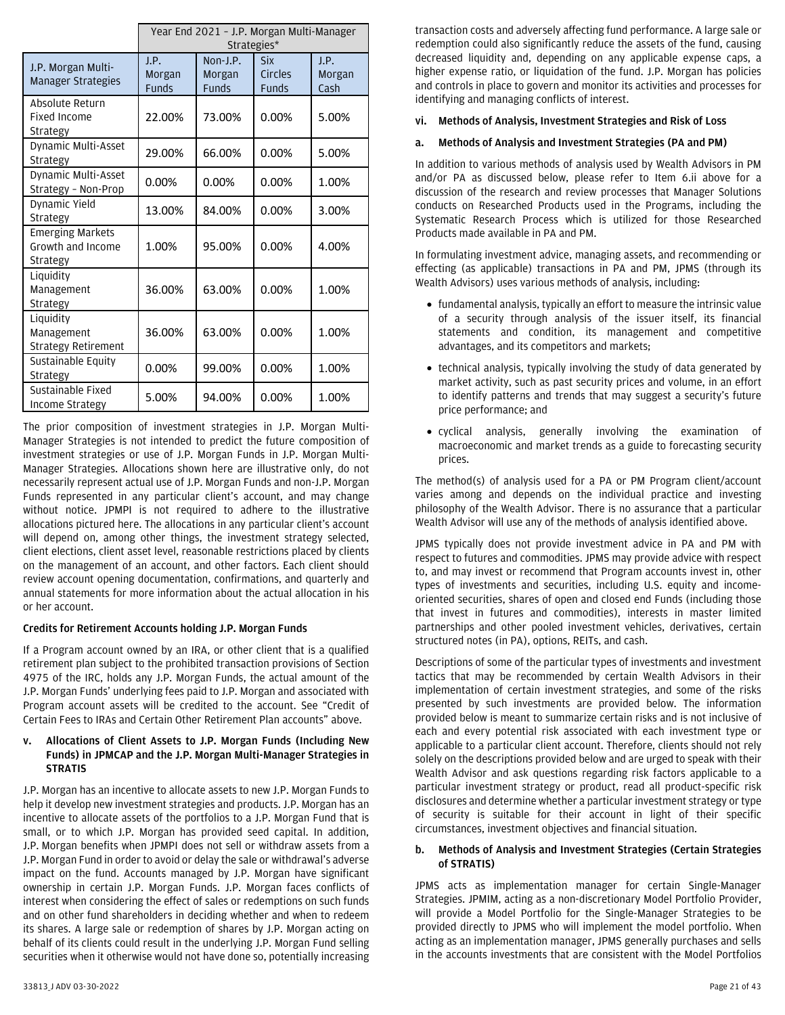|                                                          | Year End 2021 - J.P. Morgan Multi-Manager<br>Strategies* |                                    |                                       |                        |
|----------------------------------------------------------|----------------------------------------------------------|------------------------------------|---------------------------------------|------------------------|
| J.P. Morgan Multi-<br><b>Manager Strategies</b>          | J.P.<br>Morgan<br><b>Funds</b>                           | Non-J.P.<br>Morgan<br><b>Funds</b> | <b>Six</b><br>Circles<br><b>Funds</b> | J.P.<br>Morgan<br>Cash |
| Absolute Return<br><b>Fixed Income</b><br>Strategy       | 22.00%                                                   | 73.00%                             | $0.00\%$                              | 5.00%                  |
| Dynamic Multi-Asset<br>Strategy                          | 29.00%                                                   | 66.00%                             | $0.00\%$                              | 5.00%                  |
| Dynamic Multi-Asset<br>Strategy - Non-Prop               | 0.00%                                                    | 0.00%                              | $0.00\%$                              | 1.00%                  |
| Dynamic Yield<br>Strategy                                | 13.00%                                                   | 84.00%                             | $0.00\%$                              | 3.00%                  |
| <b>Emerging Markets</b><br>Growth and Income<br>Strategy | 1.00%                                                    | 95.00%                             | $0.00\%$                              | 4.00%                  |
| Liquidity<br>Management<br>Strategy                      | 36.00%                                                   | 63.00%                             | $0.00\%$                              | 1.00%                  |
| Liquidity<br>Management<br><b>Strategy Retirement</b>    | 36.00%                                                   | 63.00%                             | 0.00%                                 | 1.00%                  |
| Sustainable Equity<br>Strategy                           | 0.00%                                                    | 99.00%                             | 0.00%                                 | 1.00%                  |
| Sustainable Fixed<br>Income Strategy                     | 5.00%                                                    | 94.00%                             | 0.00%                                 | 1.00%                  |

The prior composition of investment strategies in J.P. Morgan Multi-Manager Strategies is not intended to predict the future composition of investment strategies or use of J.P. Morgan Funds in J.P. Morgan Multi-Manager Strategies. Allocations shown here are illustrative only, do not necessarily represent actual use of J.P. Morgan Funds and non-J.P. Morgan Funds represented in any particular client's account, and may change without notice. JPMPI is not required to adhere to the illustrative allocations pictured here. The allocations in any particular client's account will depend on, among other things, the investment strategy selected, client elections, client asset level, reasonable restrictions placed by clients on the management of an account, and other factors. Each client should review account opening documentation, confirmations, and quarterly and annual statements for more information about the actual allocation in his or her account.

## **Credits for Retirement Accounts holding J.P. Morgan Funds**

If a Program account owned by an IRA, or other client that is a qualified retirement plan subject to the prohibited transaction provisions of Section 4975 of the IRC, holds any J.P. Morgan Funds, the actual amount of the J.P. Morgan Funds' underlying fees paid to J.P. Morgan and associated with Program account assets will be credited to the account. See "Credit of Certain Fees to IRAs and Certain Other Retirement Plan accounts" above.

## <span id="page-20-0"></span>**v. Allocations of Client Assets to J.P. Morgan Funds (Including New Funds) in JPMCAP and the J.P. Morgan Multi-Manager Strategies in STRATIS**

J.P. Morgan has an incentive to allocate assets to new J.P. Morgan Funds to help it develop new investment strategies and products. J.P. Morgan has an incentive to allocate assets of the portfolios to a J.P. Morgan Fund that is small, or to which J.P. Morgan has provided seed capital. In addition, J.P. Morgan benefits when JPMPI does not sell or withdraw assets from a J.P. Morgan Fund in order to avoid or delay the sale or withdrawal's adverse impact on the fund. Accounts managed by J.P. Morgan have significant ownership in certain J.P. Morgan Funds. J.P. Morgan faces conflicts of interest when considering the effect of sales or redemptions on such funds and on other fund shareholders in deciding whether and when to redeem its shares. A large sale or redemption of shares by J.P. Morgan acting on behalf of its clients could result in the underlying J.P. Morgan Fund selling securities when it otherwise would not have done so, potentially increasing transaction costs and adversely affecting fund performance. A large sale or redemption could also significantly reduce the assets of the fund, causing decreased liquidity and, depending on any applicable expense caps, a higher expense ratio, or liquidation of the fund. J.P. Morgan has policies and controls in place to govern and monitor its activities and processes for identifying and managing conflicts of interest.

#### <span id="page-20-1"></span>**vi. Methods of Analysis, Investment Strategies and Risk of Loss**

#### **a. Methods of Analysis and Investment Strategies (PA and PM)**

In addition to various methods of analysis used by Wealth Advisors in PM and/or PA as discussed below, please refer to Item 6.ii above for a discussion of the research and review processes that Manager Solutions conducts on Researched Products used in the Programs, including the Systematic Research Process which is utilized for those Researched Products made available in PA and PM.

In formulating investment advice, managing assets, and recommending or effecting (as applicable) transactions in PA and PM, JPMS (through its Wealth Advisors) uses various methods of analysis, including:

- fundamental analysis, typically an effort to measure the intrinsic value of a security through analysis of the issuer itself, its financial statements and condition, its management and competitive advantages, and its competitors and markets;
- technical analysis, typically involving the study of data generated by market activity, such as past security prices and volume, in an effort to identify patterns and trends that may suggest a security's future price performance; and
- cyclical analysis, generally involving the examination of macroeconomic and market trends as a guide to forecasting security prices.

The method(s) of analysis used for a PA or PM Program client/account varies among and depends on the individual practice and investing philosophy of the Wealth Advisor. There is no assurance that a particular Wealth Advisor will use any of the methods of analysis identified above.

JPMS typically does not provide investment advice in PA and PM with respect to futures and commodities. JPMS may provide advice with respect to, and may invest or recommend that Program accounts invest in, other types of investments and securities, including U.S. equity and incomeoriented securities, shares of open and closed end Funds (including those that invest in futures and commodities), interests in master limited partnerships and other pooled investment vehicles, derivatives, certain structured notes (in PA), options, REITs, and cash.

Descriptions of some of the particular types of investments and investment tactics that may be recommended by certain Wealth Advisors in their implementation of certain investment strategies, and some of the risks presented by such investments are provided below. The information provided below is meant to summarize certain risks and is not inclusive of each and every potential risk associated with each investment type or applicable to a particular client account. Therefore, clients should not rely solely on the descriptions provided below and are urged to speak with their Wealth Advisor and ask questions regarding risk factors applicable to a particular investment strategy or product, read all product-specific risk disclosures and determine whether a particular investment strategy or type of security is suitable for their account in light of their specific circumstances, investment objectives and financial situation.

#### **b. Methods of Analysis and Investment Strategies (Certain Strategies of STRATIS)**

JPMS acts as implementation manager for certain Single-Manager Strategies. JPMIM, acting as a non-discretionary Model Portfolio Provider, will provide a Model Portfolio for the Single-Manager Strategies to be provided directly to JPMS who will implement the model portfolio. When acting as an implementation manager, JPMS generally purchases and sells in the accounts investments that are consistent with the Model Portfolios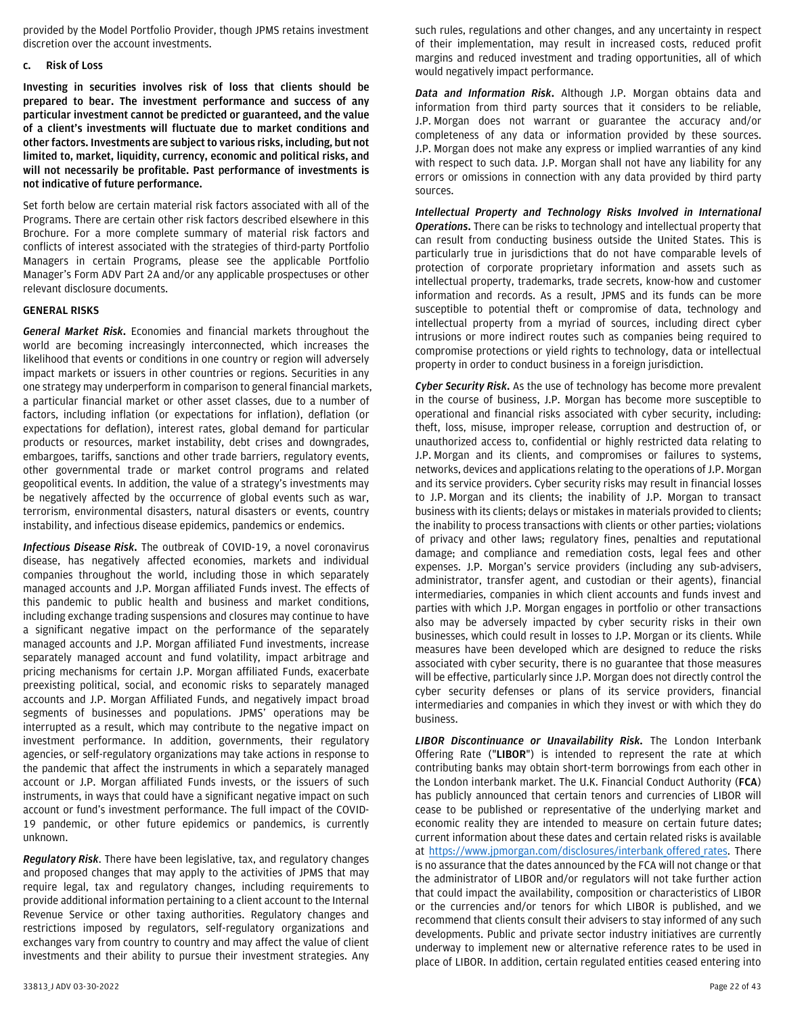provided by the Model Portfolio Provider, though JPMS retains investment discretion over the account investments.

#### **c. Risk of Loss**

**Investing in securities involves risk of loss that clients should be prepared to bear. The investment performance and success of any particular investment cannot be predicted or guaranteed, and the value of a client's investments will fluctuate due to market conditions and other factors. Investments are subject to various risks, including, but not limited to, market, liquidity, currency, economic and political risks, and will not necessarily be profitable. Past performance of investments is not indicative of future performance.**

Set forth below are certain material risk factors associated with all of the Programs. There are certain other risk factors described elsewhere in this Brochure. For a more complete summary of material risk factors and conflicts of interest associated with the strategies of third-party Portfolio Managers in certain Programs, please see the applicable Portfolio Manager's Form ADV Part 2A and/or any applicable prospectuses or other relevant disclosure documents.

## **GENERAL RISKS**

*General Market Risk***.** Economies and financial markets throughout the world are becoming increasingly interconnected, which increases the likelihood that events or conditions in one country or region will adversely impact markets or issuers in other countries or regions. Securities in any one strategy may underperform in comparison to general financial markets, a particular financial market or other asset classes, due to a number of factors, including inflation (or expectations for inflation), deflation (or expectations for deflation), interest rates, global demand for particular products or resources, market instability, debt crises and downgrades, embargoes, tariffs, sanctions and other trade barriers, regulatory events, other governmental trade or market control programs and related geopolitical events. In addition, the value of a strategy's investments may be negatively affected by the occurrence of global events such as war, terrorism, environmental disasters, natural disasters or events, country instability, and infectious disease epidemics, pandemics or endemics.

*Infectious Disease Risk***.** The outbreak of COVID-19, a novel coronavirus disease, has negatively affected economies, markets and individual companies throughout the world, including those in which separately managed accounts and J.P. Morgan affiliated Funds invest. The effects of this pandemic to public health and business and market conditions, including exchange trading suspensions and closures may continue to have a significant negative impact on the performance of the separately managed accounts and J.P. Morgan affiliated Fund investments, increase separately managed account and fund volatility, impact arbitrage and pricing mechanisms for certain J.P. Morgan affiliated Funds, exacerbate preexisting political, social, and economic risks to separately managed accounts and J.P. Morgan Affiliated Funds, and negatively impact broad segments of businesses and populations. JPMS' operations may be interrupted as a result, which may contribute to the negative impact on investment performance. In addition, governments, their regulatory agencies, or self-regulatory organizations may take actions in response to the pandemic that affect the instruments in which a separately managed account or J.P. Morgan affiliated Funds invests, or the issuers of such instruments, in ways that could have a significant negative impact on such account or fund's investment performance. The full impact of the COVID-19 pandemic, or other future epidemics or pandemics, is currently unknown.

*Regulatory Risk*. There have been legislative, tax, and regulatory changes and proposed changes that may apply to the activities of JPMS that may require legal, tax and regulatory changes, including requirements to provide additional information pertaining to a client account to the Internal Revenue Service or other taxing authorities. Regulatory changes and restrictions imposed by regulators, self-regulatory organizations and exchanges vary from country to country and may affect the value of client investments and their ability to pursue their investment strategies. Any

such rules, regulations and other changes, and any uncertainty in respect of their implementation, may result in increased costs, reduced profit margins and reduced investment and trading opportunities, all of which would negatively impact performance.

*Data and Information Risk***.** Although J.P. Morgan obtains data and information from third party sources that it considers to be reliable, J.P. Morgan does not warrant or guarantee the accuracy and/or completeness of any data or information provided by these sources. J.P. Morgan does not make any express or implied warranties of any kind with respect to such data. J.P. Morgan shall not have any liability for any errors or omissions in connection with any data provided by third party sources.

*Intellectual Property and Technology Risks Involved in International Operations***.** There can be risks to technology and intellectual property that can result from conducting business outside the United States. This is particularly true in jurisdictions that do not have comparable levels of protection of corporate proprietary information and assets such as intellectual property, trademarks, trade secrets, know-how and customer information and records. As a result, JPMS and its funds can be more susceptible to potential theft or compromise of data, technology and intellectual property from a myriad of sources, including direct cyber intrusions or more indirect routes such as companies being required to compromise protections or yield rights to technology, data or intellectual property in order to conduct business in a foreign jurisdiction.

*Cyber Security Risk***.** As the use of technology has become more prevalent in the course of business, J.P. Morgan has become more susceptible to operational and financial risks associated with cyber security, including: theft, loss, misuse, improper release, corruption and destruction of, or unauthorized access to, confidential or highly restricted data relating to J.P. Morgan and its clients, and compromises or failures to systems, networks, devices and applications relating to the operations of J.P. Morgan and its service providers. Cyber security risks may result in financial losses to J.P. Morgan and its clients; the inability of J.P. Morgan to transact business with its clients; delays or mistakes in materials provided to clients; the inability to process transactions with clients or other parties; violations of privacy and other laws; regulatory fines, penalties and reputational damage; and compliance and remediation costs, legal fees and other expenses. J.P. Morgan's service providers (including any sub-advisers, administrator, transfer agent, and custodian or their agents), financial intermediaries, companies in which client accounts and funds invest and parties with which J.P. Morgan engages in portfolio or other transactions also may be adversely impacted by cyber security risks in their own businesses, which could result in losses to J.P. Morgan or its clients. While measures have been developed which are designed to reduce the risks associated with cyber security, there is no guarantee that those measures will be effective, particularly since J.P. Morgan does not directly control the cyber security defenses or plans of its service providers, financial intermediaries and companies in which they invest or with which they do business.

*LIBOR Discontinuance or Unavailability Risk.* The London Interbank Offering Rate ("**LIBOR**") is intended to represent the rate at which contributing banks may obtain short-term borrowings from each other in the London interbank market. The U.K. Financial Conduct Authority (**FCA**) has publicly announced that certain tenors and currencies of LIBOR will cease to be published or representative of the underlying market and economic reality they are intended to measure on certain future dates; current information about these dates and certain related risks is available at [https://www.jpmorgan.com/disclosures/interbank\\_offered\\_rates.](https://www.jpmorgan.com/disclosures/interbank_offered_rates) There is no assurance that the dates announced by the FCA will not change or that the administrator of LIBOR and/or regulators will not take further action that could impact the availability, composition or characteristics of LIBOR or the currencies and/or tenors for which LIBOR is published, and we recommend that clients consult their advisers to stay informed of any such developments. Public and private sector industry initiatives are currently underway to implement new or alternative reference rates to be used in place of LIBOR. In addition, certain regulated entities ceased entering into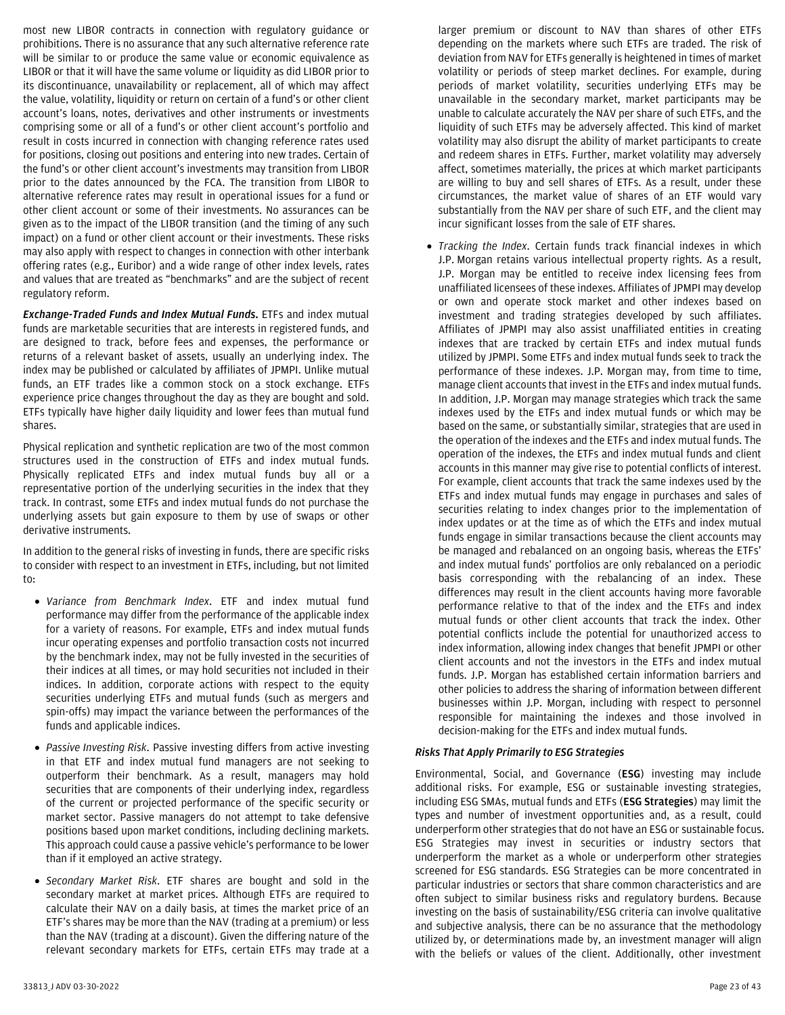most new LIBOR contracts in connection with regulatory guidance or prohibitions. There is no assurance that any such alternative reference rate will be similar to or produce the same value or economic equivalence as LIBOR or that it will have the same volume or liquidity as did LIBOR prior to its discontinuance, unavailability or replacement, all of which may affect the value, volatility, liquidity or return on certain of a fund's or other client account's loans, notes, derivatives and other instruments or investments comprising some or all of a fund's or other client account's portfolio and result in costs incurred in connection with changing reference rates used for positions, closing out positions and entering into new trades. Certain of the fund's or other client account's investments may transition from LIBOR prior to the dates announced by the FCA. The transition from LIBOR to alternative reference rates may result in operational issues for a fund or other client account or some of their investments. No assurances can be given as to the impact of the LIBOR transition (and the timing of any such impact) on a fund or other client account or their investments. These risks may also apply with respect to changes in connection with other interbank offering rates (e.g., Euribor) and a wide range of other index levels, rates and values that are treated as "benchmarks" and are the subject of recent regulatory reform.

*Exchange-Traded Funds and Index Mutual Funds.* ETFs and index mutual funds are marketable securities that are interests in registered funds, and are designed to track, before fees and expenses, the performance or returns of a relevant basket of assets, usually an underlying index. The index may be published or calculated by affiliates of JPMPI. Unlike mutual funds, an ETF trades like a common stock on a stock exchange. ETFs experience price changes throughout the day as they are bought and sold. ETFs typically have higher daily liquidity and lower fees than mutual fund shares.

Physical replication and synthetic replication are two of the most common structures used in the construction of ETFs and index mutual funds. Physically replicated ETFs and index mutual funds buy all or a representative portion of the underlying securities in the index that they track. In contrast, some ETFs and index mutual funds do not purchase the underlying assets but gain exposure to them by use of swaps or other derivative instruments.

In addition to the general risks of investing in funds, there are specific risks to consider with respect to an investment in ETFs, including, but not limited to:

- *Variance from Benchmark Index*. ETF and index mutual fund performance may differ from the performance of the applicable index for a variety of reasons. For example, ETFs and index mutual funds incur operating expenses and portfolio transaction costs not incurred by the benchmark index, may not be fully invested in the securities of their indices at all times, or may hold securities not included in their indices. In addition, corporate actions with respect to the equity securities underlying ETFs and mutual funds (such as mergers and spin-offs) may impact the variance between the performances of the funds and applicable indices.
- *Passive Investing Risk*. Passive investing differs from active investing in that ETF and index mutual fund managers are not seeking to outperform their benchmark. As a result, managers may hold securities that are components of their underlying index, regardless of the current or projected performance of the specific security or market sector. Passive managers do not attempt to take defensive positions based upon market conditions, including declining markets. This approach could cause a passive vehicle's performance to be lower than if it employed an active strategy.
- *Secondary Market Risk*. ETF shares are bought and sold in the secondary market at market prices. Although ETFs are required to calculate their NAV on a daily basis, at times the market price of an ETF's shares may be more than the NAV (trading at a premium) or less than the NAV (trading at a discount). Given the differing nature of the relevant secondary markets for ETFs, certain ETFs may trade at a

larger premium or discount to NAV than shares of other ETFs depending on the markets where such ETFs are traded. The risk of deviation from NAV for ETFs generally is heightened in times of market volatility or periods of steep market declines. For example, during periods of market volatility, securities underlying ETFs may be unavailable in the secondary market, market participants may be unable to calculate accurately the NAV per share of such ETFs, and the liquidity of such ETFs may be adversely affected. This kind of market volatility may also disrupt the ability of market participants to create and redeem shares in ETFs. Further, market volatility may adversely affect, sometimes materially, the prices at which market participants are willing to buy and sell shares of ETFs. As a result, under these circumstances, the market value of shares of an ETF would vary substantially from the NAV per share of such ETF, and the client may incur significant losses from the sale of ETF shares.

• *Tracking the Index*. Certain funds track financial indexes in which J.P. Morgan retains various intellectual property rights. As a result, J.P. Morgan may be entitled to receive index licensing fees from unaffiliated licensees of these indexes. Affiliates of JPMPI may develop or own and operate stock market and other indexes based on investment and trading strategies developed by such affiliates. Affiliates of JPMPI may also assist unaffiliated entities in creating indexes that are tracked by certain ETFs and index mutual funds utilized by JPMPI. Some ETFs and index mutual funds seek to track the performance of these indexes. J.P. Morgan may, from time to time, manage client accounts that invest in the ETFs and index mutual funds. In addition, J.P. Morgan may manage strategies which track the same indexes used by the ETFs and index mutual funds or which may be based on the same, or substantially similar, strategies that are used in the operation of the indexes and the ETFs and index mutual funds. The operation of the indexes, the ETFs and index mutual funds and client accounts in this manner may give rise to potential conflicts of interest. For example, client accounts that track the same indexes used by the ETFs and index mutual funds may engage in purchases and sales of securities relating to index changes prior to the implementation of index updates or at the time as of which the ETFs and index mutual funds engage in similar transactions because the client accounts may be managed and rebalanced on an ongoing basis, whereas the ETFs' and index mutual funds' portfolios are only rebalanced on a periodic basis corresponding with the rebalancing of an index. These differences may result in the client accounts having more favorable performance relative to that of the index and the ETFs and index mutual funds or other client accounts that track the index. Other potential conflicts include the potential for unauthorized access to index information, allowing index changes that benefit JPMPI or other client accounts and not the investors in the ETFs and index mutual funds. J.P. Morgan has established certain information barriers and other policies to address the sharing of information between different businesses within J.P. Morgan, including with respect to personnel responsible for maintaining the indexes and those involved in decision-making for the ETFs and index mutual funds.

## *Risks That Apply Primarily to ESG Strategies*

Environmental, Social, and Governance (**ESG**) investing may include additional risks. For example, ESG or sustainable investing strategies, including ESG SMAs, mutual funds and ETFs (**ESG Strategies**) may limit the types and number of investment opportunities and, as a result, could underperform other strategies that do not have an ESG or sustainable focus. ESG Strategies may invest in securities or industry sectors that underperform the market as a whole or underperform other strategies screened for ESG standards. ESG Strategies can be more concentrated in particular industries or sectors that share common characteristics and are often subject to similar business risks and regulatory burdens. Because investing on the basis of sustainability/ESG criteria can involve qualitative and subjective analysis, there can be no assurance that the methodology utilized by, or determinations made by, an investment manager will align with the beliefs or values of the client. Additionally, other investment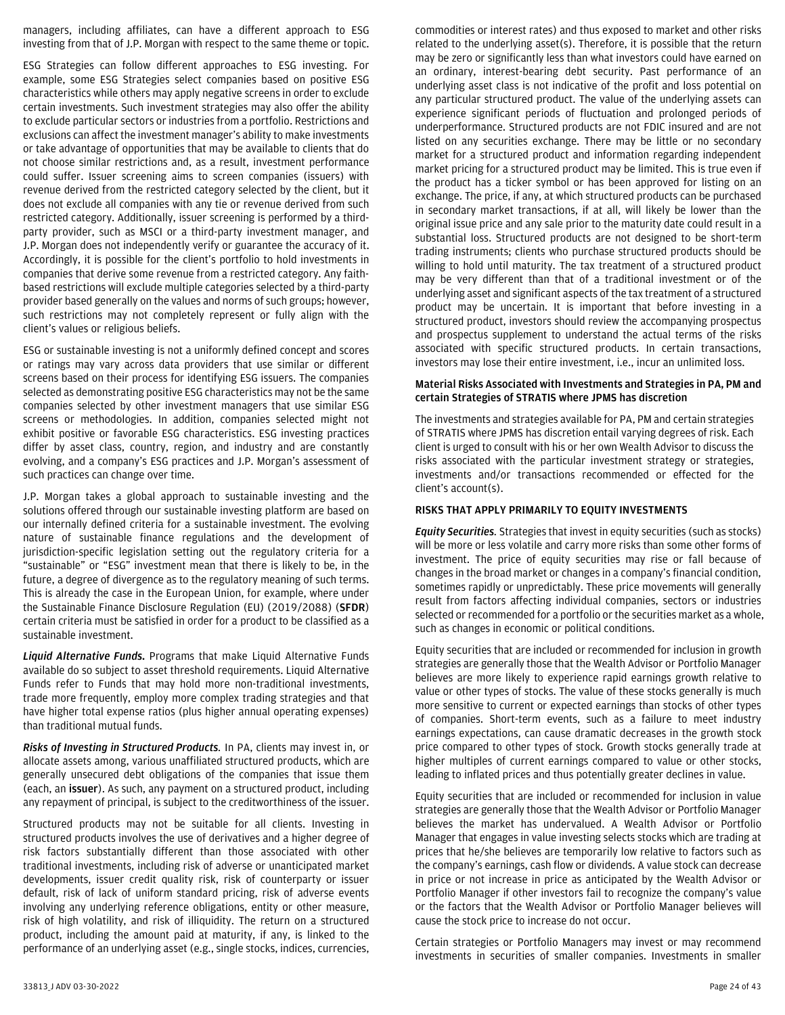managers, including affiliates, can have a different approach to ESG investing from that of J.P. Morgan with respect to the same theme or topic.

ESG Strategies can follow different approaches to ESG investing. For example, some ESG Strategies select companies based on positive ESG characteristics while others may apply negative screens in order to exclude certain investments. Such investment strategies may also offer the ability to exclude particular sectors or industries from a portfolio. Restrictions and exclusions can affect the investment manager's ability to make investments or take advantage of opportunities that may be available to clients that do not choose similar restrictions and, as a result, investment performance could suffer. Issuer screening aims to screen companies (issuers) with revenue derived from the restricted category selected by the client, but it does not exclude all companies with any tie or revenue derived from such restricted category. Additionally, issuer screening is performed by a thirdparty provider, such as MSCI or a third-party investment manager, and J.P. Morgan does not independently verify or guarantee the accuracy of it. Accordingly, it is possible for the client's portfolio to hold investments in companies that derive some revenue from a restricted category. Any faithbased restrictions will exclude multiple categories selected by a third-party provider based generally on the values and norms of such groups; however, such restrictions may not completely represent or fully align with the client's values or religious beliefs.

ESG or sustainable investing is not a uniformly defined concept and scores or ratings may vary across data providers that use similar or different screens based on their process for identifying ESG issuers. The companies selected as demonstrating positive ESG characteristics may not be the same companies selected by other investment managers that use similar ESG screens or methodologies. In addition, companies selected might not exhibit positive or favorable ESG characteristics. ESG investing practices differ by asset class, country, region, and industry and are constantly evolving, and a company's ESG practices and J.P. Morgan's assessment of such practices can change over time.

J.P. Morgan takes a global approach to sustainable investing and the solutions offered through our sustainable investing platform are based on our internally defined criteria for a sustainable investment. The evolving nature of sustainable finance regulations and the development of jurisdiction-specific legislation setting out the regulatory criteria for a "sustainable" or "ESG" investment mean that there is likely to be, in the future, a degree of divergence as to the regulatory meaning of such terms. This is already the case in the European Union, for example, where under the Sustainable Finance Disclosure Regulation (EU) (2019/2088) (**SFDR**) certain criteria must be satisfied in order for a product to be classified as a sustainable investment.

*Liquid Alternative Funds.* Programs that make Liquid Alternative Funds available do so subject to asset threshold requirements. Liquid Alternative Funds refer to Funds that may hold more non-traditional investments, trade more frequently, employ more complex trading strategies and that have higher total expense ratios (plus higher annual operating expenses) than traditional mutual funds.

*Risks of Investing in Structured Products.* In PA, clients may invest in, or allocate assets among, various unaffiliated structured products, which are generally unsecured debt obligations of the companies that issue them (each, an **issuer**). As such, any payment on a structured product, including any repayment of principal, is subject to the creditworthiness of the issuer.

Structured products may not be suitable for all clients. Investing in structured products involves the use of derivatives and a higher degree of risk factors substantially different than those associated with other traditional investments, including risk of adverse or unanticipated market developments, issuer credit quality risk, risk of counterparty or issuer default, risk of lack of uniform standard pricing, risk of adverse events involving any underlying reference obligations, entity or other measure, risk of high volatility, and risk of illiquidity. The return on a structured product, including the amount paid at maturity, if any, is linked to the performance of an underlying asset (e.g., single stocks, indices, currencies,

commodities or interest rates) and thus exposed to market and other risks related to the underlying asset(s). Therefore, it is possible that the return may be zero or significantly less than what investors could have earned on an ordinary, interest-bearing debt security. Past performance of an underlying asset class is not indicative of the profit and loss potential on any particular structured product. The value of the underlying assets can experience significant periods of fluctuation and prolonged periods of underperformance. Structured products are not FDIC insured and are not listed on any securities exchange. There may be little or no secondary market for a structured product and information regarding independent market pricing for a structured product may be limited. This is true even if the product has a ticker symbol or has been approved for listing on an exchange. The price, if any, at which structured products can be purchased in secondary market transactions, if at all, will likely be lower than the original issue price and any sale prior to the maturity date could result in a substantial loss. Structured products are not designed to be short-term trading instruments; clients who purchase structured products should be willing to hold until maturity. The tax treatment of a structured product may be very different than that of a traditional investment or of the underlying asset and significant aspects of the tax treatment of a structured product may be uncertain. It is important that before investing in a structured product, investors should review the accompanying prospectus and prospectus supplement to understand the actual terms of the risks associated with specific structured products. In certain transactions, investors may lose their entire investment, i.e., incur an unlimited loss.

#### **Material Risks Associated with Investments and Strategies in PA, PM and certain Strategies of STRATIS where JPMS has discretion**

The investments and strategies available for PA, PM and certain strategies of STRATIS where JPMS has discretion entail varying degrees of risk. Each client is urged to consult with his or her own Wealth Advisor to discuss the risks associated with the particular investment strategy or strategies, investments and/or transactions recommended or effected for the client's account(s).

## **RISKS THAT APPLY PRIMARILY TO EQUITY INVESTMENTS**

*Equity Securities.* Strategies that invest in equity securities (such as stocks) will be more or less volatile and carry more risks than some other forms of investment. The price of equity securities may rise or fall because of changes in the broad market or changes in a company's financial condition, sometimes rapidly or unpredictably. These price movements will generally result from factors affecting individual companies, sectors or industries selected or recommended for a portfolio or the securities market as a whole, such as changes in economic or political conditions.

Equity securities that are included or recommended for inclusion in growth strategies are generally those that the Wealth Advisor or Portfolio Manager believes are more likely to experience rapid earnings growth relative to value or other types of stocks. The value of these stocks generally is much more sensitive to current or expected earnings than stocks of other types of companies. Short-term events, such as a failure to meet industry earnings expectations, can cause dramatic decreases in the growth stock price compared to other types of stock. Growth stocks generally trade at higher multiples of current earnings compared to value or other stocks, leading to inflated prices and thus potentially greater declines in value.

Equity securities that are included or recommended for inclusion in value strategies are generally those that the Wealth Advisor or Portfolio Manager believes the market has undervalued. A Wealth Advisor or Portfolio Manager that engages in value investing selects stocks which are trading at prices that he/she believes are temporarily low relative to factors such as the company's earnings, cash flow or dividends. A value stock can decrease in price or not increase in price as anticipated by the Wealth Advisor or Portfolio Manager if other investors fail to recognize the company's value or the factors that the Wealth Advisor or Portfolio Manager believes will cause the stock price to increase do not occur.

Certain strategies or Portfolio Managers may invest or may recommend investments in securities of smaller companies. Investments in smaller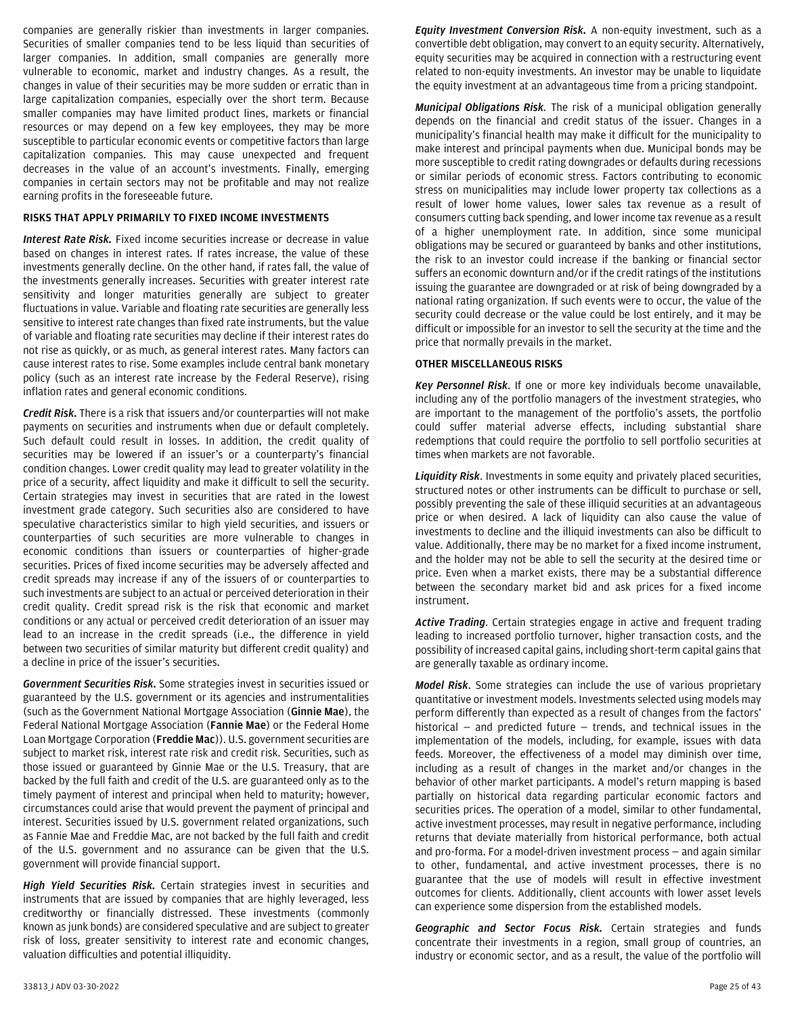companies are generally riskier than investments in larger companies. Securities of smaller companies tend to be less liquid than securities of larger companies. In addition, small companies are generally more vulnerable to economic, market and industry changes. As a result, the changes in value of their securities may be more sudden or erratic than in large capitalization companies, especially over the short term. Because smaller companies may have limited product lines, markets or financial resources or may depend on a few key employees, they may be more susceptible to particular economic events or competitive factors than large capitalization companies. This may cause unexpected and frequent decreases in the value of an account's investments. Finally, emerging companies in certain sectors may not be profitable and may not realize earning profits in the foreseeable future.

## **RISKS THAT APPLY PRIMARILY TO FIXED INCOME INVESTMENTS**

*Interest Rate Risk.* Fixed income securities increase or decrease in value based on changes in interest rates. If rates increase, the value of these investments generally decline. On the other hand, if rates fall, the value of the investments generally increases. Securities with greater interest rate sensitivity and longer maturities generally are subject to greater fluctuations in value. Variable and floating rate securities are generally less sensitive to interest rate changes than fixed rate instruments, but the value of variable and floating rate securities may decline if their interest rates do not rise as quickly, or as much, as general interest rates. Many factors can cause interest rates to rise. Some examples include central bank monetary policy (such as an interest rate increase by the Federal Reserve), rising inflation rates and general economic conditions.

*Credit Risk.* There is a risk that issuers and/or counterparties will not make payments on securities and instruments when due or default completely. Such default could result in losses. In addition, the credit quality of securities may be lowered if an issuer's or a counterparty's financial condition changes. Lower credit quality may lead to greater volatility in the price of a security, affect liquidity and make it difficult to sell the security. Certain strategies may invest in securities that are rated in the lowest investment grade category. Such securities also are considered to have speculative characteristics similar to high yield securities, and issuers or counterparties of such securities are more vulnerable to changes in economic conditions than issuers or counterparties of higher-grade securities. Prices of fixed income securities may be adversely affected and credit spreads may increase if any of the issuers of or counterparties to such investments are subject to an actual or perceived deterioration in their credit quality. Credit spread risk is the risk that economic and market conditions or any actual or perceived credit deterioration of an issuer may lead to an increase in the credit spreads (i.e., the difference in yield between two securities of similar maturity but different credit quality) and a decline in price of the issuer's securities.

*Government Securities Risk.* Some strategies invest in securities issued or guaranteed by the U.S. government or its agencies and instrumentalities (such as the Government National Mortgage Association (**Ginnie Mae**), the Federal National Mortgage Association (**Fannie Mae**) or the Federal Home Loan Mortgage Corporation (**Freddie Mac**)). U.S. government securities are subject to market risk, interest rate risk and credit risk. Securities, such as those issued or guaranteed by Ginnie Mae or the U.S. Treasury, that are backed by the full faith and credit of the U.S. are guaranteed only as to the timely payment of interest and principal when held to maturity; however, circumstances could arise that would prevent the payment of principal and interest. Securities issued by U.S. government related organizations, such as Fannie Mae and Freddie Mac, are not backed by the full faith and credit of the U.S. government and no assurance can be given that the U.S. government will provide financial support.

*High Yield Securities Risk.* Certain strategies invest in securities and instruments that are issued by companies that are highly leveraged, less creditworthy or financially distressed. These investments (commonly known as junk bonds) are considered speculative and are subject to greater risk of loss, greater sensitivity to interest rate and economic changes, valuation difficulties and potential illiquidity.

*Equity Investment Conversion Risk.* A non-equity investment, such as a convertible debt obligation, may convert to an equity security. Alternatively, equity securities may be acquired in connection with a restructuring event related to non-equity investments. An investor may be unable to liquidate the equity investment at an advantageous time from a pricing standpoint.

*Municipal Obligations Risk.* The risk of a municipal obligation generally depends on the financial and credit status of the issuer. Changes in a municipality's financial health may make it difficult for the municipality to make interest and principal payments when due. Municipal bonds may be more susceptible to credit rating downgrades or defaults during recessions or similar periods of economic stress. Factors contributing to economic stress on municipalities may include lower property tax collections as a result of lower home values, lower sales tax revenue as a result of consumers cutting back spending, and lower income tax revenue as a result of a higher unemployment rate. In addition, since some municipal obligations may be secured or guaranteed by banks and other institutions, the risk to an investor could increase if the banking or financial sector suffers an economic downturn and/or if the credit ratings of the institutions issuing the guarantee are downgraded or at risk of being downgraded by a national rating organization. If such events were to occur, the value of the security could decrease or the value could be lost entirely, and it may be difficult or impossible for an investor to sell the security at the time and the price that normally prevails in the market.

#### **OTHER MISCELLANEOUS RISKS**

*Key Personnel Risk*. If one or more key individuals become unavailable, including any of the portfolio managers of the investment strategies, who are important to the management of the portfolio's assets, the portfolio could suffer material adverse effects, including substantial share redemptions that could require the portfolio to sell portfolio securities at times when markets are not favorable.

*Liquidity Risk*. Investments in some equity and privately placed securities, structured notes or other instruments can be difficult to purchase or sell, possibly preventing the sale of these illiquid securities at an advantageous price or when desired. A lack of liquidity can also cause the value of investments to decline and the illiquid investments can also be difficult to value. Additionally, there may be no market for a fixed income instrument, and the holder may not be able to sell the security at the desired time or price. Even when a market exists, there may be a substantial difference between the secondary market bid and ask prices for a fixed income instrument.

*Active Trading*. Certain strategies engage in active and frequent trading leading to increased portfolio turnover, higher transaction costs, and the possibility of increased capital gains, including short-term capital gains that are generally taxable as ordinary income.

*Model Risk*. Some strategies can include the use of various proprietary quantitative or investment models. Investments selected using models may perform differently than expected as a result of changes from the factors' historical  $-$  and predicted future  $-$  trends, and technical issues in the implementation of the models, including, for example, issues with data feeds. Moreover, the effectiveness of a model may diminish over time, including as a result of changes in the market and/or changes in the behavior of other market participants. A model's return mapping is based partially on historical data regarding particular economic factors and securities prices. The operation of a model, similar to other fundamental, active investment processes, may result in negative performance, including returns that deviate materially from historical performance, both actual and pro-forma. For a model-driven investment process — and again similar to other, fundamental, and active investment processes, there is no guarantee that the use of models will result in effective investment outcomes for clients. Additionally, client accounts with lower asset levels can experience some dispersion from the established models.

*Geographic and Sector Focus Risk.* Certain strategies and funds concentrate their investments in a region, small group of countries, an industry or economic sector, and as a result, the value of the portfolio will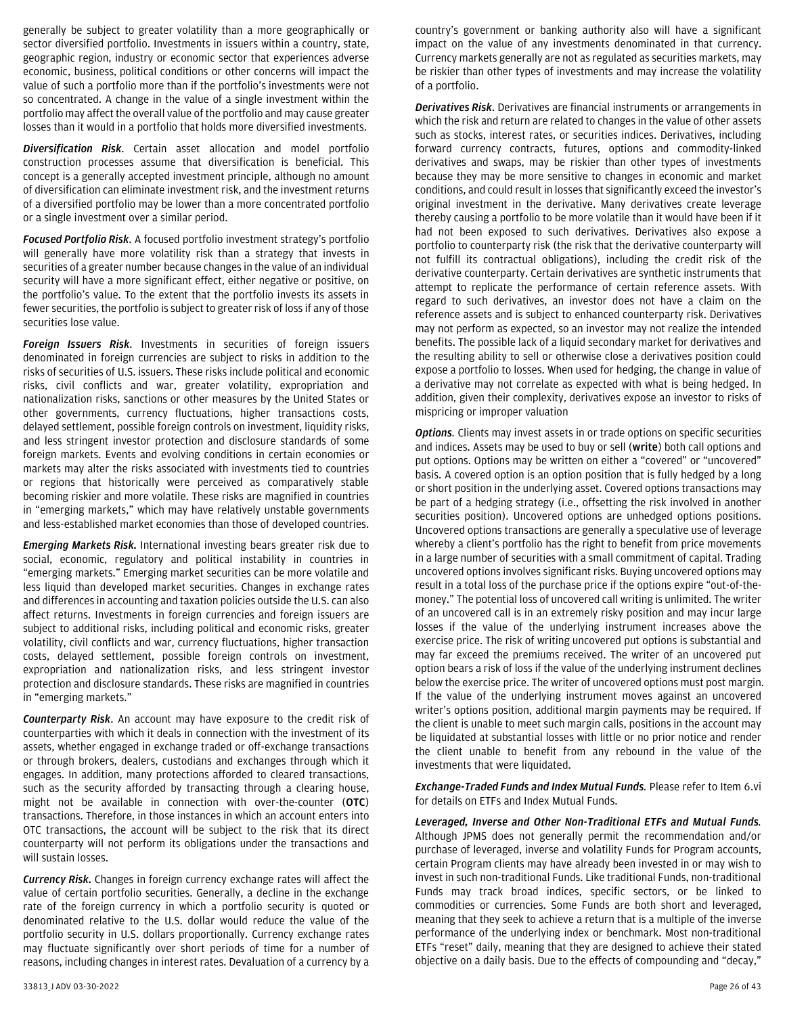generally be subject to greater volatility than a more geographically or sector diversified portfolio. Investments in issuers within a country, state, geographic region, industry or economic sector that experiences adverse economic, business, political conditions or other concerns will impact the value of such a portfolio more than if the portfolio's investments were not so concentrated. A change in the value of a single investment within the portfoliomay affect the overall value of the portfolio and may cause greater losses than it would in a portfolio that holds more diversified investments.

*Diversification Risk*. Certain asset allocation and model portfolio construction processes assume that diversification is beneficial. This concept is a generally accepted investment principle, although no amount of diversification can eliminate investment risk, and the investment returns of a diversified portfolio may be lower than a more concentrated portfolio or a single investment over a similar period.

*Focused Portfolio Risk*. A focused portfolio investment strategy's portfolio will generally have more volatility risk than a strategy that invests in securities of a greater number because changes in the value of an individual security will have a more significant effect, either negative or positive, on the portfolio's value. To the extent that the portfolio invests its assets in fewer securities, the portfolio is subject to greater risk of loss if any of those securities lose value.

*Foreign Issuers Risk*. Investments in securities of foreign issuers denominated in foreign currencies are subject to risks in addition to the risks of securities of U.S. issuers. These risks include political and economic risks, civil conflicts and war, greater volatility, expropriation and nationalization risks, sanctions or other measures by the United States or other governments, currency fluctuations, higher transactions costs, delayed settlement, possible foreign controls on investment, liquidity risks, and less stringent investor protection and disclosure standards of some foreign markets. Events and evolving conditions in certain economies or markets may alter the risks associated with investments tied to countries or regions that historically were perceived as comparatively stable becoming riskier and more volatile. These risks are magnified in countries in "emerging markets," which may have relatively unstable governments and less-established market economies than those of developed countries.

*Emerging Markets Risk.* International investing bears greater risk due to social, economic, regulatory and political instability in countries in "emerging markets." Emerging market securities can be more volatile and less liquid than developed market securities. Changes in exchange rates and differences in accounting and taxation policies outside the U.S. can also affect returns. Investments in foreign currencies and foreign issuers are subject to additional risks, including political and economic risks, greater volatility, civil conflicts and war, currency fluctuations, higher transaction costs, delayed settlement, possible foreign controls on investment, expropriation and nationalization risks, and less stringent investor protection and disclosure standards. These risks are magnified in countries in "emerging markets."

*Counterparty Risk*. An account may have exposure to the credit risk of counterparties with which it deals in connection with the investment of its assets, whether engaged in exchange traded or off-exchange transactions or through brokers, dealers, custodians and exchanges through which it engages. In addition, many protections afforded to cleared transactions, such as the security afforded by transacting through a clearing house, might not be available in connection with over-the-counter (**OTC**) transactions. Therefore, in those instances in which an account enters into OTC transactions, the account will be subject to the risk that its direct counterparty will not perform its obligations under the transactions and will sustain losses.

*Currency Risk.* Changes in foreign currency exchange rates will affect the value of certain portfolio securities. Generally, a decline in the exchange rate of the foreign currency in which a portfolio security is quoted or denominated relative to the U.S. dollar would reduce the value of the portfolio security in U.S. dollars proportionally. Currency exchange rates may fluctuate significantly over short periods of time for a number of reasons, including changes in interest rates. Devaluation of a currency by a

country's government or banking authority also will have a significant impact on the value of any investments denominated in that currency. Currency markets generally are not as regulated as securities markets, may be riskier than other types of investments and may increase the volatility of a portfolio.

*Derivatives Risk*. Derivatives are financial instruments or arrangements in which the risk and return are related to changes in the value of other assets such as stocks, interest rates, or securities indices. Derivatives, including forward currency contracts, futures, options and commodity-linked derivatives and swaps, may be riskier than other types of investments because they may be more sensitive to changes in economic and market conditions, and could result in losses that significantly exceed the investor's original investment in the derivative. Many derivatives create leverage thereby causing a portfolio to be more volatile than it would have been if it had not been exposed to such derivatives. Derivatives also expose a portfolio to counterparty risk (the risk that the derivative counterparty will not fulfill its contractual obligations), including the credit risk of the derivative counterparty. Certain derivatives are synthetic instruments that attempt to replicate the performance of certain reference assets. With regard to such derivatives, an investor does not have a claim on the reference assets and is subject to enhanced counterparty risk. Derivatives may not perform as expected, so an investor may not realize the intended benefits. The possible lack of a liquid secondary market for derivatives and the resulting ability to sell or otherwise close a derivatives position could expose a portfolio to losses. When used for hedging, the change in value of a derivative may not correlate as expected with what is being hedged. In addition, given their complexity, derivatives expose an investor to risks of mispricing or improper valuation

*Options.* Clients may invest assets in or trade options on specific securities and indices. Assets may be used to buy or sell (**write**) both call options and put options. Options may be written on either a "covered" or "uncovered" basis. A covered option is an option position that is fully hedged by a long or short position in the underlying asset. Covered options transactions may be part of a hedging strategy (i.e., offsetting the risk involved in another securities position). Uncovered options are unhedged options positions. Uncovered options transactions are generally a speculative use of leverage whereby a client's portfolio has the right to benefit from price movements in a large number of securities with a small commitment of capital. Trading uncovered options involves significant risks. Buying uncovered options may result in a total loss of the purchase price if the options expire "out-of-themoney." The potential loss of uncovered call writing is unlimited. The writer of an uncovered call is in an extremely risky position and may incur large losses if the value of the underlying instrument increases above the exercise price. The risk of writing uncovered put options is substantial and may far exceed the premiums received. The writer of an uncovered put option bears a risk of loss if the value of the underlying instrument declines below the exercise price. The writer of uncovered options must post margin. If the value of the underlying instrument moves against an uncovered writer's options position, additional margin payments may be required. If the client is unable to meet such margin calls, positions in the account may be liquidated at substantial losses with little or no prior notice and render the client unable to benefit from any rebound in the value of the investments that were liquidated.

*Exchange-Traded Funds and Index Mutual Funds.* Please refer to Item 6.vi for details on ETFs and Index Mutual Funds.

*Leveraged, Inverse and Other Non-Traditional ETFs and Mutual Funds.* Although JPMS does not generally permit the recommendation and/or purchase of leveraged, inverse and volatility Funds for Program accounts, certain Program clients may have already been invested in or may wish to invest in such non-traditional Funds. Like traditional Funds, non-traditional Funds may track broad indices, specific sectors, or be linked to commodities or currencies. Some Funds are both short and leveraged, meaning that they seek to achieve a return that is a multiple of the inverse performance of the underlying index or benchmark. Most non-traditional ETFs "reset" daily, meaning that they are designed to achieve their stated objective on a daily basis. Due to the effects of compounding and "decay,"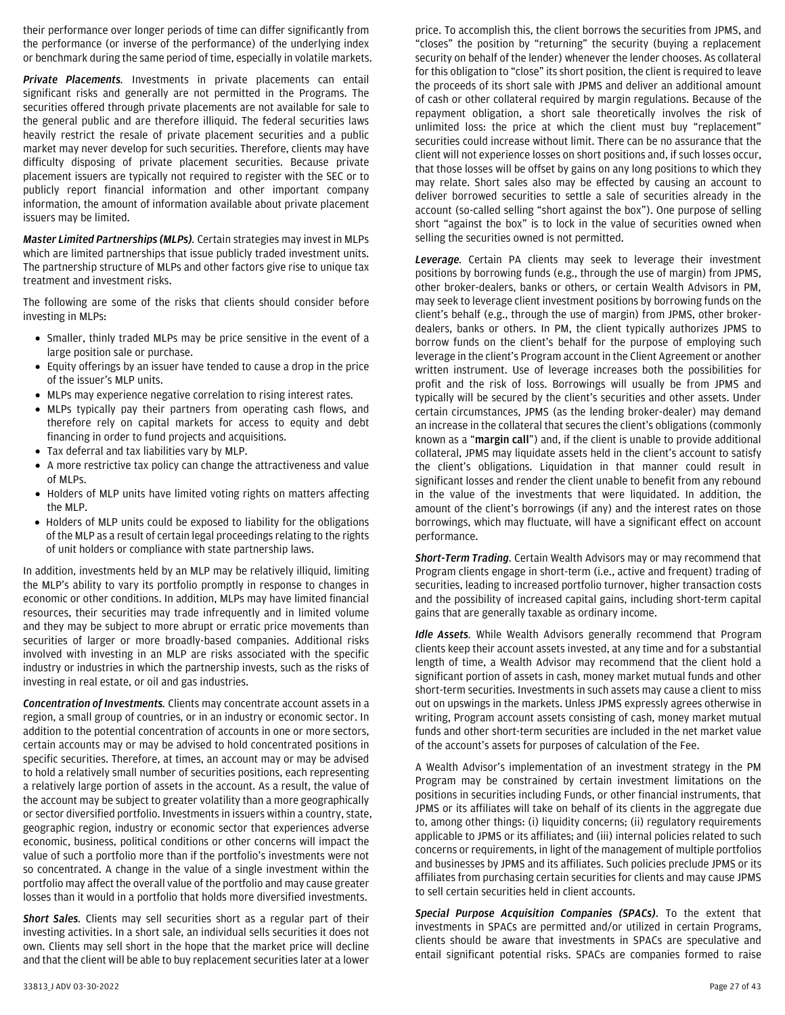their performance over longer periods of time can differ significantly from the performance (or inverse of the performance) of the underlying index or benchmark during the same period of time, especially in volatile markets.

*Private Placements.* Investments in private placements can entail significant risks and generally are not permitted in the Programs. The securities offered through private placements are not available for sale to the general public and are therefore illiquid. The federal securities laws heavily restrict the resale of private placement securities and a public market may never develop for such securities. Therefore, clients may have difficulty disposing of private placement securities. Because private placement issuers are typically not required to register with the SEC or to publicly report financial information and other important company information, the amount of information available about private placement issuers may be limited.

*Master Limited Partnerships (MLPs).* Certain strategies may invest in MLPs which are limited partnerships that issue publicly traded investment units. The partnership structure of MLPs and other factors give rise to unique tax treatment and investment risks.

The following are some of the risks that clients should consider before investing in MLPs:

- Smaller, thinly traded MLPs may be price sensitive in the event of a large position sale or purchase.
- Equity offerings by an issuer have tended to cause a drop in the price of the issuer's MLP units.
- MLPs may experience negative correlation to rising interest rates.
- MLPs typically pay their partners from operating cash flows, and therefore rely on capital markets for access to equity and debt financing in order to fund projects and acquisitions.
- Tax deferral and tax liabilities vary by MLP.
- A more restrictive tax policy can change the attractiveness and value of MLPs.
- Holders of MLP units have limited voting rights on matters affecting the MLP.
- Holders of MLP units could be exposed to liability for the obligations of the MLP as a result of certain legal proceedings relating to the rights of unit holders or compliance with state partnership laws.

In addition, investments held by an MLP may be relatively illiquid, limiting the MLP's ability to vary its portfolio promptly in response to changes in economic or other conditions. In addition, MLPs may have limited financial resources, their securities may trade infrequently and in limited volume and they may be subject to more abrupt or erratic price movements than securities of larger or more broadly-based companies. Additional risks involved with investing in an MLP are risks associated with the specific industry or industries in which the partnership invests, such as the risks of investing in real estate, or oil and gas industries.

*Concentration of Investments.* Clients may concentrate account assets in a region, a small group of countries, or in an industry or economic sector. In addition to the potential concentration of accounts in one or more sectors, certain accounts may or may be advised to hold concentrated positions in specific securities. Therefore, at times, an account may or may be advised to hold a relatively small number of securities positions, each representing a relatively large portion of assets in the account. As a result, the value of the account may be subject to greater volatility than a more geographically or sector diversified portfolio. Investments in issuers within a country, state, geographic region, industry or economic sector that experiences adverse economic, business, political conditions or other concerns will impact the value of such a portfolio more than if the portfolio's investments were not so concentrated. A change in the value of a single investment within the portfolio may affect the overall value of the portfolio and may cause greater losses than it would in a portfolio that holds more diversified investments.

*Short Sales.* Clients may sell securities short as a regular part of their investing activities. In a short sale, an individual sells securities it does not own. Clients may sell short in the hope that the market price will decline and that the client will be able to buy replacement securities later at a lower

price. To accomplish this, the client borrows the securities from JPMS, and "closes" the position by "returning" the security (buying a replacement security on behalf of the lender) whenever the lender chooses. As collateral for this obligation to "close" its short position, the client is required to leave the proceeds of its short sale with JPMS and deliver an additional amount of cash or other collateral required by margin regulations. Because of the repayment obligation, a short sale theoretically involves the risk of unlimited loss: the price at which the client must buy "replacement" securities could increase without limit. There can be no assurance that the client will not experience losses on short positions and, if such losses occur, that those losses will be offset by gains on any long positions to which they may relate. Short sales also may be effected by causing an account to deliver borrowed securities to settle a sale of securities already in the account (so-called selling "short against the box"). One purpose of selling short "against the box" is to lock in the value of securities owned when selling the securities owned is not permitted.

*Leverage.* Certain PA clients may seek to leverage their investment positions by borrowing funds (e.g., through the use of margin) from JPMS, other broker-dealers, banks or others, or certain Wealth Advisors in PM, may seek to leverage client investment positions by borrowing funds on the client's behalf (e.g., through the use of margin) from JPMS, other brokerdealers, banks or others. In PM, the client typically authorizes JPMS to borrow funds on the client's behalf for the purpose of employing such leverage in the client's Program account in the Client Agreement or another written instrument. Use of leverage increases both the possibilities for profit and the risk of loss. Borrowings will usually be from JPMS and typically will be secured by the client's securities and other assets. Under certain circumstances, JPMS (as the lending broker-dealer) may demand an increase in the collateral that secures the client's obligations (commonly known as a "**margin call**") and, if the client is unable to provide additional collateral, JPMS may liquidate assets held in the client's account to satisfy the client's obligations. Liquidation in that manner could result in significant losses and render the client unable to benefit from any rebound in the value of the investments that were liquidated. In addition, the amount of the client's borrowings (if any) and the interest rates on those borrowings, which may fluctuate, will have a significant effect on account performance.

*Short-Term Trading.* Certain Wealth Advisors may or may recommend that Program clients engage in short-term (i.e., active and frequent) trading of securities, leading to increased portfolio turnover, higher transaction costs and the possibility of increased capital gains, including short-term capital gains that are generally taxable as ordinary income.

*Idle Assets.* While Wealth Advisors generally recommend that Program clients keep their account assets invested, at any time and for a substantial length of time, a Wealth Advisor may recommend that the client hold a significant portion of assets in cash, money market mutual funds and other short-term securities. Investments in such assets may cause a client to miss out on upswings in the markets. Unless JPMS expressly agrees otherwise in writing, Program account assets consisting of cash, money market mutual funds and other short-term securities are included in the net market value of the account's assets for purposes of calculation of the Fee.

A Wealth Advisor's implementation of an investment strategy in the PM Program may be constrained by certain investment limitations on the positions in securities including Funds, or other financial instruments, that JPMS or its affiliates will take on behalf of its clients in the aggregate due to, among other things: (i) liquidity concerns; (ii) regulatory requirements applicable to JPMS or its affiliates; and (iii) internal policies related to such concerns or requirements, in light of the management of multiple portfolios and businesses by JPMS and its affiliates. Such policies preclude JPMS or its affiliates from purchasing certain securities for clients and may cause JPMS to sell certain securities held in client accounts.

*Special Purpose Acquisition Companies (SPACs)*. To the extent that investments in SPACs are permitted and/or utilized in certain Programs, clients should be aware that investments in SPACs are speculative and entail significant potential risks. SPACs are companies formed to raise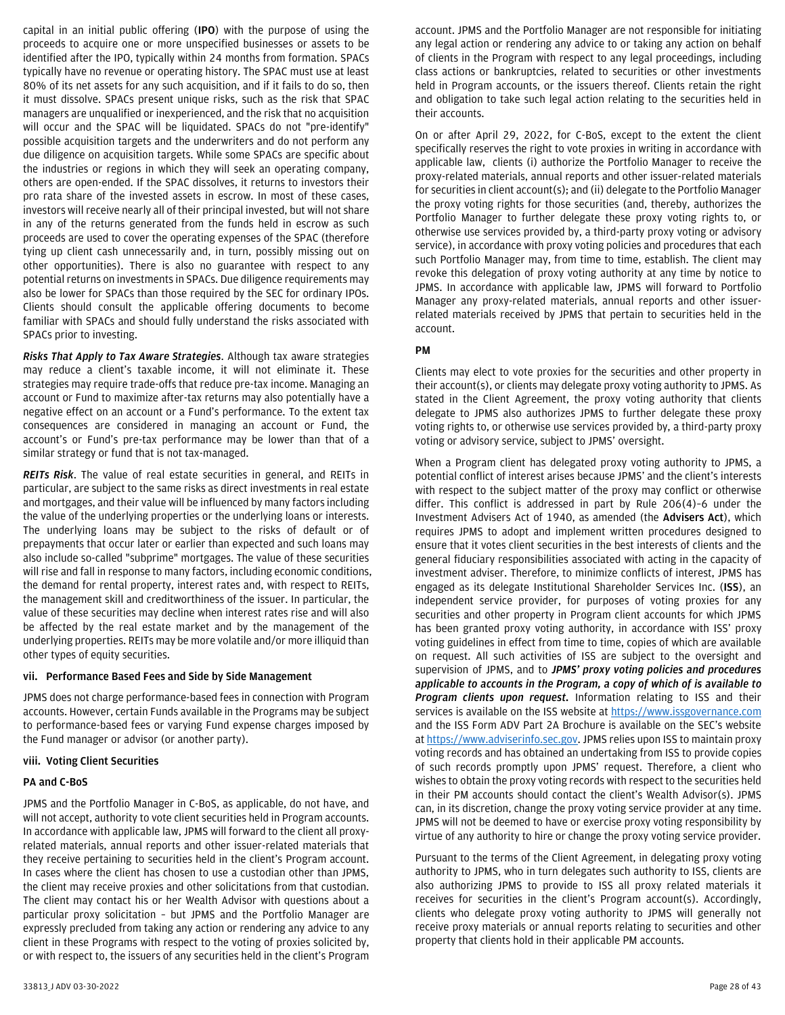capital in an initial public offering (**IPO**) with the purpose of using the proceeds to acquire one or more unspecified businesses or assets to be identified after the IPO, typically within 24 months from formation. SPACs typically have no revenue or operating history. The SPAC must use at least 80% of its net assets for any such acquisition, and if it fails to do so, then it must dissolve. SPACs present unique risks, such as the risk that SPAC managers are unqualified or inexperienced, and the risk that no acquisition will occur and the SPAC will be liquidated. SPACs do not "pre-identify" possible acquisition targets and the underwriters and do not perform any due diligence on acquisition targets. While some SPACs are specific about the industries or regions in which they will seek an operating company, others are open-ended. If the SPAC dissolves, it returns to investors their pro rata share of the invested assets in escrow. In most of these cases, investors will receive nearly all of their principal invested, but will not share in any of the returns generated from the funds held in escrow as such proceeds are used to cover the operating expenses of the SPAC (therefore tying up client cash unnecessarily and, in turn, possibly missing out on other opportunities). There is also no guarantee with respect to any potential returns on investments in SPACs. Due diligence requirements may also be lower for SPACs than those required by the SEC for ordinary IPOs. Clients should consult the applicable offering documents to become familiar with SPACs and should fully understand the risks associated with SPACs prior to investing.

*Risks That Apply to Tax Aware Strategies*. Although tax aware strategies may reduce a client's taxable income, it will not eliminate it. These strategies may require trade-offs that reduce pre-tax income. Managing an account or Fund to maximize after-tax returns may also potentially have a negative effect on an account or a Fund's performance. To the extent tax consequences are considered in managing an account or Fund, the account's or Fund's pre-tax performance may be lower than that of a similar strategy or fund that is not tax-managed.

*REITs Risk*. The value of real estate securities in general, and REITs in particular, are subject to the same risks as direct investments in real estate and mortgages, and their value will be influenced by many factors including the value of the underlying properties or the underlying loans or interests. The underlying loans may be subject to the risks of default or of prepayments that occur later or earlier than expected and such loans may also include so-called "subprime" mortgages. The value of these securities will rise and fall in response to many factors, including economic conditions, the demand for rental property, interest rates and, with respect to REITs, the management skill and creditworthiness of the issuer. In particular, the value of these securities may decline when interest rates rise and will also be affected by the real estate market and by the management of the underlying properties. REITs may be more volatile and/or more illiquid than other types of equity securities.

## <span id="page-27-0"></span>**vii. Performance Based Fees and Side by Side Management**

JPMS does not charge performance-based fees in connection with Program accounts. However, certain Funds available in the Programs may be subject to performance-based fees or varying Fund expense charges imposed by the Fund manager or advisor (or another party).

#### <span id="page-27-1"></span>**viii. Voting Client Securities**

#### **PA and C-BoS**

JPMS and the Portfolio Manager in C-BoS, as applicable, do not have, and will not accept, authority to vote client securities held in Program accounts. In accordance with applicable law, JPMS will forward to the client all proxyrelated materials, annual reports and other issuer-related materials that they receive pertaining to securities held in the client's Program account. In cases where the client has chosen to use a custodian other than JPMS, the client may receive proxies and other solicitations from that custodian. The client may contact his or her Wealth Advisor with questions about a particular proxy solicitation – but JPMS and the Portfolio Manager are expressly precluded from taking any action or rendering any advice to any client in these Programs with respect to the voting of proxies solicited by, or with respect to, the issuers of any securities held in the client's Program account. JPMS and the Portfolio Manager are not responsible for initiating any legal action or rendering any advice to or taking any action on behalf of clients in the Program with respect to any legal proceedings, including class actions or bankruptcies, related to securities or other investments held in Program accounts, or the issuers thereof. Clients retain the right and obligation to take such legal action relating to the securities held in their accounts.

On or after April 29, 2022, for C-BoS, except to the extent the client specifically reserves the right to vote proxies in writing in accordance with applicable law, clients (i) authorize the Portfolio Manager to receive the proxy-related materials, annual reports and other issuer-related materials for securities in client account(s); and (ii) delegate to the Portfolio Manager the proxy voting rights for those securities (and, thereby, authorizes the Portfolio Manager to further delegate these proxy voting rights to, or otherwise use services provided by, a third-party proxy voting or advisory service), in accordance with proxy voting policies and procedures that each such Portfolio Manager may, from time to time, establish. The client may revoke this delegation of proxy voting authority at any time by notice to JPMS. In accordance with applicable law, JPMS will forward to Portfolio Manager any proxy-related materials, annual reports and other issuerrelated materials received by JPMS that pertain to securities held in the account.

## **PM**

Clients may elect to vote proxies for the securities and other property in their account(s), or clients may delegate proxy voting authority to JPMS. As stated in the Client Agreement, the proxy voting authority that clients delegate to JPMS also authorizes JPMS to further delegate these proxy voting rights to, or otherwise use services provided by, a third-party proxy voting or advisory service, subject to JPMS' oversight.

When a Program client has delegated proxy voting authority to JPMS, a potential conflict of interest arises because JPMS' and the client's interests with respect to the subject matter of the proxy may conflict or otherwise differ. This conflict is addressed in part by Rule 206(4)–6 under the Investment Advisers Act of 1940, as amended (the **Advisers Act**), which requires JPMS to adopt and implement written procedures designed to ensure that it votes client securities in the best interests of clients and the general fiduciary responsibilities associated with acting in the capacity of investment adviser. Therefore, to minimize conflicts of interest, JPMS has engaged as its delegate Institutional Shareholder Services Inc. (**ISS**), an independent service provider, for purposes of voting proxies for any securities and other property in Program client accounts for which JPMS has been granted proxy voting authority, in accordance with ISS' proxy voting guidelines in effect from time to time, copies of which are available on request. All such activities of ISS are subject to the oversight and supervision of JPMS, and to *JPMS' proxy voting policies and procedures applicable to accounts in the Program, a copy of which of is available to Program clients upon request.* Information relating to ISS and their services is available on the ISS website at [https://www.issgovernance.com](https://www.issgovernance.com/) and the ISS Form ADV Part 2A Brochure is available on the SEC's website a[t https://www.adviserinfo.sec.gov.](https://www.adviserinfo.sec.gov/) JPMS relies upon ISS to maintain proxy voting records and has obtained an undertaking from ISS to provide copies of such records promptly upon JPMS' request. Therefore, a client who wishes to obtain the proxy voting records with respect to the securities held in their PM accounts should contact the client's Wealth Advisor(s). JPMS can, in its discretion, change the proxy voting service provider at any time. JPMS will not be deemed to have or exercise proxy voting responsibility by virtue of any authority to hire or change the proxy voting service provider.

Pursuant to the terms of the Client Agreement, in delegating proxy voting authority to JPMS, who in turn delegates such authority to ISS, clients are also authorizing JPMS to provide to ISS all proxy related materials it receives for securities in the client's Program account(s). Accordingly, clients who delegate proxy voting authority to JPMS will generally not receive proxy materials or annual reports relating to securities and other property that clients hold in their applicable PM accounts.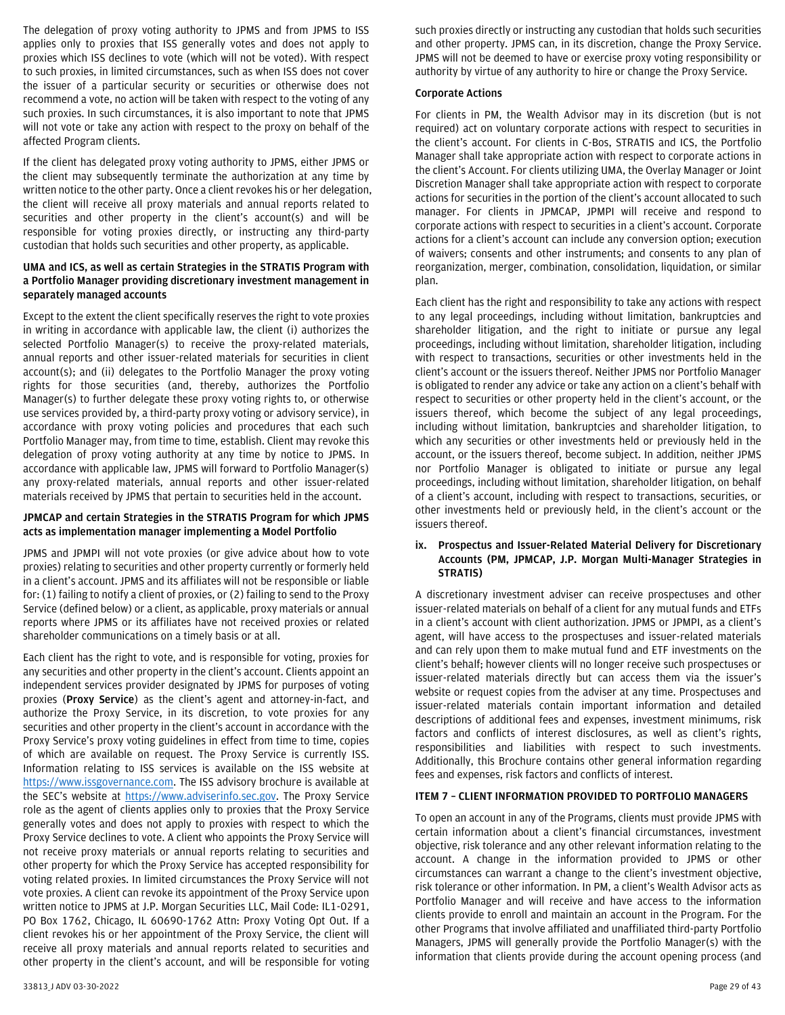The delegation of proxy voting authority to JPMS and from JPMS to ISS applies only to proxies that ISS generally votes and does not apply to proxies which ISS declines to vote (which will not be voted). With respect to such proxies, in limited circumstances, such as when ISS does not cover the issuer of a particular security or securities or otherwise does not recommend a vote, no action will be taken with respect to the voting of any such proxies. In such circumstances, it is also important to note that JPMS will not vote or take any action with respect to the proxy on behalf of the affected Program clients.

If the client has delegated proxy voting authority to JPMS, either JPMS or the client may subsequently terminate the authorization at any time by written notice to the other party. Once a client revokes his or her delegation, the client will receive all proxy materials and annual reports related to securities and other property in the client's account(s) and will be responsible for voting proxies directly, or instructing any third-party custodian that holds such securities and other property, as applicable.

## **UMA and ICS, as well as certain Strategies in the STRATIS Program with a Portfolio Manager providing discretionary investment management in separately managed accounts**

Except to the extent the client specifically reserves the right to vote proxies in writing in accordance with applicable law, the client (i) authorizes the selected Portfolio Manager(s) to receive the proxy-related materials, annual reports and other issuer-related materials for securities in client account(s); and (ii) delegates to the Portfolio Manager the proxy voting rights for those securities (and, thereby, authorizes the Portfolio Manager(s) to further delegate these proxy voting rights to, or otherwise use services provided by, a third-party proxy voting or advisory service), in accordance with proxy voting policies and procedures that each such Portfolio Manager may, from time to time, establish. Client may revoke this delegation of proxy voting authority at any time by notice to JPMS. In accordance with applicable law, JPMS will forward to Portfolio Manager(s) any proxy-related materials, annual reports and other issuer-related materials received by JPMS that pertain to securities held in the account.

## **JPMCAP and certain Strategies in the STRATIS Program for which JPMS acts as implementation manager implementing a Model Portfolio**

JPMS and JPMPI will not vote proxies (or give advice about how to vote proxies) relating to securities and other property currently or formerly held in a client's account. JPMS and its affiliates will not be responsible or liable for: (1) failing to notify a client of proxies, or (2) failing to send to the Proxy Service (defined below) or a client, as applicable, proxy materials or annual reports where JPMS or its affiliates have not received proxies or related shareholder communications on a timely basis or at all.

Each client has the right to vote, and is responsible for voting, proxies for any securities and other property in the client's account. Clients appoint an independent services provider designated by JPMS for purposes of voting proxies (**Proxy Service**) as the client's agent and attorney-in-fact, and authorize the Proxy Service, in its discretion, to vote proxies for any securities and other property in the client's account in accordance with the Proxy Service's proxy voting guidelines in effect from time to time, copies of which are available on request. The Proxy Service is currently ISS. Information relating to ISS services is available on the ISS website at [https://www.issgovernance.com.](https://www.issgovernance.com/) The ISS advisory brochure is available at the SEC's website at [https://www.adviserinfo.sec.gov.](https://www.adviserinfo.sec.gov/) The Proxy Service role as the agent of clients applies only to proxies that the Proxy Service generally votes and does not apply to proxies with respect to which the Proxy Service declines to vote. A client who appoints the Proxy Service will not receive proxy materials or annual reports relating to securities and other property for which the Proxy Service has accepted responsibility for voting related proxies. In limited circumstances the Proxy Service will not vote proxies. A client can revoke its appointment of the Proxy Service upon written notice to JPMS at J.P. Morgan Securities LLC, Mail Code: IL1-0291, PO Box 1762, Chicago, IL 60690-1762 Attn: Proxy Voting Opt Out. If a client revokes his or her appointment of the Proxy Service, the client will receive all proxy materials and annual reports related to securities and other property in the client's account, and will be responsible for voting

#### **Corporate Actions**

For clients in PM, the Wealth Advisor may in its discretion (but is not required) act on voluntary corporate actions with respect to securities in the client's account. For clients in C-Bos, STRATIS and ICS, the Portfolio Manager shall take appropriate action with respect to corporate actions in the client's Account. For clients utilizing UMA, the Overlay Manager or Joint Discretion Manager shall take appropriate action with respect to corporate actions for securities in the portion of the client's account allocated to such manager. For clients in JPMCAP, JPMPI will receive and respond to corporate actions with respect to securities in a client's account. Corporate actions for a client's account can include any conversion option; execution of waivers; consents and other instruments; and consents to any plan of reorganization, merger, combination, consolidation, liquidation, or similar plan.

Each client has the right and responsibility to take any actions with respect to any legal proceedings, including without limitation, bankruptcies and shareholder litigation, and the right to initiate or pursue any legal proceedings, including without limitation, shareholder litigation, including with respect to transactions, securities or other investments held in the client's account or the issuers thereof. Neither JPMS nor Portfolio Manager is obligated to render any advice or take any action on a client's behalf with respect to securities or other property held in the client's account, or the issuers thereof, which become the subject of any legal proceedings, including without limitation, bankruptcies and shareholder litigation, to which any securities or other investments held or previously held in the account, or the issuers thereof, become subject. In addition, neither JPMS nor Portfolio Manager is obligated to initiate or pursue any legal proceedings, including without limitation, shareholder litigation, on behalf of a client's account, including with respect to transactions, securities, or other investments held or previously held, in the client's account or the issuers thereof.

#### <span id="page-28-0"></span>**ix. Prospectus and Issuer-Related Material Delivery for Discretionary Accounts (PM, JPMCAP, J.P. Morgan Multi-Manager Strategies in STRATIS)**

A discretionary investment adviser can receive prospectuses and other issuer-related materials on behalf of a client for any mutual funds and ETFs in a client's account with client authorization. JPMS or JPMPI, as a client's agent, will have access to the prospectuses and issuer-related materials and can rely upon them to make mutual fund and ETF investments on the client's behalf; however clients will no longer receive such prospectuses or issuer-related materials directly but can access them via the issuer's website or request copies from the adviser at any time. Prospectuses and issuer-related materials contain important information and detailed descriptions of additional fees and expenses, investment minimums, risk factors and conflicts of interest disclosures, as well as client's rights, responsibilities and liabilities with respect to such investments. Additionally, this Brochure contains other general information regarding fees and expenses, risk factors and conflicts of interest.

# <span id="page-28-1"></span>**ITEM 7 – CLIENT INFORMATION PROVIDED TO PORTFOLIO MANAGERS**

To open an account in any of the Programs, clients must provide JPMS with certain information about a client's financial circumstances, investment objective, risk tolerance and any other relevant information relating to the account. A change in the information provided to JPMS or other circumstances can warrant a change to the client's investment objective, risk tolerance or other information. In PM, a client's Wealth Advisor acts as Portfolio Manager and will receive and have access to the information clients provide to enroll and maintain an account in the Program. For the other Programs that involve affiliated and unaffiliated third-party Portfolio Managers, JPMS will generally provide the Portfolio Manager(s) with the information that clients provide during the account opening process (and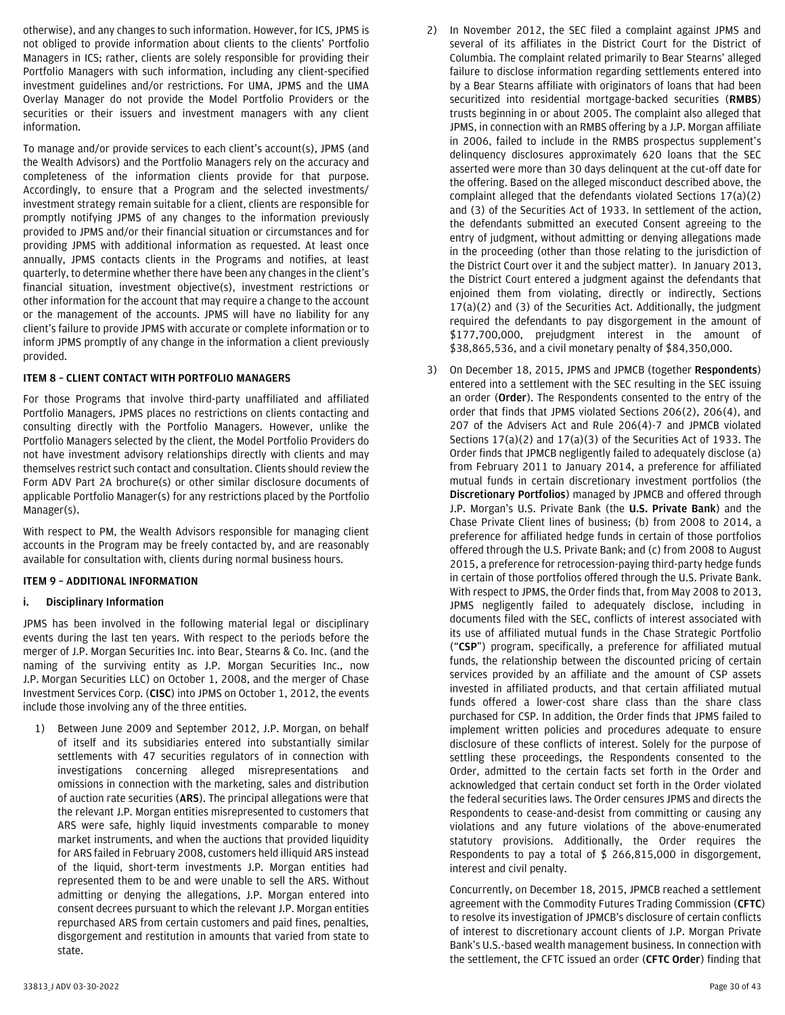otherwise), and any changes to such information. However, for ICS, JPMS is not obliged to provide information about clients to the clients' Portfolio Managers in ICS; rather, clients are solely responsible for providing their Portfolio Managers with such information, including any client-specified investment guidelines and/or restrictions. For UMA, JPMS and the UMA Overlay Manager do not provide the Model Portfolio Providers or the securities or their issuers and investment managers with any client information.

To manage and/or provide services to each client's account(s), JPMS (and the Wealth Advisors) and the Portfolio Managers rely on the accuracy and completeness of the information clients provide for that purpose. Accordingly, to ensure that a Program and the selected investments/ investment strategy remain suitable for a client, clients are responsible for promptly notifying JPMS of any changes to the information previously provided to JPMS and/or their financial situation or circumstances and for providing JPMS with additional information as requested. At least once annually, JPMS contacts clients in the Programs and notifies, at least quarterly, to determine whether there have been any changes in the client's financial situation, investment objective(s), investment restrictions or other information for the account that may require a change to the account or the management of the accounts. JPMS will have no liability for any client's failure to provide JPMS with accurate or complete information or to inform JPMS promptly of any change in the information a client previously provided.

## <span id="page-29-0"></span>**ITEM 8 – CLIENT CONTACT WITH PORTFOLIO MANAGERS**

For those Programs that involve third-party unaffiliated and affiliated Portfolio Managers, JPMS places no restrictions on clients contacting and consulting directly with the Portfolio Managers. However, unlike the Portfolio Managers selected by the client, the Model Portfolio Providers do not have investment advisory relationships directly with clients and may themselves restrict such contact and consultation. Clients should review the Form ADV Part 2A brochure(s) or other similar disclosure documents of applicable Portfolio Manager(s) for any restrictions placed by the Portfolio Manager(s).

With respect to PM, the Wealth Advisors responsible for managing client accounts in the Program may be freely contacted by, and are reasonably available for consultation with, clients during normal business hours.

## <span id="page-29-1"></span>**ITEM 9 – ADDITIONAL INFORMATION**

## <span id="page-29-2"></span>**i. Disciplinary Information**

JPMS has been involved in the following material legal or disciplinary events during the last ten years. With respect to the periods before the merger of J.P. Morgan Securities Inc. into Bear, Stearns & Co. Inc. (and the naming of the surviving entity as J.P. Morgan Securities Inc., now J.P. Morgan Securities LLC) on October 1, 2008, and the merger of Chase Investment Services Corp. (**CISC**) into JPMS on October 1, 2012, the events include those involving any of the three entities.

1) Between June 2009 and September 2012, J.P. Morgan, on behalf of itself and its subsidiaries entered into substantially similar settlements with 47 securities regulators of in connection with investigations concerning alleged misrepresentations and omissions in connection with the marketing, sales and distribution of auction rate securities (**ARS**). The principal allegations were that the relevant J.P. Morgan entities misrepresented to customers that ARS were safe, highly liquid investments comparable to money market instruments, and when the auctions that provided liquidity for ARS failed in February 2008, customers held illiquid ARS instead of the liquid, short-term investments J.P. Morgan entities had represented them to be and were unable to sell the ARS. Without admitting or denying the allegations, J.P. Morgan entered into consent decrees pursuant to which the relevant J.P. Morgan entities repurchased ARS from certain customers and paid fines, penalties, disgorgement and restitution in amounts that varied from state to state.

- 2) In November 2012, the SEC filed a complaint against JPMS and several of its affiliates in the District Court for the District of Columbia. The complaint related primarily to Bear Stearns' alleged failure to disclose information regarding settlements entered into by a Bear Stearns affiliate with originators of loans that had been securitized into residential mortgage-backed securities (**RMBS**) trusts beginning in or about 2005. The complaint also alleged that JPMS, in connection with an RMBS offering by a J.P. Morgan affiliate in 2006, failed to include in the RMBS prospectus supplement's delinquency disclosures approximately 620 loans that the SEC asserted were more than 30 days delinquent at the cut-off date for the offering. Based on the alleged misconduct described above, the complaint alleged that the defendants violated Sections 17(a)(2) and (3) of the Securities Act of 1933. In settlement of the action, the defendants submitted an executed Consent agreeing to the entry of judgment, without admitting or denying allegations made in the proceeding (other than those relating to the jurisdiction of the District Court over it and the subject matter). In January 2013, the District Court entered a judgment against the defendants that enjoined them from violating, directly or indirectly, Sections 17(a)(2) and (3) of the Securities Act. Additionally, the judgment required the defendants to pay disgorgement in the amount of \$177,700,000, prejudgment interest in the amount of \$38,865,536, and a civil monetary penalty of \$84,350,000.
- 3) On December 18, 2015, JPMS and JPMCB (together **Respondents**) entered into a settlement with the SEC resulting in the SEC issuing an order (**Order**). The Respondents consented to the entry of the order that finds that JPMS violated Sections 206(2), 206(4), and 207 of the Advisers Act and Rule 206(4)-7 and JPMCB violated Sections 17(a)(2) and 17(a)(3) of the Securities Act of 1933. The Order finds that JPMCB negligently failed to adequately disclose (a) from February 2011 to January 2014, a preference for affiliated mutual funds in certain discretionary investment portfolios (the **Discretionary Portfolios**) managed by JPMCB and offered through J.P. Morgan's U.S. Private Bank (the **U.S. Private Bank**) and the Chase Private Client lines of business; (b) from 2008 to 2014, a preference for affiliated hedge funds in certain of those portfolios offered through the U.S. Private Bank; and (c) from 2008 to August 2015, a preference for retrocession-paying third-party hedge funds in certain of those portfolios offered through the U.S. Private Bank. With respect to JPMS, the Order finds that, from May 2008 to 2013, JPMS negligently failed to adequately disclose, including in documents filed with the SEC, conflicts of interest associated with its use of affiliated mutual funds in the Chase Strategic Portfolio ("**CSP**") program, specifically, a preference for affiliated mutual funds, the relationship between the discounted pricing of certain services provided by an affiliate and the amount of CSP assets invested in affiliated products, and that certain affiliated mutual funds offered a lower-cost share class than the share class purchased for CSP. In addition, the Order finds that JPMS failed to implement written policies and procedures adequate to ensure disclosure of these conflicts of interest. Solely for the purpose of settling these proceedings, the Respondents consented to the Order, admitted to the certain facts set forth in the Order and acknowledged that certain conduct set forth in the Order violated the federal securities laws. The Order censures JPMS and directs the Respondents to cease-and-desist from committing or causing any violations and any future violations of the above-enumerated statutory provisions. Additionally, the Order requires the Respondents to pay a total of \$ 266,815,000 in disgorgement, interest and civil penalty.

Concurrently, on December 18, 2015, JPMCB reached a settlement agreement with the Commodity Futures Trading Commission (**CFTC**) to resolve its investigation of JPMCB's disclosure of certain conflicts of interest to discretionary account clients of J.P. Morgan Private Bank's U.S.-based wealth management business. In connection with the settlement, the CFTC issued an order (**CFTC Order**) finding that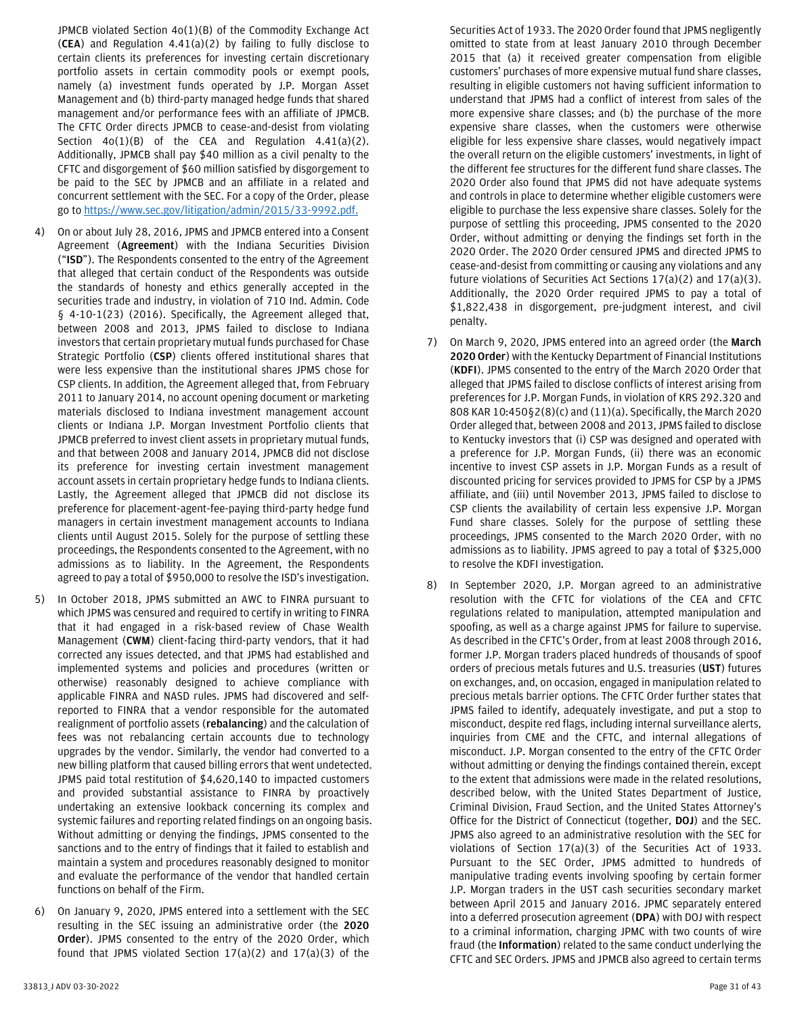JPMCB violated Section 4o(1)(B) of the Commodity Exchange Act (**CEA**) and Regulation 4.41(a)(2) by failing to fully disclose to certain clients its preferences for investing certain discretionary portfolio assets in certain commodity pools or exempt pools, namely (a) investment funds operated by J.P. Morgan Asset Management and (b) third-party managed hedge funds that shared management and/or performance fees with an affiliate of JPMCB. The CFTC Order directs JPMCB to cease-and-desist from violating Section  $40(1)(B)$  of the CEA and Regulation  $4.41(a)(2)$ . Additionally, JPMCB shall pay \$40 million as a civil penalty to the CFTC and disgorgement of \$60 million satisfied by disgorgement to be paid to the SEC by JPMCB and an affiliate in a related and concurrent settlement with the SEC. For a copy of the Order, please go t[o https://www.sec.gov/litigation/admin/2015/33-9992.pdf.](https://www.sec.gov/litigation/admin/2015/33-9992.pdf.)

- 4) On or about July 28, 2016, JPMS and JPMCB entered into a Consent Agreement (**Agreement**) with the Indiana Securities Division ("**ISD**"). The Respondents consented to the entry of the Agreement that alleged that certain conduct of the Respondents was outside the standards of honesty and ethics generally accepted in the securities trade and industry, in violation of 710 Ind. Admin. Code § 4-10-1(23) (2016). Specifically, the Agreement alleged that, between 2008 and 2013, JPMS failed to disclose to Indiana investors that certain proprietary mutual funds purchased for Chase Strategic Portfolio (**CSP**) clients offered institutional shares that were less expensive than the institutional shares JPMS chose for CSP clients. In addition, the Agreement alleged that, from February 2011 to January 2014, no account opening document or marketing materials disclosed to Indiana investment management account clients or Indiana J.P. Morgan Investment Portfolio clients that JPMCB preferred to invest client assets in proprietary mutual funds, and that between 2008 and January 2014, JPMCB did not disclose its preference for investing certain investment management account assets in certain proprietary hedge funds to Indiana clients. Lastly, the Agreement alleged that JPMCB did not disclose its preference for placement-agent-fee-paying third-party hedge fund managers in certain investment management accounts to Indiana clients until August 2015. Solely for the purpose of settling these proceedings, the Respondents consented to the Agreement, with no admissions as to liability. In the Agreement, the Respondents agreed to pay a total of \$950,000 to resolve the ISD's investigation.
- 5) In October 2018, JPMS submitted an AWC to FINRA pursuant to which JPMS was censured and required to certify in writing to FINRA that it had engaged in a risk-based review of Chase Wealth Management (**CWM**) client-facing third-party vendors, that it had corrected any issues detected, and that JPMS had established and implemented systems and policies and procedures (written or otherwise) reasonably designed to achieve compliance with applicable FINRA and NASD rules. JPMS had discovered and selfreported to FINRA that a vendor responsible for the automated realignment of portfolio assets (**rebalancing**) and the calculation of fees was not rebalancing certain accounts due to technology upgrades by the vendor. Similarly, the vendor had converted to a new billing platform that caused billing errors that went undetected. JPMS paid total restitution of \$4,620,140 to impacted customers and provided substantial assistance to FINRA by proactively undertaking an extensive lookback concerning its complex and systemic failures and reporting related findings on an ongoing basis. Without admitting or denying the findings, JPMS consented to the sanctions and to the entry of findings that it failed to establish and maintain a system and procedures reasonably designed to monitor and evaluate the performance of the vendor that handled certain functions on behalf of the Firm.
- 6) On January 9, 2020, JPMS entered into a settlement with the SEC resulting in the SEC issuing an administrative order (the **2020 Order**). JPMS consented to the entry of the 2020 Order, which found that JPMS violated Section 17(a)(2) and 17(a)(3) of the
- Securities Act of 1933. The 2020 Order found that JPMS negligently omitted to state from at least January 2010 through December 2015 that (a) it received greater compensation from eligible customers' purchases of more expensive mutual fund share classes, resulting in eligible customers not having sufficient information to understand that JPMS had a conflict of interest from sales of the more expensive share classes; and (b) the purchase of the more expensive share classes, when the customers were otherwise eligible for less expensive share classes, would negatively impact the overall return on the eligible customers' investments, in light of the different fee structures for the different fund share classes. The 2020 Order also found that JPMS did not have adequate systems and controls in place to determine whether eligible customers were eligible to purchase the less expensive share classes. Solely for the purpose of settling this proceeding, JPMS consented to the 2020 Order, without admitting or denying the findings set forth in the 2020 Order. The 2020 Order censured JPMS and directed JPMS to cease-and-desist from committing or causing any violations and any future violations of Securities Act Sections 17(a)(2) and 17(a)(3). Additionally, the 2020 Order required JPMS to pay a total of \$1,822,438 in disgorgement, pre-judgment interest, and civil penalty.
- 7) On March 9, 2020, JPMS entered into an agreed order (the **March 2020 Order**) with the Kentucky Department of Financial Institutions (**KDFI**). JPMS consented to the entry of the March 2020 Order that alleged that JPMS failed to disclose conflicts of interest arising from preferences for J.P. Morgan Funds, in violation of KRS 292.320 and 808 KAR 10:450§2(8)(c) and (11)(a). Specifically, the March 2020 Order alleged that, between 2008 and 2013, JPMS failed to disclose to Kentucky investors that (i) CSP was designed and operated with a preference for J.P. Morgan Funds, (ii) there was an economic incentive to invest CSP assets in J.P. Morgan Funds as a result of discounted pricing for services provided to JPMS for CSP by a JPMS affiliate, and (iii) until November 2013, JPMS failed to disclose to CSP clients the availability of certain less expensive J.P. Morgan Fund share classes. Solely for the purpose of settling these proceedings, JPMS consented to the March 2020 Order, with no admissions as to liability. JPMS agreed to pay a total of \$325,000 to resolve the KDFI investigation.
- In September 2020, J.P. Morgan agreed to an administrative resolution with the CFTC for violations of the CEA and CFTC regulations related to manipulation, attempted manipulation and spoofing, as well as a charge against JPMS for failure to supervise. As described in the CFTC's Order, from at least 2008 through 2016, former J.P. Morgan traders placed hundreds of thousands of spoof orders of precious metals futures and U.S. treasuries (**UST**) futures on exchanges, and, on occasion, engaged in manipulation related to precious metals barrier options. The CFTC Order further states that JPMS failed to identify, adequately investigate, and put a stop to misconduct, despite red flags, including internal surveillance alerts, inquiries from CME and the CFTC, and internal allegations of misconduct. J.P. Morgan consented to the entry of the CFTC Order without admitting or denying the findings contained therein, except to the extent that admissions were made in the related resolutions, described below, with the United States Department of Justice, Criminal Division, Fraud Section, and the United States Attorney's Office for the District of Connecticut (together, **DOJ**) and the SEC. JPMS also agreed to an administrative resolution with the SEC for violations of Section 17(a)(3) of the Securities Act of 1933. Pursuant to the SEC Order, JPMS admitted to hundreds of manipulative trading events involving spoofing by certain former J.P. Morgan traders in the UST cash securities secondary market between April 2015 and January 2016. JPMC separately entered into a deferred prosecution agreement (**DPA**) with DOJ with respect to a criminal information, charging JPMC with two counts of wire fraud (the **Information**) related to the same conduct underlying the CFTC and SEC Orders. JPMS and JPMCB also agreed to certain terms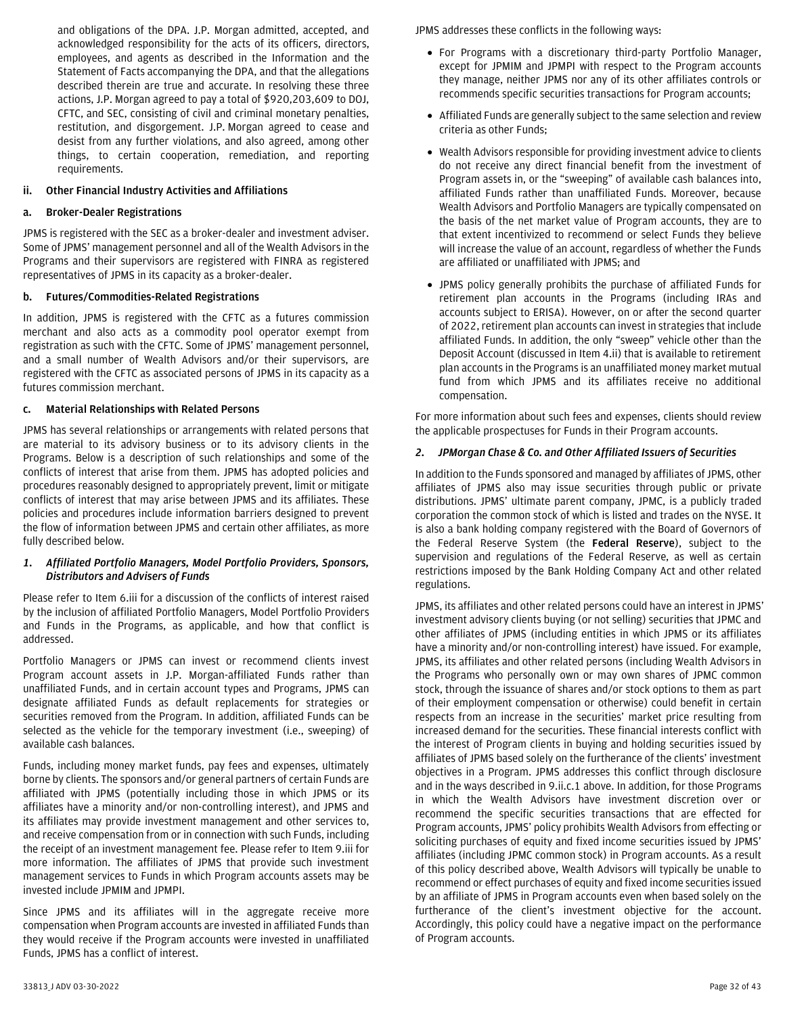and obligations of the DPA. J.P. Morgan admitted, accepted, and acknowledged responsibility for the acts of its officers, directors, employees, and agents as described in the Information and the Statement of Facts accompanying the DPA, and that the allegations described therein are true and accurate. In resolving these three actions, J.P. Morgan agreed to pay a total of \$920,203,609 to DOJ, CFTC, and SEC, consisting of civil and criminal monetary penalties, restitution, and disgorgement. J.P. Morgan agreed to cease and desist from any further violations, and also agreed, among other things, to certain cooperation, remediation, and reporting requirements.

## <span id="page-31-0"></span>**ii. Other Financial Industry Activities and Affiliations**

#### **a. Broker-Dealer Registrations**

JPMS is registered with the SEC as a broker-dealer and investment adviser. Some of JPMS' management personnel and all of the Wealth Advisors in the Programs and their supervisors are registered with FINRA as registered representatives of JPMS in its capacity as a broker-dealer.

#### **b. Futures/Commodities-Related Registrations**

In addition, JPMS is registered with the CFTC as a futures commission merchant and also acts as a commodity pool operator exempt from registration as such with the CFTC. Some of JPMS' management personnel, and a small number of Wealth Advisors and/or their supervisors, are registered with the CFTC as associated persons of JPMS in its capacity as a futures commission merchant.

#### **c. Material Relationships with Related Persons**

JPMS has several relationships or arrangements with related persons that are material to its advisory business or to its advisory clients in the Programs. Below is a description of such relationships and some of the conflicts of interest that arise from them. JPMS has adopted policies and procedures reasonably designed to appropriately prevent, limit or mitigate conflicts of interest that may arise between JPMS and its affiliates. These policies and procedures include information barriers designed to prevent the flow of information between JPMS and certain other affiliates, as more fully described below.

#### *1. Affiliated Portfolio Managers, Model Portfolio Providers, Sponsors, Distributors and Advisers of Funds*

Please refer to Item 6.iii for a discussion of the conflicts of interest raised by the inclusion of affiliated Portfolio Managers, Model Portfolio Providers and Funds in the Programs, as applicable, and how that conflict is addressed.

Portfolio Managers or JPMS can invest or recommend clients invest Program account assets in J.P. Morgan-affiliated Funds rather than unaffiliated Funds, and in certain account types and Programs, JPMS can designate affiliated Funds as default replacements for strategies or securities removed from the Program. In addition, affiliated Funds can be selected as the vehicle for the temporary investment (i.e., sweeping) of available cash balances.

Funds, including money market funds, pay fees and expenses, ultimately borne by clients. The sponsors and/or general partners of certain Funds are affiliated with JPMS (potentially including those in which JPMS or its affiliates have a minority and/or non-controlling interest), and JPMS and its affiliates may provide investment management and other services to, and receive compensation from or in connection with such Funds, including the receipt of an investment management fee. Please refer to Item 9.iii for more information. The affiliates of JPMS that provide such investment management services to Funds in which Program accounts assets may be invested include JPMIM and JPMPI.

Since JPMS and its affiliates will in the aggregate receive more compensation when Program accounts are invested in affiliated Funds than they would receive if the Program accounts were invested in unaffiliated Funds, JPMS has a conflict of interest.

- For Programs with a discretionary third-party Portfolio Manager, except for JPMIM and JPMPI with respect to the Program accounts they manage, neither JPMS nor any of its other affiliates controls or recommends specific securities transactions for Program accounts;
- Affiliated Funds are generally subject to the same selection and review criteria as other Funds;
- Wealth Advisors responsible for providing investment advice to clients do not receive any direct financial benefit from the investment of Program assets in, or the "sweeping" of available cash balances into, affiliated Funds rather than unaffiliated Funds. Moreover, because Wealth Advisors and Portfolio Managers are typically compensated on the basis of the net market value of Program accounts, they are to that extent incentivized to recommend or select Funds they believe will increase the value of an account, regardless of whether the Funds are affiliated or unaffiliated with JPMS; and
- JPMS policy generally prohibits the purchase of affiliated Funds for retirement plan accounts in the Programs (including IRAs and accounts subject to ERISA). However, on or after the second quarter of 2022, retirement plan accounts can invest in strategies that include affiliated Funds. In addition, the only "sweep" vehicle other than the Deposit Account (discussed in Item 4.ii) that is available to retirement plan accounts in the Programs is an unaffiliated money market mutual fund from which JPMS and its affiliates receive no additional compensation.

For more information about such fees and expenses, clients should review the applicable prospectuses for Funds in their Program accounts.

#### *2. JPMorgan Chase & Co. and Other Affiliated Issuers of Securities*

In addition to the Funds sponsored and managed by affiliates of JPMS, other affiliates of JPMS also may issue securities through public or private distributions. JPMS' ultimate parent company, JPMC, is a publicly traded corporation the common stock of which is listed and trades on the NYSE. It is also a bank holding company registered with the Board of Governors of the Federal Reserve System (the **Federal Reserve**), subject to the supervision and regulations of the Federal Reserve, as well as certain restrictions imposed by the Bank Holding Company Act and other related regulations.

JPMS, its affiliates and other related persons could have an interest in JPMS' investment advisory clients buying (or not selling) securities that JPMC and other affiliates of JPMS (including entities in which JPMS or its affiliates have a minority and/or non-controlling interest) have issued. For example, JPMS, its affiliates and other related persons (including Wealth Advisors in the Programs who personally own or may own shares of JPMC common stock, through the issuance of shares and/or stock options to them as part of their employment compensation or otherwise) could benefit in certain respects from an increase in the securities' market price resulting from increased demand for the securities. These financial interests conflict with the interest of Program clients in buying and holding securities issued by affiliates of JPMS based solely on the furtherance of the clients' investment objectives in a Program. JPMS addresses this conflict through disclosure and in the ways described in 9.ii.c.1 above. In addition, for those Programs in which the Wealth Advisors have investment discretion over or recommend the specific securities transactions that are effected for Program accounts, JPMS' policy prohibits Wealth Advisors from effecting or soliciting purchases of equity and fixed income securities issued by JPMS' affiliates (including JPMC common stock) in Program accounts. As a result of this policy described above, Wealth Advisors will typically be unable to recommend or effect purchases of equity and fixed income securities issued by an affiliate of JPMS in Program accounts even when based solely on the furtherance of the client's investment objective for the account. Accordingly, this policy could have a negative impact on the performance of Program accounts.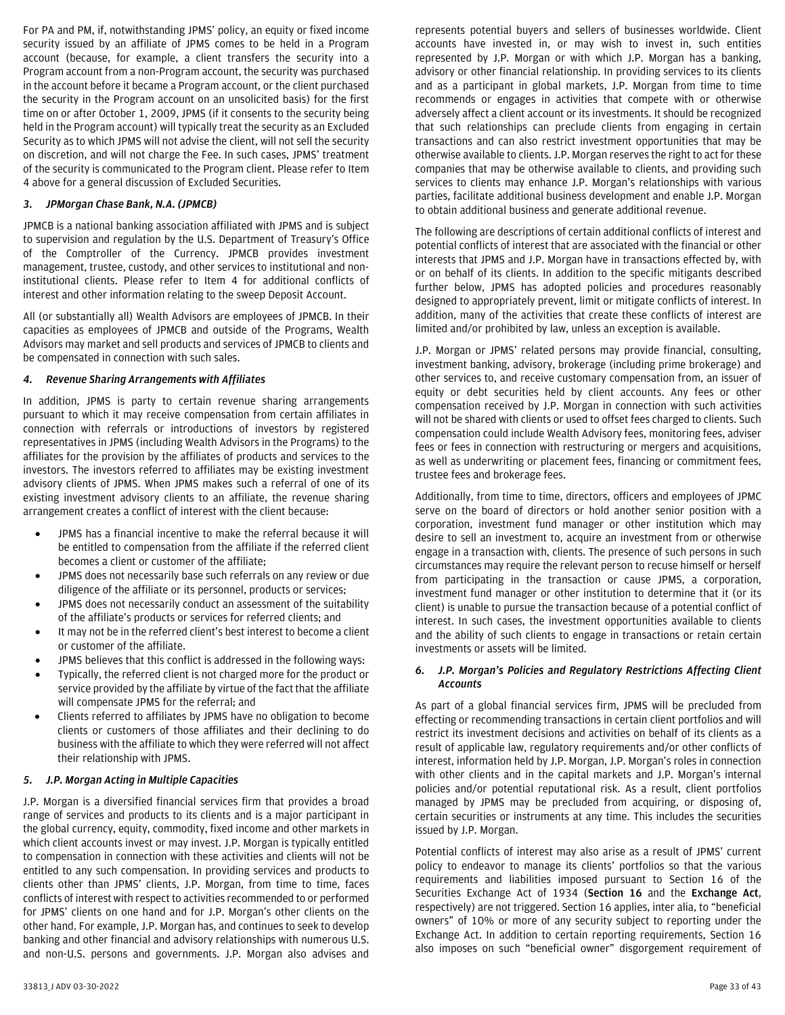For PA and PM, if, notwithstanding JPMS' policy, an equity or fixed income security issued by an affiliate of JPMS comes to be held in a Program account (because, for example, a client transfers the security into a Program account from a non-Program account, the security was purchased in the account before it became a Program account, or the client purchased the security in the Program account on an unsolicited basis) for the first time on or after October 1, 2009, JPMS (if it consents to the security being held in the Program account) will typically treat the security as an Excluded Security as to which JPMS will not advise the client, will not sell the security on discretion, and will not charge the Fee. In such cases, JPMS' treatment of the security is communicated to the Program client. Please refer to Item 4 above for a general discussion of Excluded Securities.

## *3. JPMorgan Chase Bank, N.A. (JPMCB)*

JPMCB is a national banking association affiliated with JPMS and is subject to supervision and regulation by the U.S. Department of Treasury's Office of the Comptroller of the Currency. JPMCB provides investment management, trustee, custody, and other services to institutional and noninstitutional clients. Please refer to Item 4 for additional conflicts of interest and other information relating to the sweep Deposit Account.

All (or substantially all) Wealth Advisors are employees of JPMCB. In their capacities as employees of JPMCB and outside of the Programs, Wealth Advisors may market and sell products and services of JPMCB to clients and be compensated in connection with such sales.

#### *4. Revenue Sharing Arrangements with Affiliates*

In addition, JPMS is party to certain revenue sharing arrangements pursuant to which it may receive compensation from certain affiliates in connection with referrals or introductions of investors by registered representatives in JPMS (including Wealth Advisors in the Programs) to the affiliates for the provision by the affiliates of products and services to the investors. The investors referred to affiliates may be existing investment advisory clients of JPMS. When JPMS makes such a referral of one of its existing investment advisory clients to an affiliate, the revenue sharing arrangement creates a conflict of interest with the client because:

- JPMS has a financial incentive to make the referral because it will be entitled to compensation from the affiliate if the referred client becomes a client or customer of the affiliate;
- JPMS does not necessarily base such referrals on any review or due diligence of the affiliate or its personnel, products or services;
- JPMS does not necessarily conduct an assessment of the suitability of the affiliate's products or services for referred clients; and
- It may not be in the referred client's best interest to become a client or customer of the affiliate.
- JPMS believes that this conflict is addressed in the following ways:
- Typically, the referred client is not charged more for the product or service provided by the affiliate by virtue of the fact that the affiliate will compensate JPMS for the referral; and
- Clients referred to affiliates by JPMS have no obligation to become clients or customers of those affiliates and their declining to do business with the affiliate to which they were referred will not affect their relationship with JPMS.

## *5. J.P. Morgan Acting in Multiple Capacities*

J.P. Morgan is a diversified financial services firm that provides a broad range of services and products to its clients and is a major participant in the global currency, equity, commodity, fixed income and other markets in which client accounts invest or may invest. J.P. Morgan is typically entitled to compensation in connection with these activities and clients will not be entitled to any such compensation. In providing services and products to clients other than JPMS' clients, J.P. Morgan, from time to time, faces conflicts of interest with respect to activities recommended to or performed for JPMS' clients on one hand and for J.P. Morgan's other clients on the other hand. For example, J.P. Morgan has, and continues to seek to develop banking and other financial and advisory relationships with numerous U.S. and non-U.S. persons and governments. J.P. Morgan also advises and

represents potential buyers and sellers of businesses worldwide. Client accounts have invested in, or may wish to invest in, such entities represented by J.P. Morgan or with which J.P. Morgan has a banking, advisory or other financial relationship. In providing services to its clients and as a participant in global markets, J.P. Morgan from time to time recommends or engages in activities that compete with or otherwise adversely affect a client account or its investments. It should be recognized that such relationships can preclude clients from engaging in certain transactions and can also restrict investment opportunities that may be otherwise available to clients. J.P. Morgan reserves the right to act for these companies that may be otherwise available to clients, and providing such services to clients may enhance J.P. Morgan's relationships with various parties, facilitate additional business development and enable J.P. Morgan to obtain additional business and generate additional revenue.

The following are descriptions of certain additional conflicts of interest and potential conflicts of interest that are associated with the financial or other interests that JPMS and J.P. Morgan have in transactions effected by, with or on behalf of its clients. In addition to the specific mitigants described further below, JPMS has adopted policies and procedures reasonably designed to appropriately prevent, limit or mitigate conflicts of interest. In addition, many of the activities that create these conflicts of interest are limited and/or prohibited by law, unless an exception is available.

J.P. Morgan or JPMS' related persons may provide financial, consulting, investment banking, advisory, brokerage (including prime brokerage) and other services to, and receive customary compensation from, an issuer of equity or debt securities held by client accounts. Any fees or other compensation received by J.P. Morgan in connection with such activities will not be shared with clients or used to offset fees charged to clients. Such compensation could include Wealth Advisory fees, monitoring fees, adviser fees or fees in connection with restructuring or mergers and acquisitions, as well as underwriting or placement fees, financing or commitment fees, trustee fees and brokerage fees.

Additionally, from time to time, directors, officers and employees of JPMC serve on the board of directors or hold another senior position with a corporation, investment fund manager or other institution which may desire to sell an investment to, acquire an investment from or otherwise engage in a transaction with, clients. The presence of such persons in such circumstances may require the relevant person to recuse himself or herself from participating in the transaction or cause JPMS, a corporation, investment fund manager or other institution to determine that it (or its client) is unable to pursue the transaction because of a potential conflict of interest. In such cases, the investment opportunities available to clients and the ability of such clients to engage in transactions or retain certain investments or assets will be limited.

## *6. J.P. Morgan's Policies and Regulatory Restrictions Affecting Client Accounts*

As part of a global financial services firm, JPMS will be precluded from effecting or recommending transactions in certain client portfolios and will restrict its investment decisions and activities on behalf of its clients as a result of applicable law, regulatory requirements and/or other conflicts of interest, information held by J.P. Morgan, J.P. Morgan's roles in connection with other clients and in the capital markets and J.P. Morgan's internal policies and/or potential reputational risk. As a result, client portfolios managed by JPMS may be precluded from acquiring, or disposing of, certain securities or instruments at any time. This includes the securities issued by J.P. Morgan.

Potential conflicts of interest may also arise as a result of JPMS' current policy to endeavor to manage its clients' portfolios so that the various requirements and liabilities imposed pursuant to Section 16 of the Securities Exchange Act of 1934 (**Section 16** and the **Exchange Act**, respectively) are not triggered. Section 16 applies, inter alia, to "beneficial owners" of 10% or more of any security subject to reporting under the Exchange Act. In addition to certain reporting requirements, Section 16 also imposes on such "beneficial owner" disgorgement requirement of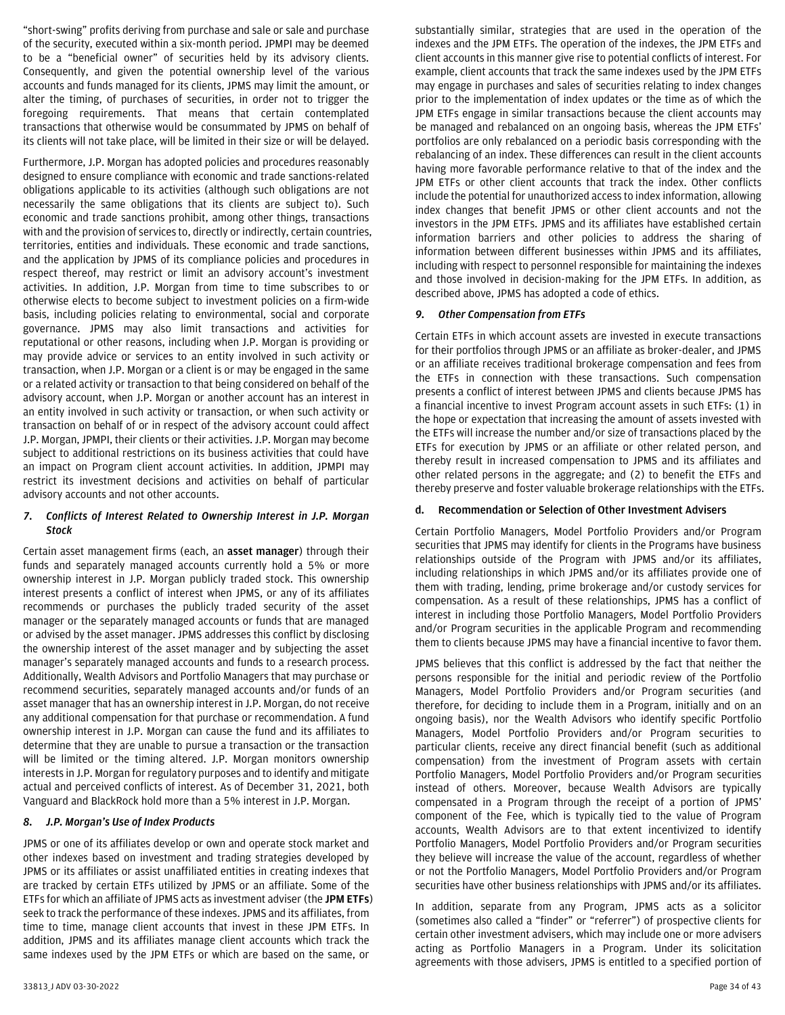"short-swing" profits deriving from purchase and sale or sale and purchase of the security, executed within a six-month period. JPMPI may be deemed to be a "beneficial owner" of securities held by its advisory clients. Consequently, and given the potential ownership level of the various accounts and funds managed for its clients, JPMS may limit the amount, or alter the timing, of purchases of securities, in order not to trigger the foregoing requirements. That means that certain contemplated transactions that otherwise would be consummated by JPMS on behalf of its clients will not take place, will be limited in their size or will be delayed.

Furthermore, J.P. Morgan has adopted policies and procedures reasonably designed to ensure compliance with economic and trade sanctions-related obligations applicable to its activities (although such obligations are not necessarily the same obligations that its clients are subject to). Such economic and trade sanctions prohibit, among other things, transactions with and the provision of services to, directly or indirectly, certain countries, territories, entities and individuals. These economic and trade sanctions, and the application by JPMS of its compliance policies and procedures in respect thereof, may restrict or limit an advisory account's investment activities. In addition, J.P. Morgan from time to time subscribes to or otherwise elects to become subject to investment policies on a firm-wide basis, including policies relating to environmental, social and corporate governance. JPMS may also limit transactions and activities for reputational or other reasons, including when J.P. Morgan is providing or may provide advice or services to an entity involved in such activity or transaction, when J.P. Morgan or a client is or may be engaged in the same or a related activity or transaction to that being considered on behalf of the advisory account, when J.P. Morgan or another account has an interest in an entity involved in such activity or transaction, or when such activity or transaction on behalf of or in respect of the advisory account could affect J.P. Morgan, JPMPI, their clients or their activities. J.P. Morgan may become subject to additional restrictions on its business activities that could have an impact on Program client account activities. In addition, JPMPI may restrict its investment decisions and activities on behalf of particular advisory accounts and not other accounts.

## *7. Conflicts of Interest Related to Ownership Interest in J.P. Morgan Stock*

Certain asset management firms (each, an **asset manager**) through their funds and separately managed accounts currently hold a 5% or more ownership interest in J.P. Morgan publicly traded stock. This ownership interest presents a conflict of interest when JPMS, or any of its affiliates recommends or purchases the publicly traded security of the asset manager or the separately managed accounts or funds that are managed or advised by the asset manager. JPMS addresses this conflict by disclosing the ownership interest of the asset manager and by subjecting the asset manager's separately managed accounts and funds to a research process. Additionally, Wealth Advisors and Portfolio Managers that may purchase or recommend securities, separately managed accounts and/or funds of an asset manager that has an ownership interest in J.P. Morgan, do not receive any additional compensation for that purchase or recommendation. A fund ownership interest in J.P. Morgan can cause the fund and its affiliates to determine that they are unable to pursue a transaction or the transaction will be limited or the timing altered. J.P. Morgan monitors ownership interests in J.P. Morgan for regulatory purposes and to identify and mitigate actual and perceived conflicts of interest. As of December 31, 2021, both Vanguard and BlackRock hold more than a 5% interest in J.P. Morgan.

# *8. J.P. Morgan's Use of Index Products*

JPMS or one of its affiliates develop or own and operate stock market and other indexes based on investment and trading strategies developed by JPMS or its affiliates or assist unaffiliated entities in creating indexes that are tracked by certain ETFs utilized by JPMS or an affiliate. Some of the ETFs for which an affiliate of JPMS acts as investment adviser (the **JPM ETFs**) seek to track the performance of these indexes. JPMS and its affiliates, from time to time, manage client accounts that invest in these JPM ETFs. In addition, JPMS and its affiliates manage client accounts which track the same indexes used by the JPM ETFs or which are based on the same, or

substantially similar, strategies that are used in the operation of the indexes and the JPM ETFs. The operation of the indexes, the JPM ETFs and client accounts in this manner give rise to potential conflicts of interest. For example, client accounts that track the same indexes used by the JPM ETFs may engage in purchases and sales of securities relating to index changes prior to the implementation of index updates or the time as of which the JPM ETFs engage in similar transactions because the client accounts may be managed and rebalanced on an ongoing basis, whereas the JPM ETFs' portfolios are only rebalanced on a periodic basis corresponding with the rebalancing of an index. These differences can result in the client accounts having more favorable performance relative to that of the index and the JPM ETFs or other client accounts that track the index. Other conflicts include the potential for unauthorized access to index information, allowing index changes that benefit JPMS or other client accounts and not the investors in the JPM ETFs. JPMS and its affiliates have established certain information barriers and other policies to address the sharing of information between different businesses within JPMS and its affiliates, including with respect to personnel responsible for maintaining the indexes and those involved in decision-making for the JPM ETFs. In addition, as described above, JPMS has adopted a code of ethics.

## *9. Other Compensation from ETFs*

Certain ETFs in which account assets are invested in execute transactions for their portfolios through JPMS or an affiliate as broker-dealer, and JPMS or an affiliate receives traditional brokerage compensation and fees from the ETFs in connection with these transactions. Such compensation presents a conflict of interest between JPMS and clients because JPMS has a financial incentive to invest Program account assets in such ETFs: (1) in the hope or expectation that increasing the amount of assets invested with the ETFs will increase the number and/or size of transactions placed by the ETFs for execution by JPMS or an affiliate or other related person, and thereby result in increased compensation to JPMS and its affiliates and other related persons in the aggregate; and (2) to benefit the ETFs and thereby preserve and foster valuable brokerage relationships with the ETFs.

## **d. Recommendation or Selection of Other Investment Advisers**

Certain Portfolio Managers, Model Portfolio Providers and/or Program securities that JPMS may identify for clients in the Programs have business relationships outside of the Program with JPMS and/or its affiliates, including relationships in which JPMS and/or its affiliates provide one of them with trading, lending, prime brokerage and/or custody services for compensation. As a result of these relationships, JPMS has a conflict of interest in including those Portfolio Managers, Model Portfolio Providers and/or Program securities in the applicable Program and recommending them to clients because JPMS may have a financial incentive to favor them.

JPMS believes that this conflict is addressed by the fact that neither the persons responsible for the initial and periodic review of the Portfolio Managers, Model Portfolio Providers and/or Program securities (and therefore, for deciding to include them in a Program, initially and on an ongoing basis), nor the Wealth Advisors who identify specific Portfolio Managers, Model Portfolio Providers and/or Program securities to particular clients, receive any direct financial benefit (such as additional compensation) from the investment of Program assets with certain Portfolio Managers, Model Portfolio Providers and/or Program securities instead of others. Moreover, because Wealth Advisors are typically compensated in a Program through the receipt of a portion of JPMS' component of the Fee, which is typically tied to the value of Program accounts, Wealth Advisors are to that extent incentivized to identify Portfolio Managers, Model Portfolio Providers and/or Program securities they believe will increase the value of the account, regardless of whether or not the Portfolio Managers, Model Portfolio Providers and/or Program securities have other business relationships with JPMS and/or its affiliates.

In addition, separate from any Program, JPMS acts as a solicitor (sometimes also called a "finder" or "referrer") of prospective clients for certain other investment advisers, which may include one or more advisers acting as Portfolio Managers in a Program. Under its solicitation agreements with those advisers, JPMS is entitled to a specified portion of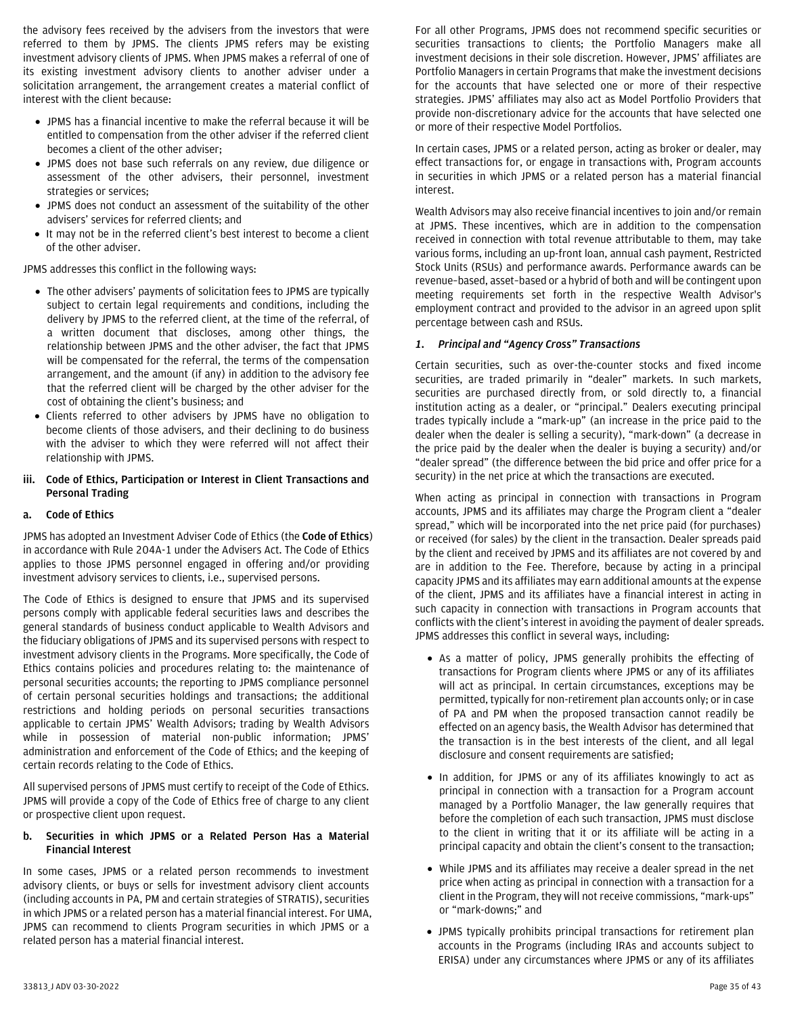the advisory fees received by the advisers from the investors that were referred to them by JPMS. The clients JPMS refers may be existing investment advisory clients of JPMS. When JPMS makes a referral of one of its existing investment advisory clients to another adviser under a solicitation arrangement, the arrangement creates a material conflict of interest with the client because:

- JPMS has a financial incentive to make the referral because it will be entitled to compensation from the other adviser if the referred client becomes a client of the other adviser;
- JPMS does not base such referrals on any review, due diligence or assessment of the other advisers, their personnel, investment strategies or services;
- JPMS does not conduct an assessment of the suitability of the other advisers' services for referred clients; and
- It may not be in the referred client's best interest to become a client of the other adviser.

JPMS addresses this conflict in the following ways:

- The other advisers' payments of solicitation fees to JPMS are typically subject to certain legal requirements and conditions, including the delivery by JPMS to the referred client, at the time of the referral, of a written document that discloses, among other things, the relationship between JPMS and the other adviser, the fact that JPMS will be compensated for the referral, the terms of the compensation arrangement, and the amount (if any) in addition to the advisory fee that the referred client will be charged by the other adviser for the cost of obtaining the client's business; and
- Clients referred to other advisers by JPMS have no obligation to become clients of those advisers, and their declining to do business with the adviser to which they were referred will not affect their relationship with JPMS.

## <span id="page-34-0"></span>**iii. Code of Ethics, Participation or Interest in Client Transactions and Personal Trading**

## **a. Code of Ethics**

JPMS has adopted an Investment Adviser Code of Ethics (the **Code of Ethics**) in accordance with Rule 204A-1 under the Advisers Act. The Code of Ethics applies to those JPMS personnel engaged in offering and/or providing investment advisory services to clients, i.e., supervised persons.

The Code of Ethics is designed to ensure that JPMS and its supervised persons comply with applicable federal securities laws and describes the general standards of business conduct applicable to Wealth Advisors and the fiduciary obligations of JPMS and its supervised persons with respect to investment advisory clients in the Programs. More specifically, the Code of Ethics contains policies and procedures relating to: the maintenance of personal securities accounts; the reporting to JPMS compliance personnel of certain personal securities holdings and transactions; the additional restrictions and holding periods on personal securities transactions applicable to certain JPMS' Wealth Advisors; trading by Wealth Advisors while in possession of material non-public information; JPMS' administration and enforcement of the Code of Ethics; and the keeping of certain records relating to the Code of Ethics.

All supervised persons of JPMS must certify to receipt of the Code of Ethics. JPMS will provide a copy of the Code of Ethics free of charge to any client or prospective client upon request.

#### **b. Securities in which JPMS or a Related Person Has a Material Financial Interest**

In some cases, JPMS or a related person recommends to investment advisory clients, or buys or sells for investment advisory client accounts (including accounts in PA, PM and certain strategies of STRATIS), securities in which JPMS or a related person has a material financial interest. For UMA, JPMS can recommend to clients Program securities in which JPMS or a related person has a material financial interest.

For all other Programs, JPMS does not recommend specific securities or securities transactions to clients; the Portfolio Managers make all investment decisions in their sole discretion. However, JPMS' affiliates are Portfolio Managers in certain Programs that make the investment decisions for the accounts that have selected one or more of their respective strategies. JPMS' affiliates may also act as Model Portfolio Providers that provide non-discretionary advice for the accounts that have selected one or more of their respective Model Portfolios.

In certain cases, JPMS or a related person, acting as broker or dealer, may effect transactions for, or engage in transactions with, Program accounts in securities in which JPMS or a related person has a material financial interest.

Wealth Advisors may also receive financial incentives to join and/or remain at JPMS. These incentives, which are in addition to the compensation received in connection with total revenue attributable to them, may take various forms, including an up-front loan, annual cash payment, Restricted Stock Units (RSUs) and performance awards. Performance awards can be revenue–based, asset–based or a hybrid of both and will be contingent upon meeting requirements set forth in the respective Wealth Advisor's employment contract and provided to the advisor in an agreed upon split percentage between cash and RSUs.

## *1. Principal and "Agency Cross" Transactions*

Certain securities, such as over-the-counter stocks and fixed income securities, are traded primarily in "dealer" markets. In such markets, securities are purchased directly from, or sold directly to, a financial institution acting as a dealer, or "principal." Dealers executing principal trades typically include a "mark-up" (an increase in the price paid to the dealer when the dealer is selling a security), "mark-down" (a decrease in the price paid by the dealer when the dealer is buying a security) and/or "dealer spread" (the difference between the bid price and offer price for a security) in the net price at which the transactions are executed.

When acting as principal in connection with transactions in Program accounts, JPMS and its affiliates may charge the Program client a "dealer spread," which will be incorporated into the net price paid (for purchases) or received (for sales) by the client in the transaction. Dealer spreads paid by the client and received by JPMS and its affiliates are not covered by and are in addition to the Fee. Therefore, because by acting in a principal capacity JPMS and its affiliates may earn additional amounts at the expense of the client, JPMS and its affiliates have a financial interest in acting in such capacity in connection with transactions in Program accounts that conflicts with the client's interest in avoiding the payment of dealer spreads. JPMS addresses this conflict in several ways, including:

- As a matter of policy, JPMS generally prohibits the effecting of transactions for Program clients where JPMS or any of its affiliates will act as principal. In certain circumstances, exceptions may be permitted, typically for non-retirement plan accounts only; or in case of PA and PM when the proposed transaction cannot readily be effected on an agency basis, the Wealth Advisor has determined that the transaction is in the best interests of the client, and all legal disclosure and consent requirements are satisfied;
- In addition, for JPMS or any of its affiliates knowingly to act as principal in connection with a transaction for a Program account managed by a Portfolio Manager, the law generally requires that before the completion of each such transaction, JPMS must disclose to the client in writing that it or its affiliate will be acting in a principal capacity and obtain the client's consent to the transaction;
- While JPMS and its affiliates may receive a dealer spread in the net price when acting as principal in connection with a transaction for a client in the Program, they will not receive commissions, "mark-ups" or "mark-downs;" and
- JPMS typically prohibits principal transactions for retirement plan accounts in the Programs (including IRAs and accounts subject to ERISA) under any circumstances where JPMS or any of its affiliates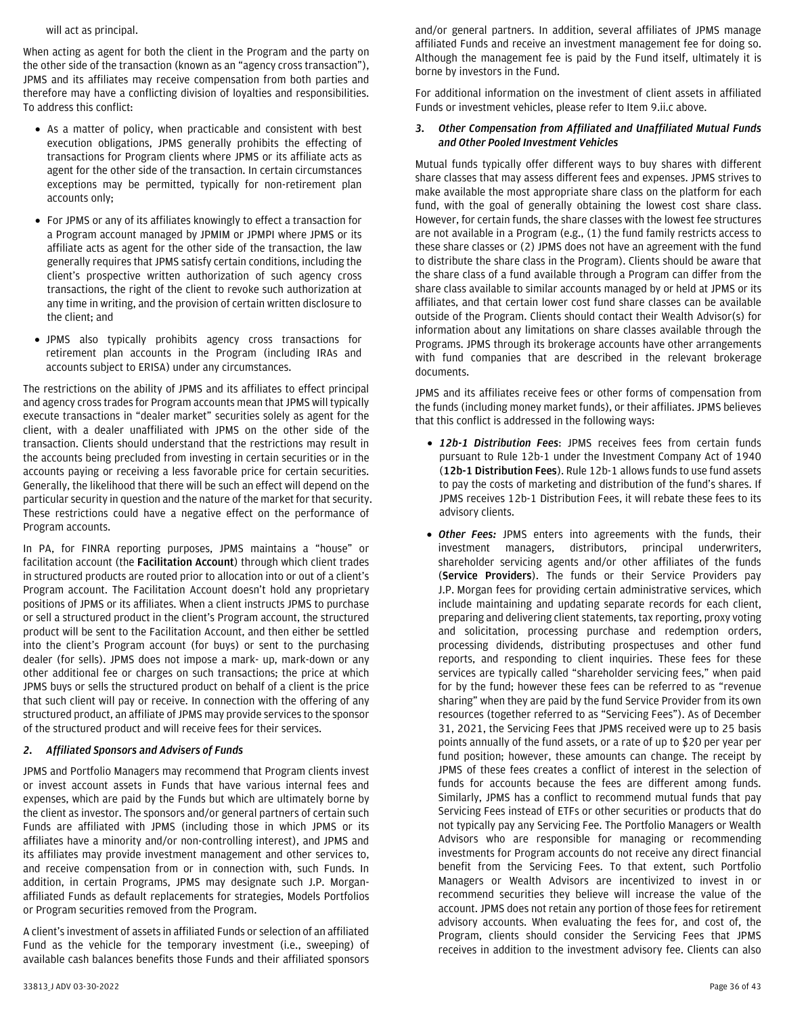will act as principal.

When acting as agent for both the client in the Program and the party on the other side of the transaction (known as an "agency cross transaction"), JPMS and its affiliates may receive compensation from both parties and therefore may have a conflicting division of loyalties and responsibilities. To address this conflict:

- As a matter of policy, when practicable and consistent with best execution obligations, JPMS generally prohibits the effecting of transactions for Program clients where JPMS or its affiliate acts as agent for the other side of the transaction. In certain circumstances exceptions may be permitted, typically for non-retirement plan accounts only;
- For JPMS or any of its affiliates knowingly to effect a transaction for a Program account managed by JPMIM or JPMPI where JPMS or its affiliate acts as agent for the other side of the transaction, the law generally requires that JPMS satisfy certain conditions, including the client's prospective written authorization of such agency cross transactions, the right of the client to revoke such authorization at any time in writing, and the provision of certain written disclosure to the client; and
- JPMS also typically prohibits agency cross transactions for retirement plan accounts in the Program (including IRAs and accounts subject to ERISA) under any circumstances.

The restrictions on the ability of JPMS and its affiliates to effect principal and agency cross trades for Program accounts mean that JPMS will typically execute transactions in "dealer market" securities solely as agent for the client, with a dealer unaffiliated with JPMS on the other side of the transaction. Clients should understand that the restrictions may result in the accounts being precluded from investing in certain securities or in the accounts paying or receiving a less favorable price for certain securities. Generally, the likelihood that there will be such an effect will depend on the particular security in question and the nature of the market for that security. These restrictions could have a negative effect on the performance of Program accounts.

In PA, for FINRA reporting purposes, JPMS maintains a "house" or facilitation account (the **Facilitation Account**) through which client trades in structured products are routed prior to allocation into or out of a client's Program account. The Facilitation Account doesn't hold any proprietary positions of JPMS or its affiliates. When a client instructs JPMS to purchase or sell a structured product in the client's Program account, the structured product will be sent to the Facilitation Account, and then either be settled into the client's Program account (for buys) or sent to the purchasing dealer (for sells). JPMS does not impose a mark- up, mark-down or any other additional fee or charges on such transactions; the price at which JPMS buys or sells the structured product on behalf of a client is the price that such client will pay or receive. In connection with the offering of any structured product, an affiliate of JPMS may provide services to the sponsor of the structured product and will receive fees for their services.

## *2. Affiliated Sponsors and Advisers of Funds*

JPMS and Portfolio Managers may recommend that Program clients invest or invest account assets in Funds that have various internal fees and expenses, which are paid by the Funds but which are ultimately borne by the client as investor. The sponsors and/or general partners of certain such Funds are affiliated with JPMS (including those in which JPMS or its affiliates have a minority and/or non-controlling interest), and JPMS and its affiliates may provide investment management and other services to, and receive compensation from or in connection with, such Funds. In addition, in certain Programs, JPMS may designate such J.P. Morganaffiliated Funds as default replacements for strategies, Models Portfolios or Program securities removed from the Program.

A client's investment of assets in affiliated Funds or selection of an affiliated Fund as the vehicle for the temporary investment (i.e., sweeping) of available cash balances benefits those Funds and their affiliated sponsors and/or general partners. In addition, several affiliates of JPMS manage affiliated Funds and receive an investment management fee for doing so. Although the management fee is paid by the Fund itself, ultimately it is borne by investors in the Fund.

For additional information on the investment of client assets in affiliated Funds or investment vehicles, please refer to Item 9.ii.c above.

#### *3. Other Compensation from Affiliated and Unaffiliated Mutual Funds and Other Pooled Investment Vehicles*

Mutual funds typically offer different ways to buy shares with different share classes that may assess different fees and expenses. JPMS strives to make available the most appropriate share class on the platform for each fund, with the goal of generally obtaining the lowest cost share class. However, for certain funds, the share classes with the lowest fee structures are not available in a Program (e.g., (1) the fund family restricts access to these share classes or (2) JPMS does not have an agreement with the fund to distribute the share class in the Program). Clients should be aware that the share class of a fund available through a Program can differ from the share class available to similar accounts managed by or held at JPMS or its affiliates, and that certain lower cost fund share classes can be available outside of the Program. Clients should contact their Wealth Advisor(s) for information about any limitations on share classes available through the Programs. JPMS through its brokerage accounts have other arrangements with fund companies that are described in the relevant brokerage documents.

JPMS and its affiliates receive fees or other forms of compensation from the funds (including money market funds), or their affiliates. JPMS believes that this conflict is addressed in the following ways:

- *12b-1 Distribution Fees*: JPMS receives fees from certain funds pursuant to Rule 12b-1 under the Investment Company Act of 1940 (**12b-1 Distribution Fees**). Rule 12b-1 allows funds to use fund assets to pay the costs of marketing and distribution of the fund's shares. If JPMS receives 12b-1 Distribution Fees, it will rebate these fees to its advisory clients.
- *Other Fees:* JPMS enters into agreements with the funds, their investment managers, distributors, principal underwriters, shareholder servicing agents and/or other affiliates of the funds (**Service Providers**). The funds or their Service Providers pay J.P. Morgan fees for providing certain administrative services, which include maintaining and updating separate records for each client, preparing and delivering client statements, tax reporting, proxy voting and solicitation, processing purchase and redemption orders, processing dividends, distributing prospectuses and other fund reports, and responding to client inquiries. These fees for these services are typically called "shareholder servicing fees," when paid for by the fund; however these fees can be referred to as "revenue sharing" when they are paid by the fund Service Provider from its own resources (together referred to as "Servicing Fees"). As of December 31, 2021, the Servicing Fees that JPMS received were up to 25 basis points annually of the fund assets, or a rate of up to \$20 per year per fund position; however, these amounts can change. The receipt by JPMS of these fees creates a conflict of interest in the selection of funds for accounts because the fees are different among funds. Similarly, JPMS has a conflict to recommend mutual funds that pay Servicing Fees instead of ETFs or other securities or products that do not typically pay any Servicing Fee. The Portfolio Managers or Wealth Advisors who are responsible for managing or recommending investments for Program accounts do not receive any direct financial benefit from the Servicing Fees. To that extent, such Portfolio Managers or Wealth Advisors are incentivized to invest in or recommend securities they believe will increase the value of the account. JPMS does not retain any portion of those fees for retirement advisory accounts. When evaluating the fees for, and cost of, the Program, clients should consider the Servicing Fees that JPMS receives in addition to the investment advisory fee. Clients can also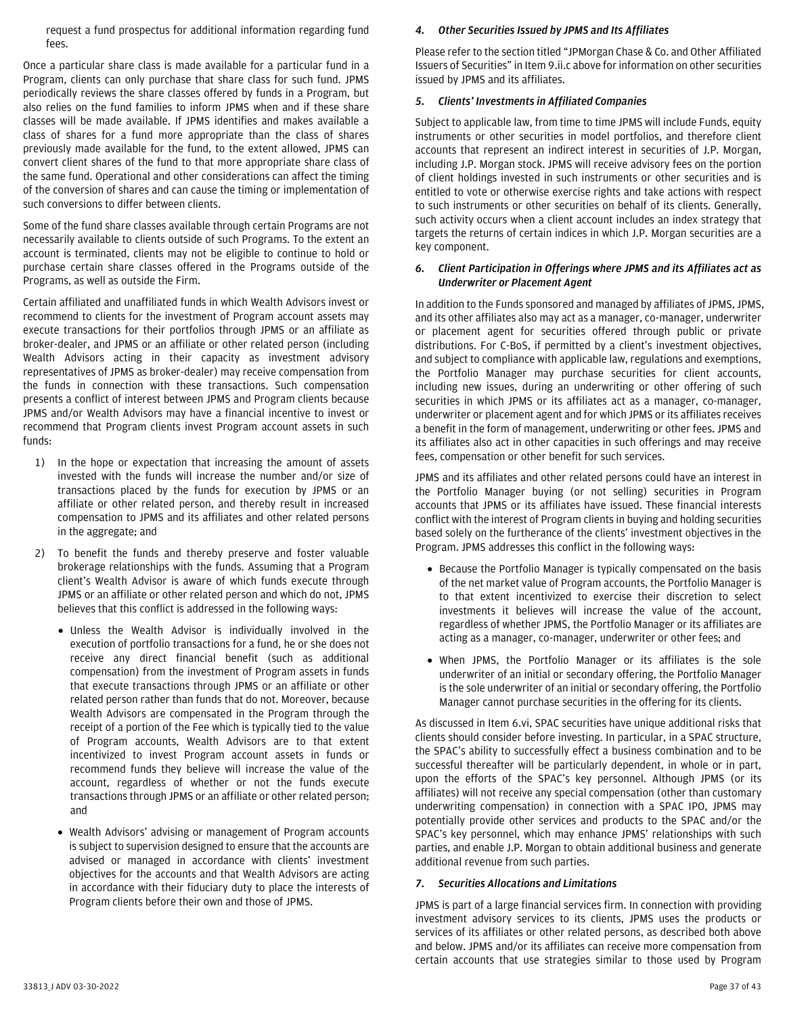request a fund prospectus for additional information regarding fund fees.

Once a particular share class is made available for a particular fund in a Program, clients can only purchase that share class for such fund. JPMS periodically reviews the share classes offered by funds in a Program, but also relies on the fund families to inform JPMS when and if these share classes will be made available. If JPMS identifies and makes available a class of shares for a fund more appropriate than the class of shares previously made available for the fund, to the extent allowed, JPMS can convert client shares of the fund to that more appropriate share class of the same fund. Operational and other considerations can affect the timing of the conversion of shares and can cause the timing or implementation of such conversions to differ between clients.

Some of the fund share classes available through certain Programs are not necessarily available to clients outside of such Programs. To the extent an account is terminated, clients may not be eligible to continue to hold or purchase certain share classes offered in the Programs outside of the Programs, as well as outside the Firm.

Certain affiliated and unaffiliated funds in which Wealth Advisors invest or recommend to clients for the investment of Program account assets may execute transactions for their portfolios through JPMS or an affiliate as broker-dealer, and JPMS or an affiliate or other related person (including Wealth Advisors acting in their capacity as investment advisory representatives of JPMS as broker-dealer) may receive compensation from the funds in connection with these transactions. Such compensation presents a conflict of interest between JPMS and Program clients because JPMS and/or Wealth Advisors may have a financial incentive to invest or recommend that Program clients invest Program account assets in such funds:

- 1) In the hope or expectation that increasing the amount of assets invested with the funds will increase the number and/or size of transactions placed by the funds for execution by JPMS or an affiliate or other related person, and thereby result in increased compensation to JPMS and its affiliates and other related persons in the aggregate; and
- 2) To benefit the funds and thereby preserve and foster valuable brokerage relationships with the funds. Assuming that a Program client's Wealth Advisor is aware of which funds execute through JPMS or an affiliate or other related person and which do not, JPMS believes that this conflict is addressed in the following ways:
	- Unless the Wealth Advisor is individually involved in the execution of portfolio transactions for a fund, he or she does not receive any direct financial benefit (such as additional compensation) from the investment of Program assets in funds that execute transactions through JPMS or an affiliate or other related person rather than funds that do not. Moreover, because Wealth Advisors are compensated in the Program through the receipt of a portion of the Fee which is typically tied to the value of Program accounts, Wealth Advisors are to that extent incentivized to invest Program account assets in funds or recommend funds they believe will increase the value of the account, regardless of whether or not the funds execute transactions through JPMS or an affiliate or other related person; and
	- Wealth Advisors' advising or management of Program accounts is subject to supervision designed to ensure that the accounts are advised or managed in accordance with clients' investment objectives for the accounts and that Wealth Advisors are acting in accordance with their fiduciary duty to place the interests of Program clients before their own and those of JPMS.

## *4. Other Securities Issued by JPMS and Its Affiliates*

Please refer to the section titled "JPMorgan Chase & Co. and Other Affiliated Issuers of Securities" in Item 9.ii.c above for information on other securities issued by JPMS and its affiliates.

#### *5. Clients' Investments in Affiliated Companies*

Subject to applicable law, from time to time JPMS will include Funds, equity instruments or other securities in model portfolios, and therefore client accounts that represent an indirect interest in securities of J.P. Morgan, including J.P. Morgan stock. JPMS will receive advisory fees on the portion of client holdings invested in such instruments or other securities and is entitled to vote or otherwise exercise rights and take actions with respect to such instruments or other securities on behalf of its clients. Generally, such activity occurs when a client account includes an index strategy that targets the returns of certain indices in which J.P. Morgan securities are a key component.

#### *6. Client Participation in Offerings where JPMS and its Affiliates act as Underwriter or Placement Agent*

In addition to the Funds sponsored and managed by affiliates of JPMS, JPMS, and its other affiliates also may act as a manager, co-manager, underwriter or placement agent for securities offered through public or private distributions. For C-BoS, if permitted by a client's investment objectives, and subject to compliance with applicable law, regulations and exemptions, the Portfolio Manager may purchase securities for client accounts, including new issues, during an underwriting or other offering of such securities in which JPMS or its affiliates act as a manager, co-manager, underwriter or placement agent and for which JPMS or its affiliates receives a benefit in the form of management, underwriting or other fees. JPMS and its affiliates also act in other capacities in such offerings and may receive fees, compensation or other benefit for such services.

JPMS and its affiliates and other related persons could have an interest in the Portfolio Manager buying (or not selling) securities in Program accounts that JPMS or its affiliates have issued. These financial interests conflict with the interest of Program clients in buying and holding securities based solely on the furtherance of the clients' investment objectives in the Program. JPMS addresses this conflict in the following ways:

- Because the Portfolio Manager is typically compensated on the basis of the net market value of Program accounts, the Portfolio Manager is to that extent incentivized to exercise their discretion to select investments it believes will increase the value of the account, regardless of whether JPMS, the Portfolio Manager or its affiliates are acting as a manager, co-manager, underwriter or other fees; and
- When JPMS, the Portfolio Manager or its affiliates is the sole underwriter of an initial or secondary offering, the Portfolio Manager is the sole underwriter of an initial or secondary offering, the Portfolio Manager cannot purchase securities in the offering for its clients.

As discussed in Item 6.vi, SPAC securities have unique additional risks that clients should consider before investing. In particular, in a SPAC structure, the SPAC's ability to successfully effect a business combination and to be successful thereafter will be particularly dependent, in whole or in part, upon the efforts of the SPAC's key personnel. Although JPMS (or its affiliates) will not receive any special compensation (other than customary underwriting compensation) in connection with a SPAC IPO, JPMS may potentially provide other services and products to the SPAC and/or the SPAC's key personnel, which may enhance JPMS' relationships with such parties, and enable J.P. Morgan to obtain additional business and generate additional revenue from such parties.

#### *7. Securities Allocations and Limitations*

JPMS is part of a large financial services firm. In connection with providing investment advisory services to its clients, JPMS uses the products or services of its affiliates or other related persons, as described both above and below. JPMS and/or its affiliates can receive more compensation from certain accounts that use strategies similar to those used by Program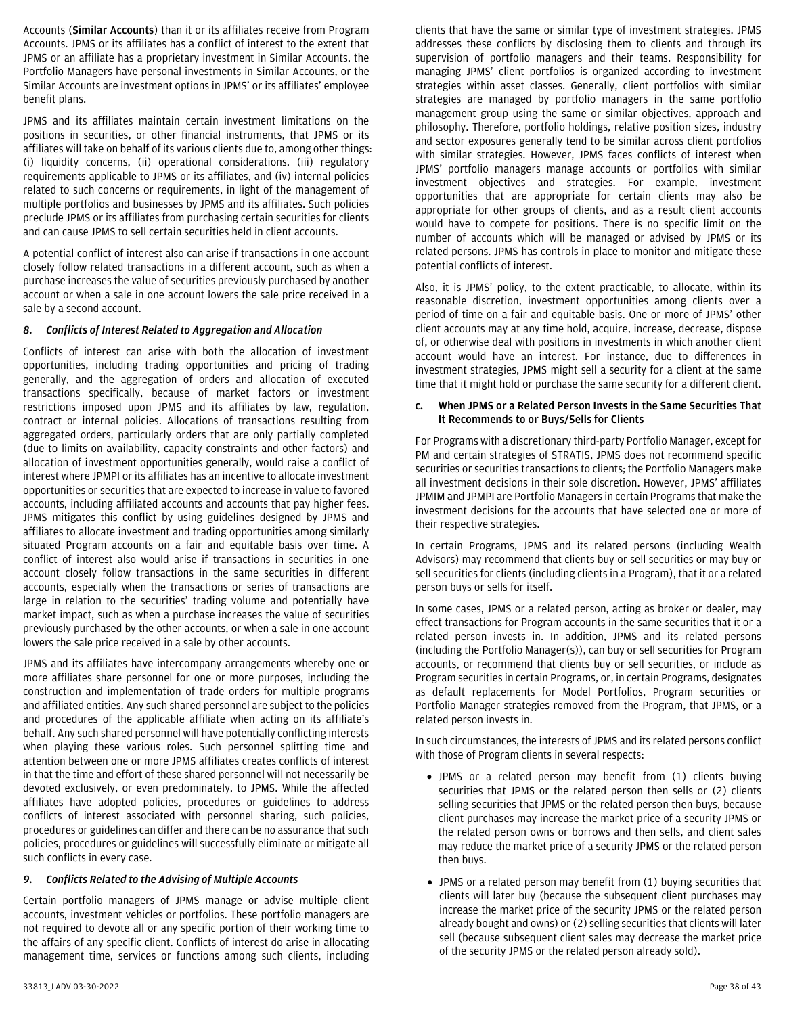Accounts (**Similar Accounts**) than it or its affiliates receive from Program Accounts. JPMS or its affiliates has a conflict of interest to the extent that JPMS or an affiliate has a proprietary investment in Similar Accounts, the Portfolio Managers have personal investments in Similar Accounts, or the Similar Accounts are investment options in JPMS' or its affiliates' employee benefit plans.

JPMS and its affiliates maintain certain investment limitations on the positions in securities, or other financial instruments, that JPMS or its affiliates will take on behalf of its various clients due to, among other things: (i) liquidity concerns, (ii) operational considerations, (iii) regulatory requirements applicable to JPMS or its affiliates, and (iv) internal policies related to such concerns or requirements, in light of the management of multiple portfolios and businesses by JPMS and its affiliates. Such policies preclude JPMS or its affiliates from purchasing certain securities for clients and can cause JPMS to sell certain securities held in client accounts.

A potential conflict of interest also can arise if transactions in one account closely follow related transactions in a different account, such as when a purchase increases the value of securities previously purchased by another account or when a sale in one account lowers the sale price received in a sale by a second account.

#### *8. Conflicts of Interest Related to Aggregation and Allocation*

Conflicts of interest can arise with both the allocation of investment opportunities, including trading opportunities and pricing of trading generally, and the aggregation of orders and allocation of executed transactions specifically, because of market factors or investment restrictions imposed upon JPMS and its affiliates by law, regulation, contract or internal policies. Allocations of transactions resulting from aggregated orders, particularly orders that are only partially completed (due to limits on availability, capacity constraints and other factors) and allocation of investment opportunities generally, would raise a conflict of interest where JPMPI or its affiliates has an incentive to allocate investment opportunities or securities that are expected to increase in value to favored accounts, including affiliated accounts and accounts that pay higher fees. JPMS mitigates this conflict by using guidelines designed by JPMS and affiliates to allocate investment and trading opportunities among similarly situated Program accounts on a fair and equitable basis over time. A conflict of interest also would arise if transactions in securities in one account closely follow transactions in the same securities in different accounts, especially when the transactions or series of transactions are large in relation to the securities' trading volume and potentially have market impact, such as when a purchase increases the value of securities previously purchased by the other accounts, or when a sale in one account lowers the sale price received in a sale by other accounts.

JPMS and its affiliates have intercompany arrangements whereby one or more affiliates share personnel for one or more purposes, including the construction and implementation of trade orders for multiple programs and affiliated entities. Any such shared personnel are subject to the policies and procedures of the applicable affiliate when acting on its affiliate's behalf. Any such shared personnel will have potentially conflicting interests when playing these various roles. Such personnel splitting time and attention between one or more JPMS affiliates creates conflicts of interest in that the time and effort of these shared personnel will not necessarily be devoted exclusively, or even predominately, to JPMS. While the affected affiliates have adopted policies, procedures or guidelines to address conflicts of interest associated with personnel sharing, such policies, procedures or guidelines can differ and there can be no assurance that such policies, procedures or guidelines will successfully eliminate or mitigate all such conflicts in every case.

#### *9. Conflicts Related to the Advising of Multiple Accounts*

Certain portfolio managers of JPMS manage or advise multiple client accounts, investment vehicles or portfolios. These portfolio managers are not required to devote all or any specific portion of their working time to the affairs of any specific client. Conflicts of interest do arise in allocating management time, services or functions among such clients, including

clients that have the same or similar type of investment strategies. JPMS addresses these conflicts by disclosing them to clients and through its supervision of portfolio managers and their teams. Responsibility for managing JPMS' client portfolios is organized according to investment strategies within asset classes. Generally, client portfolios with similar strategies are managed by portfolio managers in the same portfolio management group using the same or similar objectives, approach and philosophy. Therefore, portfolio holdings, relative position sizes, industry and sector exposures generally tend to be similar across client portfolios with similar strategies. However, JPMS faces conflicts of interest when JPMS' portfolio managers manage accounts or portfolios with similar investment objectives and strategies. For example, investment opportunities that are appropriate for certain clients may also be appropriate for other groups of clients, and as a result client accounts would have to compete for positions. There is no specific limit on the number of accounts which will be managed or advised by JPMS or its related persons. JPMS has controls in place to monitor and mitigate these potential conflicts of interest.

Also, it is JPMS' policy, to the extent practicable, to allocate, within its reasonable discretion, investment opportunities among clients over a period of time on a fair and equitable basis. One or more of JPMS' other client accounts may at any time hold, acquire, increase, decrease, dispose of, or otherwise deal with positions in investments in which another client account would have an interest. For instance, due to differences in investment strategies, JPMS might sell a security for a client at the same time that it might hold or purchase the same security for a different client.

#### **c. When JPMS or a Related Person Invests in the Same Securities That It Recommends to or Buys/Sells for Clients**

For Programs with a discretionary third-party Portfolio Manager, except for PM and certain strategies of STRATIS, JPMS does not recommend specific securities or securities transactions to clients; the Portfolio Managers make all investment decisions in their sole discretion. However, JPMS' affiliates JPMIM and JPMPI are Portfolio Managers in certain Programs that make the investment decisions for the accounts that have selected one or more of their respective strategies.

In certain Programs, JPMS and its related persons (including Wealth Advisors) may recommend that clients buy or sell securities or may buy or sell securities for clients (including clients in a Program), that it or a related person buys or sells for itself.

In some cases, JPMS or a related person, acting as broker or dealer, may effect transactions for Program accounts in the same securities that it or a related person invests in. In addition, JPMS and its related persons (including the Portfolio Manager(s)), can buy or sell securities for Program accounts, or recommend that clients buy or sell securities, or include as Program securities in certain Programs, or, in certain Programs, designates as default replacements for Model Portfolios, Program securities or Portfolio Manager strategies removed from the Program, that JPMS, or a related person invests in.

In such circumstances, the interests of JPMS and its related persons conflict with those of Program clients in several respects:

- JPMS or a related person may benefit from (1) clients buying securities that JPMS or the related person then sells or (2) clients selling securities that JPMS or the related person then buys, because client purchases may increase the market price of a security JPMS or the related person owns or borrows and then sells, and client sales may reduce the market price of a security JPMS or the related person then buys.
- JPMS or a related person may benefit from (1) buying securities that clients will later buy (because the subsequent client purchases may increase the market price of the security JPMS or the related person already bought and owns) or (2) selling securities that clients will later sell (because subsequent client sales may decrease the market price of the security JPMS or the related person already sold).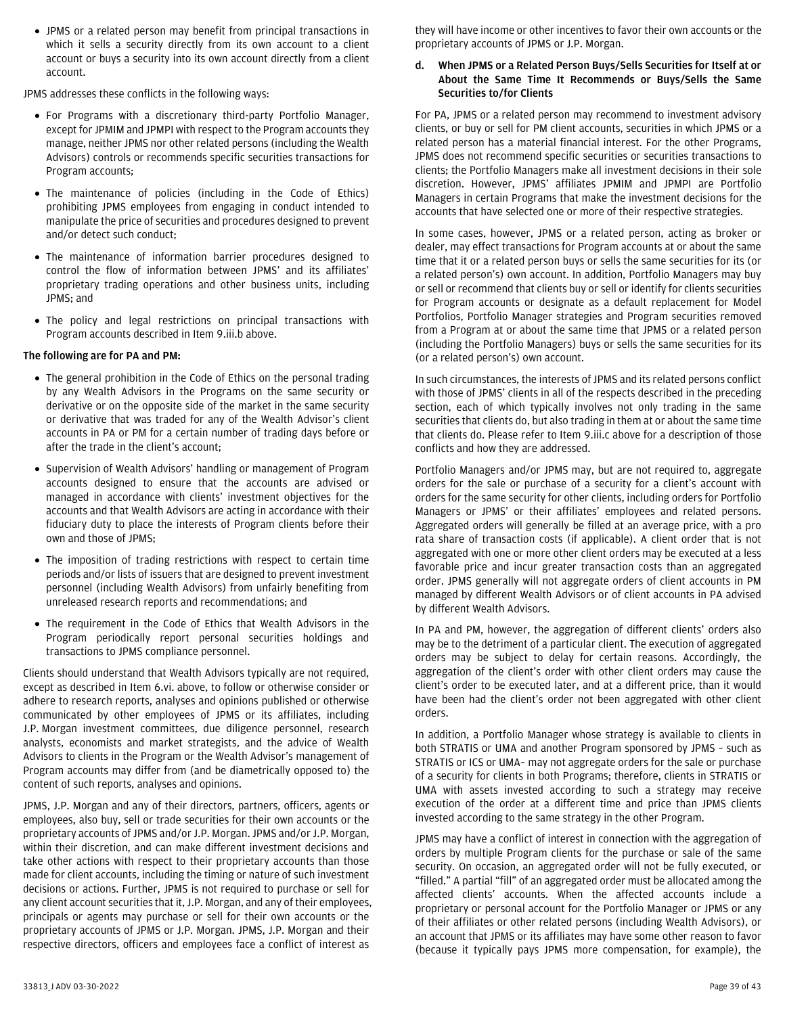• JPMS or a related person may benefit from principal transactions in which it sells a security directly from its own account to a client account or buys a security into its own account directly from a client account.

JPMS addresses these conflicts in the following ways:

- For Programs with a discretionary third-party Portfolio Manager, except for JPMIM and JPMPI with respect to the Program accounts they manage, neither JPMS nor other related persons (including the Wealth Advisors) controls or recommends specific securities transactions for Program accounts;
- The maintenance of policies (including in the Code of Ethics) prohibiting JPMS employees from engaging in conduct intended to manipulate the price of securities and procedures designed to prevent and/or detect such conduct;
- The maintenance of information barrier procedures designed to control the flow of information between JPMS' and its affiliates' proprietary trading operations and other business units, including JPMS; and
- The policy and legal restrictions on principal transactions with Program accounts described in Item 9.iii.b above.

## **The following are for PA and PM:**

- The general prohibition in the Code of Ethics on the personal trading by any Wealth Advisors in the Programs on the same security or derivative or on the opposite side of the market in the same security or derivative that was traded for any of the Wealth Advisor's client accounts in PA or PM for a certain number of trading days before or after the trade in the client's account;
- Supervision of Wealth Advisors' handling or management of Program accounts designed to ensure that the accounts are advised or managed in accordance with clients' investment objectives for the accounts and that Wealth Advisors are acting in accordance with their fiduciary duty to place the interests of Program clients before their own and those of JPMS;
- The imposition of trading restrictions with respect to certain time periods and/or lists of issuers that are designed to prevent investment personnel (including Wealth Advisors) from unfairly benefiting from unreleased research reports and recommendations; and
- The requirement in the Code of Ethics that Wealth Advisors in the Program periodically report personal securities holdings and transactions to JPMS compliance personnel.

Clients should understand that Wealth Advisors typically are not required, except as described in Item 6.vi. above, to follow or otherwise consider or adhere to research reports, analyses and opinions published or otherwise communicated by other employees of JPMS or its affiliates, including J.P. Morgan investment committees, due diligence personnel, research analysts, economists and market strategists, and the advice of Wealth Advisors to clients in the Program or the Wealth Advisor's management of Program accounts may differ from (and be diametrically opposed to) the content of such reports, analyses and opinions.

JPMS, J.P. Morgan and any of their directors, partners, officers, agents or employees, also buy, sell or trade securities for their own accounts or the proprietary accounts of JPMS and/or J.P. Morgan. JPMS and/or J.P. Morgan, within their discretion, and can make different investment decisions and take other actions with respect to their proprietary accounts than those made for client accounts, including the timing or nature of such investment decisions or actions. Further, JPMS is not required to purchase or sell for any client account securities that it, J.P. Morgan, and any of their employees, principals or agents may purchase or sell for their own accounts or the proprietary accounts of JPMS or J.P. Morgan. JPMS, J.P. Morgan and their respective directors, officers and employees face a conflict of interest as

they will have income or other incentives to favor their own accounts or the proprietary accounts of JPMS or J.P. Morgan.

## **d. When JPMS or a Related Person Buys/Sells Securities for Itself at or About the Same Time It Recommends or Buys/Sells the Same Securities to/for Clients**

For PA, JPMS or a related person may recommend to investment advisory clients, or buy or sell for PM client accounts, securities in which JPMS or a related person has a material financial interest. For the other Programs, JPMS does not recommend specific securities or securities transactions to clients; the Portfolio Managers make all investment decisions in their sole discretion. However, JPMS' affiliates JPMIM and JPMPI are Portfolio Managers in certain Programs that make the investment decisions for the accounts that have selected one or more of their respective strategies.

In some cases, however, JPMS or a related person, acting as broker or dealer, may effect transactions for Program accounts at or about the same time that it or a related person buys or sells the same securities for its (or a related person's) own account. In addition, Portfolio Managers may buy or sell or recommend that clients buy or sell or identify for clients securities for Program accounts or designate as a default replacement for Model Portfolios, Portfolio Manager strategies and Program securities removed from a Program at or about the same time that JPMS or a related person (including the Portfolio Managers) buys or sells the same securities for its (or a related person's) own account.

In such circumstances, the interests of JPMS and its related persons conflict with those of JPMS' clients in all of the respects described in the preceding section, each of which typically involves not only trading in the same securities that clients do, but also trading in them at or about the same time that clients do. Please refer to Item 9.iii.c above for a description of those conflicts and how they are addressed.

Portfolio Managers and/or JPMS may, but are not required to, aggregate orders for the sale or purchase of a security for a client's account with orders for the same security for other clients, including orders for Portfolio Managers or JPMS' or their affiliates' employees and related persons. Aggregated orders will generally be filled at an average price, with a pro rata share of transaction costs (if applicable). A client order that is not aggregated with one or more other client orders may be executed at a less favorable price and incur greater transaction costs than an aggregated order. JPMS generally will not aggregate orders of client accounts in PM managed by different Wealth Advisors or of client accounts in PA advised by different Wealth Advisors.

In PA and PM, however, the aggregation of different clients' orders also may be to the detriment of a particular client. The execution of aggregated orders may be subject to delay for certain reasons. Accordingly, the aggregation of the client's order with other client orders may cause the client's order to be executed later, and at a different price, than it would have been had the client's order not been aggregated with other client orders.

In addition, a Portfolio Manager whose strategy is available to clients in both STRATIS or UMA and another Program sponsored by JPMS – such as STRATIS or ICS or UMA– may not aggregate orders for the sale or purchase of a security for clients in both Programs; therefore, clients in STRATIS or UMA with assets invested according to such a strategy may receive execution of the order at a different time and price than JPMS clients invested according to the same strategy in the other Program.

JPMS may have a conflict of interest in connection with the aggregation of orders by multiple Program clients for the purchase or sale of the same security. On occasion, an aggregated order will not be fully executed, or "filled." A partial "fill" of an aggregated order must be allocated among the affected clients' accounts. When the affected accounts include a proprietary or personal account for the Portfolio Manager or JPMS or any of their affiliates or other related persons (including Wealth Advisors), or an account that JPMS or its affiliates may have some other reason to favor (because it typically pays JPMS more compensation, for example), the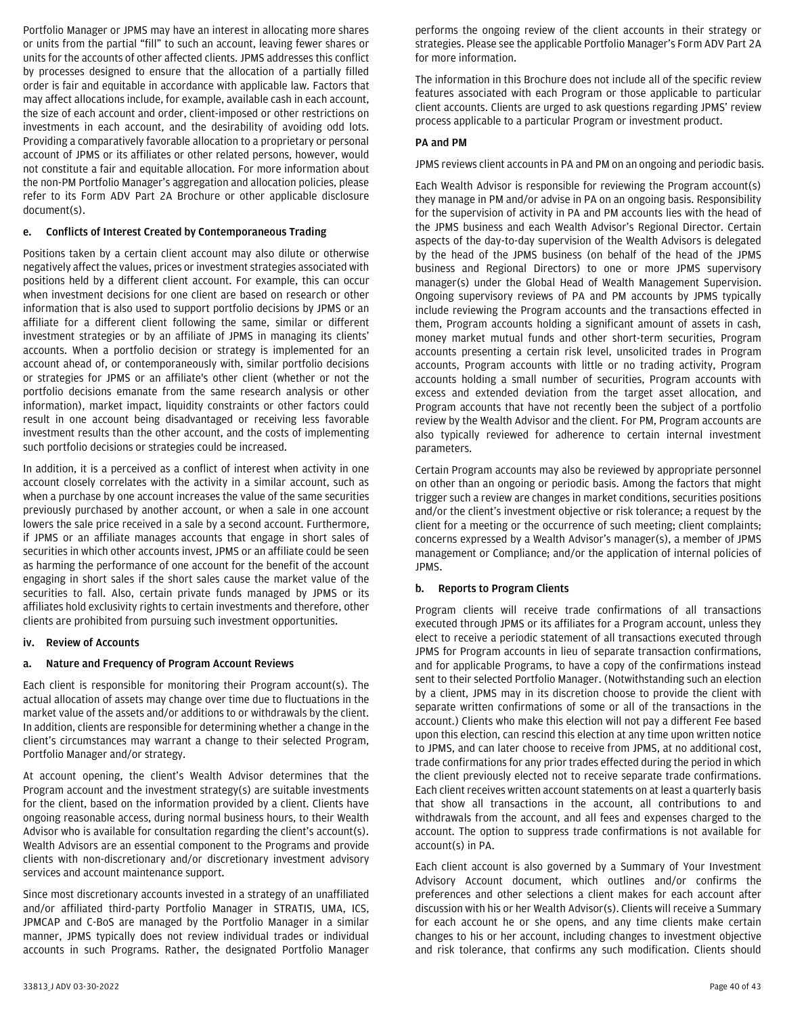Portfolio Manager or JPMS may have an interest in allocating more shares or units from the partial "fill" to such an account, leaving fewer shares or units for the accounts of other affected clients. JPMS addresses this conflict by processes designed to ensure that the allocation of a partially filled order is fair and equitable in accordance with applicable law. Factors that may affect allocations include, for example, available cash in each account, the size of each account and order, client-imposed or other restrictions on investments in each account, and the desirability of avoiding odd lots. Providing a comparatively favorable allocation to a proprietary or personal account of JPMS or its affiliates or other related persons, however, would not constitute a fair and equitable allocation. For more information about the non-PM Portfolio Manager's aggregation and allocation policies, please refer to its Form ADV Part 2A Brochure or other applicable disclosure document(s).

#### **e. Conflicts of Interest Created by Contemporaneous Trading**

Positions taken by a certain client account may also dilute or otherwise negatively affect the values, prices or investment strategies associated with positions held by a different client account. For example, this can occur when investment decisions for one client are based on research or other information that is also used to support portfolio decisions by JPMS or an affiliate for a different client following the same, similar or different investment strategies or by an affiliate of JPMS in managing its clients' accounts. When a portfolio decision or strategy is implemented for an account ahead of, or contemporaneously with, similar portfolio decisions or strategies for JPMS or an affiliate's other client (whether or not the portfolio decisions emanate from the same research analysis or other information), market impact, liquidity constraints or other factors could result in one account being disadvantaged or receiving less favorable investment results than the other account, and the costs of implementing such portfolio decisions or strategies could be increased.

In addition, it is a perceived as a conflict of interest when activity in one account closely correlates with the activity in a similar account, such as when a purchase by one account increases the value of the same securities previously purchased by another account, or when a sale in one account lowers the sale price received in a sale by a second account. Furthermore, if JPMS or an affiliate manages accounts that engage in short sales of securities in which other accounts invest, JPMS or an affiliate could be seen as harming the performance of one account for the benefit of the account engaging in short sales if the short sales cause the market value of the securities to fall. Also, certain private funds managed by JPMS or its affiliates hold exclusivity rights to certain investments and therefore, other clients are prohibited from pursuing such investment opportunities.

#### <span id="page-39-0"></span>**iv. Review of Accounts**

## **a. Nature and Frequency of Program Account Reviews**

Each client is responsible for monitoring their Program account(s). The actual allocation of assets may change over time due to fluctuations in the market value of the assets and/or additions to or withdrawals by the client. In addition, clients are responsible for determining whether a change in the client's circumstances may warrant a change to their selected Program, Portfolio Manager and/or strategy.

At account opening, the client's Wealth Advisor determines that the Program account and the investment strategy(s) are suitable investments for the client, based on the information provided by a client. Clients have ongoing reasonable access, during normal business hours, to their Wealth Advisor who is available for consultation regarding the client's account(s). Wealth Advisors are an essential component to the Programs and provide clients with non-discretionary and/or discretionary investment advisory services and account maintenance support.

Since most discretionary accounts invested in a strategy of an unaffiliated and/or affiliated third-party Portfolio Manager in STRATIS, UMA, ICS, JPMCAP and C-BoS are managed by the Portfolio Manager in a similar manner, JPMS typically does not review individual trades or individual accounts in such Programs. Rather, the designated Portfolio Manager

performs the ongoing review of the client accounts in their strategy or strategies. Please see the applicable Portfolio Manager's Form ADV Part 2A for more information.

The information in this Brochure does not include all of the specific review features associated with each Program or those applicable to particular client accounts. Clients are urged to ask questions regarding JPMS' review process applicable to a particular Program or investment product.

#### **PA and PM**

JPMS reviews client accounts in PA and PM on an ongoing and periodic basis.

Each Wealth Advisor is responsible for reviewing the Program account(s) they manage in PM and/or advise in PA on an ongoing basis. Responsibility for the supervision of activity in PA and PM accounts lies with the head of the JPMS business and each Wealth Advisor's Regional Director. Certain aspects of the day-to-day supervision of the Wealth Advisors is delegated by the head of the JPMS business (on behalf of the head of the JPMS business and Regional Directors) to one or more JPMS supervisory manager(s) under the Global Head of Wealth Management Supervision. Ongoing supervisory reviews of PA and PM accounts by JPMS typically include reviewing the Program accounts and the transactions effected in them, Program accounts holding a significant amount of assets in cash, money market mutual funds and other short-term securities, Program accounts presenting a certain risk level, unsolicited trades in Program accounts, Program accounts with little or no trading activity, Program accounts holding a small number of securities, Program accounts with excess and extended deviation from the target asset allocation, and Program accounts that have not recently been the subject of a portfolio review by the Wealth Advisor and the client. For PM, Program accounts are also typically reviewed for adherence to certain internal investment parameters.

Certain Program accounts may also be reviewed by appropriate personnel on other than an ongoing or periodic basis. Among the factors that might trigger such a review are changes in market conditions, securities positions and/or the client's investment objective or risk tolerance; a request by the client for a meeting or the occurrence of such meeting; client complaints; concerns expressed by a Wealth Advisor's manager(s), a member of JPMS management or Compliance; and/or the application of internal policies of JPMS.

## **b. Reports to Program Clients**

Program clients will receive trade confirmations of all transactions executed through JPMS or its affiliates for a Program account, unless they elect to receive a periodic statement of all transactions executed through JPMS for Program accounts in lieu of separate transaction confirmations, and for applicable Programs, to have a copy of the confirmations instead sent to their selected Portfolio Manager. (Notwithstanding such an election by a client, JPMS may in its discretion choose to provide the client with separate written confirmations of some or all of the transactions in the account.) Clients who make this election will not pay a different Fee based upon this election, can rescind this election at any time upon written notice to JPMS, and can later choose to receive from JPMS, at no additional cost, trade confirmations for any prior trades effected during the period in which the client previously elected not to receive separate trade confirmations. Each client receives written account statements on at least a quarterly basis that show all transactions in the account, all contributions to and withdrawals from the account, and all fees and expenses charged to the account. The option to suppress trade confirmations is not available for account(s) in PA.

Each client account is also governed by a Summary of Your Investment Advisory Account document, which outlines and/or confirms the preferences and other selections a client makes for each account after discussion with his or her Wealth Advisor(s). Clients will receive a Summary for each account he or she opens, and any time clients make certain changes to his or her account, including changes to investment objective and risk tolerance, that confirms any such modification. Clients should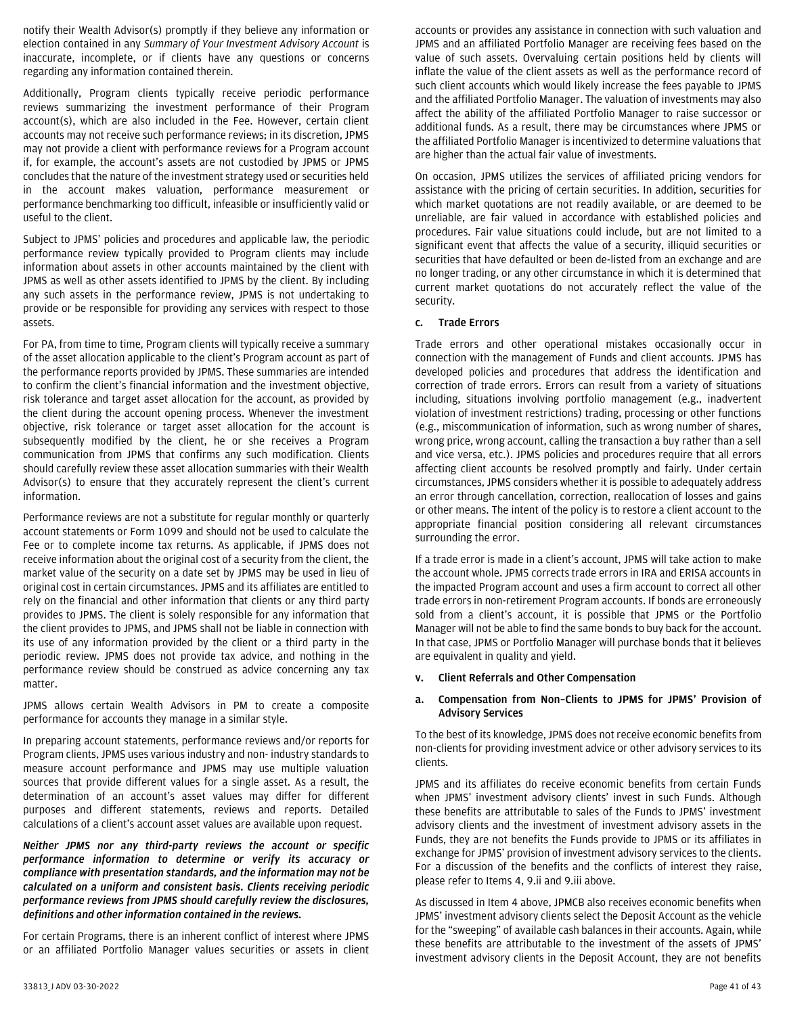notify their Wealth Advisor(s) promptly if they believe any information or election contained in any *Summary of Your Investment Advisory Account* is inaccurate, incomplete, or if clients have any questions or concerns regarding any information contained therein.

Additionally, Program clients typically receive periodic performance reviews summarizing the investment performance of their Program account(s), which are also included in the Fee. However, certain client accounts may not receive such performance reviews; in its discretion, JPMS may not provide a client with performance reviews for a Program account if, for example, the account's assets are not custodied by JPMS or JPMS concludes that the nature of the investment strategy used or securities held in the account makes valuation, performance measurement or performance benchmarking too difficult, infeasible or insufficiently valid or useful to the client.

Subject to JPMS' policies and procedures and applicable law, the periodic performance review typically provided to Program clients may include information about assets in other accounts maintained by the client with JPMS as well as other assets identified to JPMS by the client. By including any such assets in the performance review, JPMS is not undertaking to provide or be responsible for providing any services with respect to those assets.

For PA, from time to time, Program clients will typically receive a summary of the asset allocation applicable to the client's Program account as part of the performance reports provided by JPMS. These summaries are intended to confirm the client's financial information and the investment objective, risk tolerance and target asset allocation for the account, as provided by the client during the account opening process. Whenever the investment objective, risk tolerance or target asset allocation for the account is subsequently modified by the client, he or she receives a Program communication from JPMS that confirms any such modification. Clients should carefully review these asset allocation summaries with their Wealth Advisor(s) to ensure that they accurately represent the client's current information.

Performance reviews are not a substitute for regular monthly or quarterly account statements or Form 1099 and should not be used to calculate the Fee or to complete income tax returns. As applicable, if JPMS does not receive information about the original cost of a security from the client, the market value of the security on a date set by JPMS may be used in lieu of original cost in certain circumstances. JPMS and its affiliates are entitled to rely on the financial and other information that clients or any third party provides to JPMS. The client is solely responsible for any information that the client provides to JPMS, and JPMS shall not be liable in connection with its use of any information provided by the client or a third party in the periodic review. JPMS does not provide tax advice, and nothing in the performance review should be construed as advice concerning any tax matter.

JPMS allows certain Wealth Advisors in PM to create a composite performance for accounts they manage in a similar style.

In preparing account statements, performance reviews and/or reports for Program clients, JPMS uses various industry and non- industry standards to measure account performance and JPMS may use multiple valuation sources that provide different values for a single asset. As a result, the determination of an account's asset values may differ for different purposes and different statements, reviews and reports. Detailed calculations of a client's account asset values are available upon request.

*Neither JPMS nor any third-party reviews the account or specific performance information to determine or verify its accuracy or compliance with presentation standards, and the information may not be calculated on a uniform and consistent basis. Clients receiving periodic performance reviews from JPMS should carefully review the disclosures, definitions and other information contained in the reviews.*

For certain Programs, there is an inherent conflict of interest where JPMS or an affiliated Portfolio Manager values securities or assets in client

accounts or provides any assistance in connection with such valuation and JPMS and an affiliated Portfolio Manager are receiving fees based on the value of such assets. Overvaluing certain positions held by clients will inflate the value of the client assets as well as the performance record of such client accounts which would likely increase the fees payable to JPMS and the affiliated Portfolio Manager. The valuation of investments may also affect the ability of the affiliated Portfolio Manager to raise successor or additional funds. As a result, there may be circumstances where JPMS or the affiliated Portfolio Manager is incentivized to determine valuations that are higher than the actual fair value of investments.

On occasion, JPMS utilizes the services of affiliated pricing vendors for assistance with the pricing of certain securities. In addition, securities for which market quotations are not readily available, or are deemed to be unreliable, are fair valued in accordance with established policies and procedures. Fair value situations could include, but are not limited to a significant event that affects the value of a security, illiquid securities or securities that have defaulted or been de-listed from an exchange and are no longer trading, or any other circumstance in which it is determined that current market quotations do not accurately reflect the value of the security.

## **c. Trade Errors**

Trade errors and other operational mistakes occasionally occur in connection with the management of Funds and client accounts. JPMS has developed policies and procedures that address the identification and correction of trade errors. Errors can result from a variety of situations including, situations involving portfolio management (e.g., inadvertent violation of investment restrictions) trading, processing or other functions (e.g., miscommunication of information, such as wrong number of shares, wrong price, wrong account, calling the transaction a buy rather than a sell and vice versa, etc.). JPMS policies and procedures require that all errors affecting client accounts be resolved promptly and fairly. Under certain circumstances, JPMS considers whether it is possible to adequately address an error through cancellation, correction, reallocation of losses and gains or other means. The intent of the policy is to restore a client account to the appropriate financial position considering all relevant circumstances surrounding the error.

If a trade error is made in a client's account, JPMS will take action to make the account whole. JPMS corrects trade errors in IRA and ERISA accounts in the impacted Program account and uses a firm account to correct all other trade errors in non-retirement Program accounts. If bonds are erroneously sold from a client's account, it is possible that JPMS or the Portfolio Manager will not be able to find the same bonds to buy back for the account. In that case, JPMS or Portfolio Manager will purchase bonds that it believes are equivalent in quality and yield.

#### <span id="page-40-0"></span>**v. Client Referrals and Other Compensation**

#### **a. Compensation from Non–Clients to JPMS for JPMS' Provision of Advisory Services**

To the best of its knowledge, JPMS does not receive economic benefits from non-clients for providing investment advice or other advisory services to its clients.

JPMS and its affiliates do receive economic benefits from certain Funds when JPMS' investment advisory clients' invest in such Funds. Although these benefits are attributable to sales of the Funds to JPMS' investment advisory clients and the investment of investment advisory assets in the Funds, they are not benefits the Funds provide to JPMS or its affiliates in exchange for JPMS' provision of investment advisory services to the clients. For a discussion of the benefits and the conflicts of interest they raise, please refer to Items 4, 9.ii and 9.iii above.

As discussed in Item 4 above, JPMCB also receives economic benefits when JPMS' investment advisory clients select the Deposit Account as the vehicle for the "sweeping" of available cash balances in their accounts. Again, while these benefits are attributable to the investment of the assets of JPMS' investment advisory clients in the Deposit Account, they are not benefits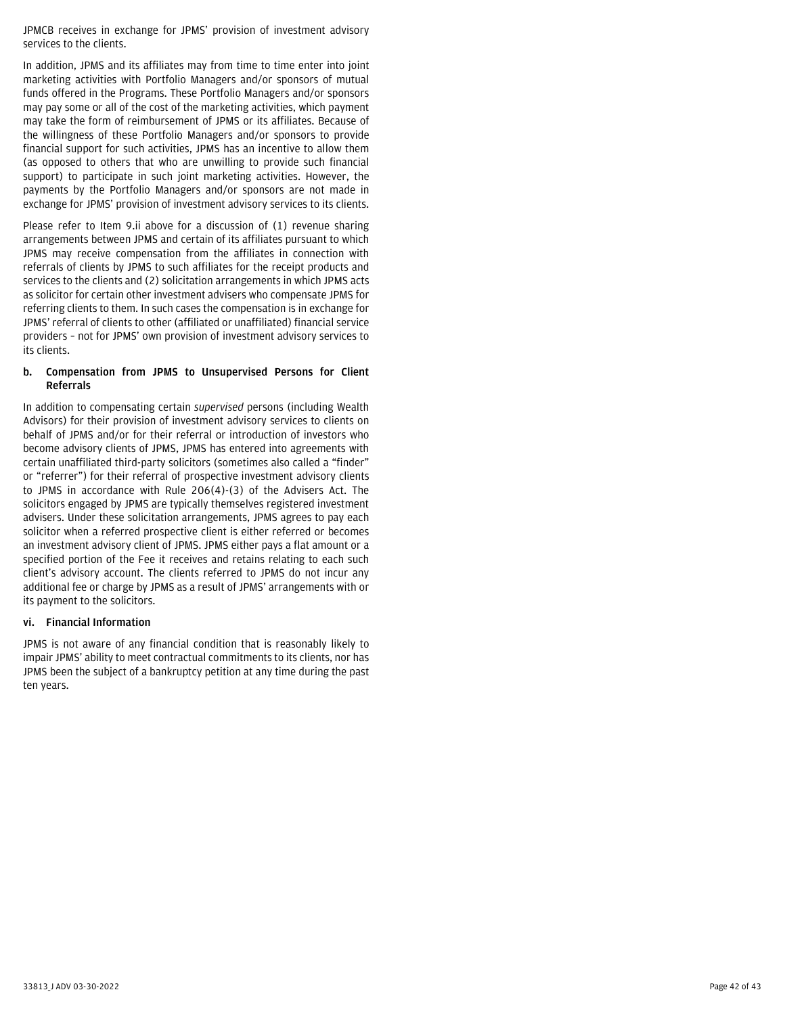JPMCB receives in exchange for JPMS' provision of investment advisory services to the clients.

In addition, JPMS and its affiliates may from time to time enter into joint marketing activities with Portfolio Managers and/or sponsors of mutual funds offered in the Programs. These Portfolio Managers and/or sponsors may pay some or all of the cost of the marketing activities, which payment may take the form of reimbursement of JPMS or its affiliates. Because of the willingness of these Portfolio Managers and/or sponsors to provide financial support for such activities, JPMS has an incentive to allow them (as opposed to others that who are unwilling to provide such financial support) to participate in such joint marketing activities. However, the payments by the Portfolio Managers and/or sponsors are not made in exchange for JPMS' provision of investment advisory services to its clients.

Please refer to Item 9.ii above for a discussion of (1) revenue sharing arrangements between JPMS and certain of its affiliates pursuant to which JPMS may receive compensation from the affiliates in connection with referrals of clients by JPMS to such affiliates for the receipt products and services to the clients and (2) solicitation arrangements in which JPMS acts as solicitor for certain other investment advisers who compensate JPMS for referring clients to them. In such cases the compensation is in exchange for JPMS' referral of clients to other (affiliated or unaffiliated) financial service providers – not for JPMS' own provision of investment advisory services to its clients.

#### **b. Compensation from JPMS to Unsupervised Persons for Client Referrals**

In addition to compensating certain *supervised* persons (including Wealth Advisors) for their provision of investment advisory services to clients on behalf of JPMS and/or for their referral or introduction of investors who become advisory clients of JPMS, JPMS has entered into agreements with certain unaffiliated third-party solicitors (sometimes also called a "finder" or "referrer") for their referral of prospective investment advisory clients to JPMS in accordance with Rule 206(4)-(3) of the Advisers Act. The solicitors engaged by JPMS are typically themselves registered investment advisers. Under these solicitation arrangements, JPMS agrees to pay each solicitor when a referred prospective client is either referred or becomes an investment advisory client of JPMS. JPMS either pays a flat amount or a specified portion of the Fee it receives and retains relating to each such client's advisory account. The clients referred to JPMS do not incur any additional fee or charge by JPMS as a result of JPMS' arrangements with or its payment to the solicitors.

## <span id="page-41-0"></span>**vi. Financial Information**

JPMS is not aware of any financial condition that is reasonably likely to impair JPMS' ability to meet contractual commitments to its clients, nor has JPMS been the subject of a bankruptcy petition at any time during the past ten years.